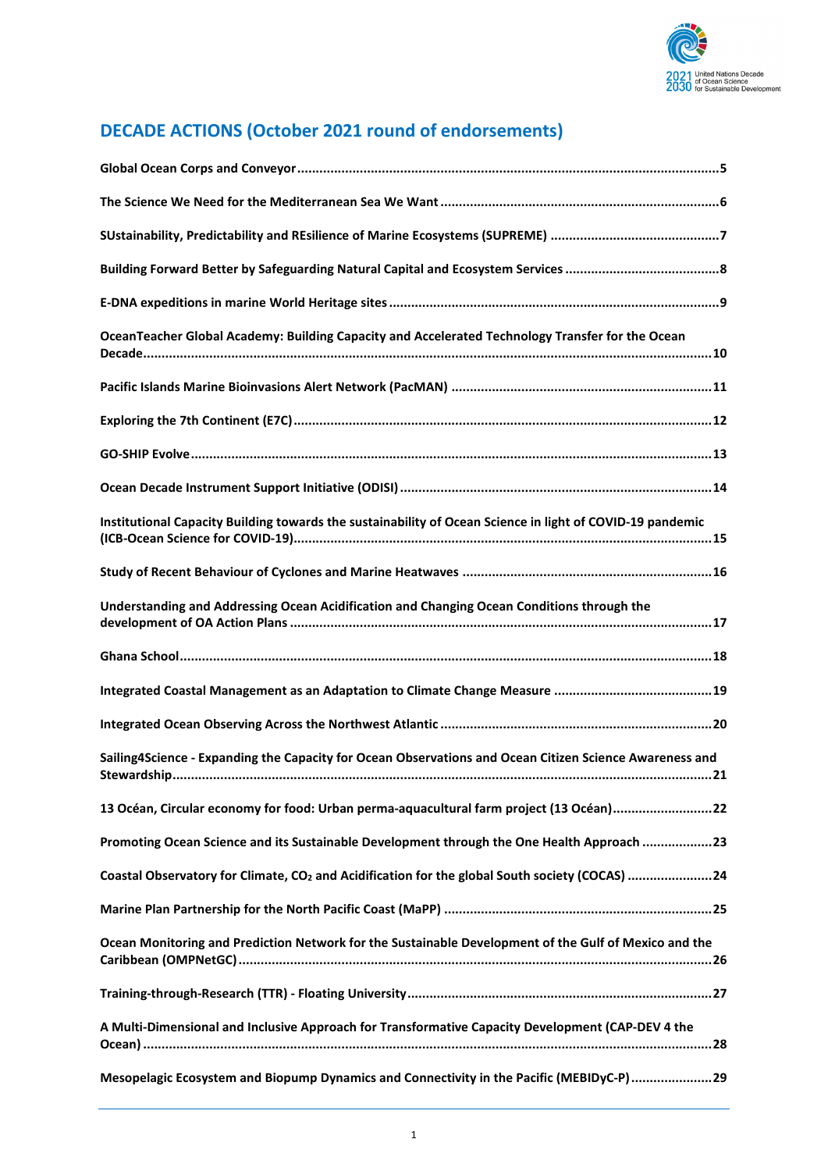

# **DECADE ACTIONS (October 2021 round of endorsements)**

| OceanTeacher Global Academy: Building Capacity and Accelerated Technology Transfer for the Ocean           |
|------------------------------------------------------------------------------------------------------------|
|                                                                                                            |
|                                                                                                            |
|                                                                                                            |
|                                                                                                            |
| Institutional Capacity Building towards the sustainability of Ocean Science in light of COVID-19 pandemic  |
|                                                                                                            |
| Understanding and Addressing Ocean Acidification and Changing Ocean Conditions through the                 |
|                                                                                                            |
|                                                                                                            |
|                                                                                                            |
| Sailing4Science - Expanding the Capacity for Ocean Observations and Ocean Citizen Science Awareness and    |
| 13 Océan, Circular economy for food: Urban perma-aquacultural farm project (13 Océan)22                    |
| Promoting Ocean Science and its Sustainable Development through the One Health Approach 23                 |
| Coastal Observatory for Climate, CO <sub>2</sub> and Acidification for the global South society (COCAS) 24 |
|                                                                                                            |
| Ocean Monitoring and Prediction Network for the Sustainable Development of the Gulf of Mexico and the      |
|                                                                                                            |
| A Multi-Dimensional and Inclusive Approach for Transformative Capacity Development (CAP-DEV 4 the          |
| Mesopelagic Ecosystem and Biopump Dynamics and Connectivity in the Pacific (MEBIDyC-P)29                   |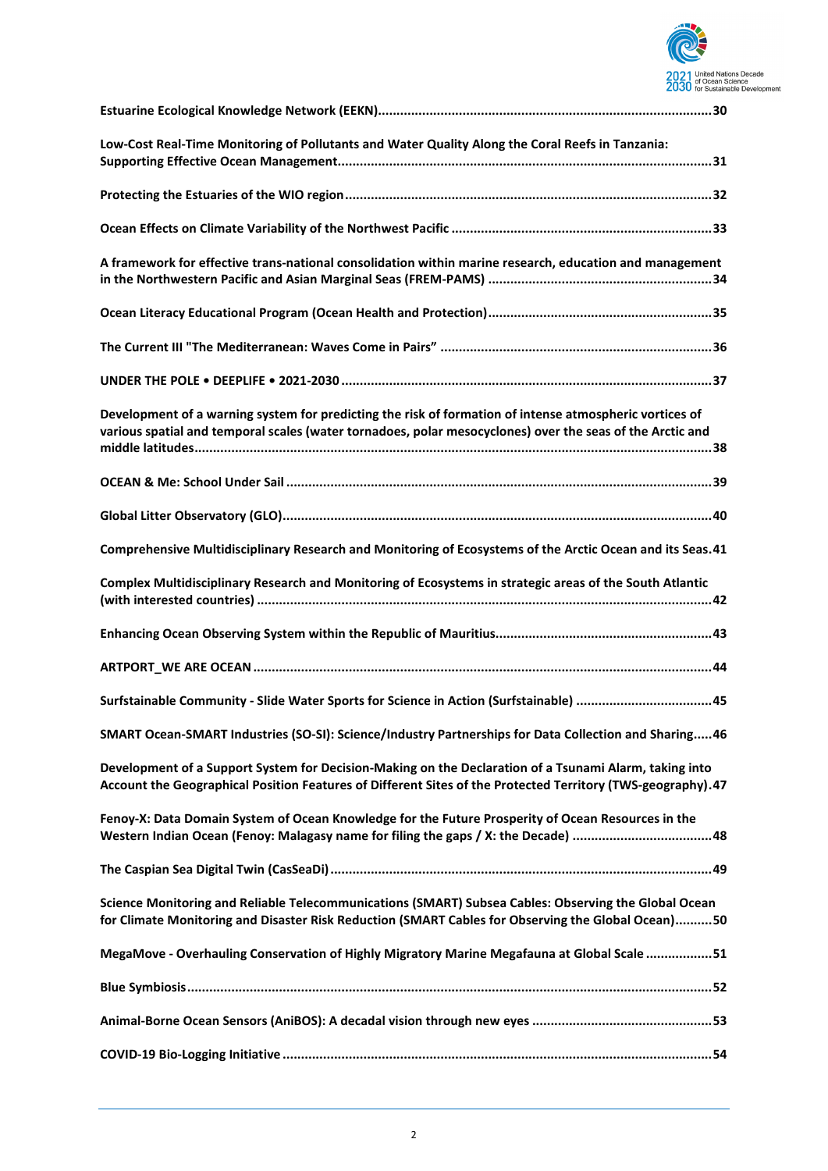

| Low-Cost Real-Time Monitoring of Pollutants and Water Quality Along the Coral Reefs in Tanzania:                                                                                                                      |
|-----------------------------------------------------------------------------------------------------------------------------------------------------------------------------------------------------------------------|
|                                                                                                                                                                                                                       |
|                                                                                                                                                                                                                       |
| A framework for effective trans-national consolidation within marine research, education and management                                                                                                               |
|                                                                                                                                                                                                                       |
|                                                                                                                                                                                                                       |
|                                                                                                                                                                                                                       |
| Development of a warning system for predicting the risk of formation of intense atmospheric vortices of<br>various spatial and temporal scales (water tornadoes, polar mesocyclones) over the seas of the Arctic and  |
|                                                                                                                                                                                                                       |
|                                                                                                                                                                                                                       |
| Comprehensive Multidisciplinary Research and Monitoring of Ecosystems of the Arctic Ocean and its Seas. 41                                                                                                            |
| Complex Multidisciplinary Research and Monitoring of Ecosystems in strategic areas of the South Atlantic                                                                                                              |
|                                                                                                                                                                                                                       |
|                                                                                                                                                                                                                       |
|                                                                                                                                                                                                                       |
| SMART Ocean-SMART Industries (SO-SI): Science/Industry Partnerships for Data Collection and Sharing 46                                                                                                                |
| Development of a Support System for Decision-Making on the Declaration of a Tsunami Alarm, taking into<br>Account the Geographical Position Features of Different Sites of the Protected Territory (TWS-geography).47 |
| Fenoy-X: Data Domain System of Ocean Knowledge for the Future Prosperity of Ocean Resources in the<br>Western Indian Ocean (Fenoy: Malagasy name for filing the gaps / X: the Decade) 48                              |
|                                                                                                                                                                                                                       |
| Science Monitoring and Reliable Telecommunications (SMART) Subsea Cables: Observing the Global Ocean<br>for Climate Monitoring and Disaster Risk Reduction (SMART Cables for Observing the Global Ocean)50            |
| MegaMove - Overhauling Conservation of Highly Migratory Marine Megafauna at Global Scale 51                                                                                                                           |
|                                                                                                                                                                                                                       |
|                                                                                                                                                                                                                       |
|                                                                                                                                                                                                                       |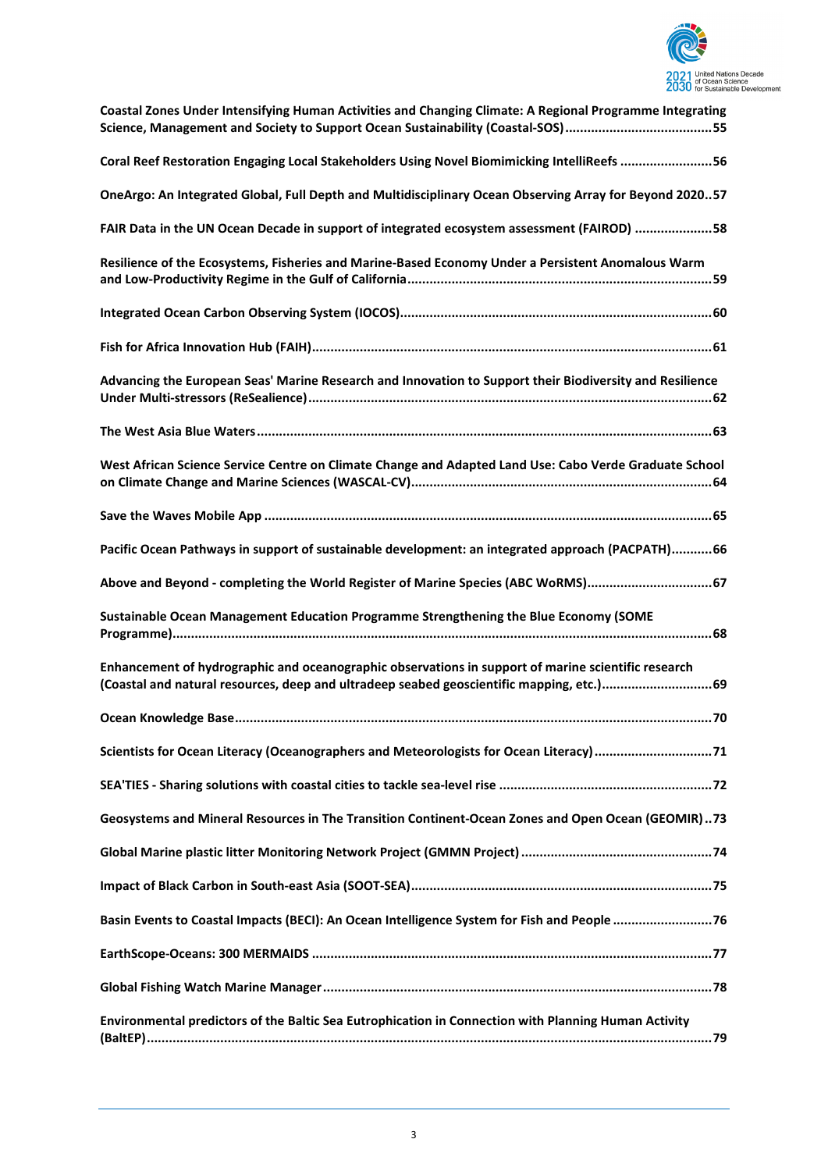

| Coastal Zones Under Intensifying Human Activities and Changing Climate: A Regional Programme Integrating<br>Science, Management and Society to Support Ocean Sustainability (Coastal-SOS)55      |
|--------------------------------------------------------------------------------------------------------------------------------------------------------------------------------------------------|
| Coral Reef Restoration Engaging Local Stakeholders Using Novel Biomimicking IntelliReefs 56                                                                                                      |
| OneArgo: An Integrated Global, Full Depth and Multidisciplinary Ocean Observing Array for Beyond 202057                                                                                          |
| FAIR Data in the UN Ocean Decade in support of integrated ecosystem assessment (FAIROD) 58                                                                                                       |
| Resilience of the Ecosystems, Fisheries and Marine-Based Economy Under a Persistent Anomalous Warm                                                                                               |
|                                                                                                                                                                                                  |
|                                                                                                                                                                                                  |
| Advancing the European Seas' Marine Research and Innovation to Support their Biodiversity and Resilience                                                                                         |
|                                                                                                                                                                                                  |
| West African Science Service Centre on Climate Change and Adapted Land Use: Cabo Verde Graduate School                                                                                           |
|                                                                                                                                                                                                  |
| Pacific Ocean Pathways in support of sustainable development: an integrated approach (PACPATH)66                                                                                                 |
| Above and Beyond - completing the World Register of Marine Species (ABC WoRMS)67                                                                                                                 |
| Sustainable Ocean Management Education Programme Strengthening the Blue Economy (SOME                                                                                                            |
| Enhancement of hydrographic and oceanographic observations in support of marine scientific research<br>(Coastal and natural resources, deep and ultradeep seabed geoscientific mapping, etc.) 69 |
|                                                                                                                                                                                                  |
| Scientists for Ocean Literacy (Oceanographers and Meteorologists for Ocean Literacy) 71                                                                                                          |
|                                                                                                                                                                                                  |
| Geosystems and Mineral Resources in The Transition Continent-Ocean Zones and Open Ocean (GEOMIR)73                                                                                               |
|                                                                                                                                                                                                  |
|                                                                                                                                                                                                  |
| Basin Events to Coastal Impacts (BECI): An Ocean Intelligence System for Fish and People  76                                                                                                     |
|                                                                                                                                                                                                  |
|                                                                                                                                                                                                  |
| Environmental predictors of the Baltic Sea Eutrophication in Connection with Planning Human Activity                                                                                             |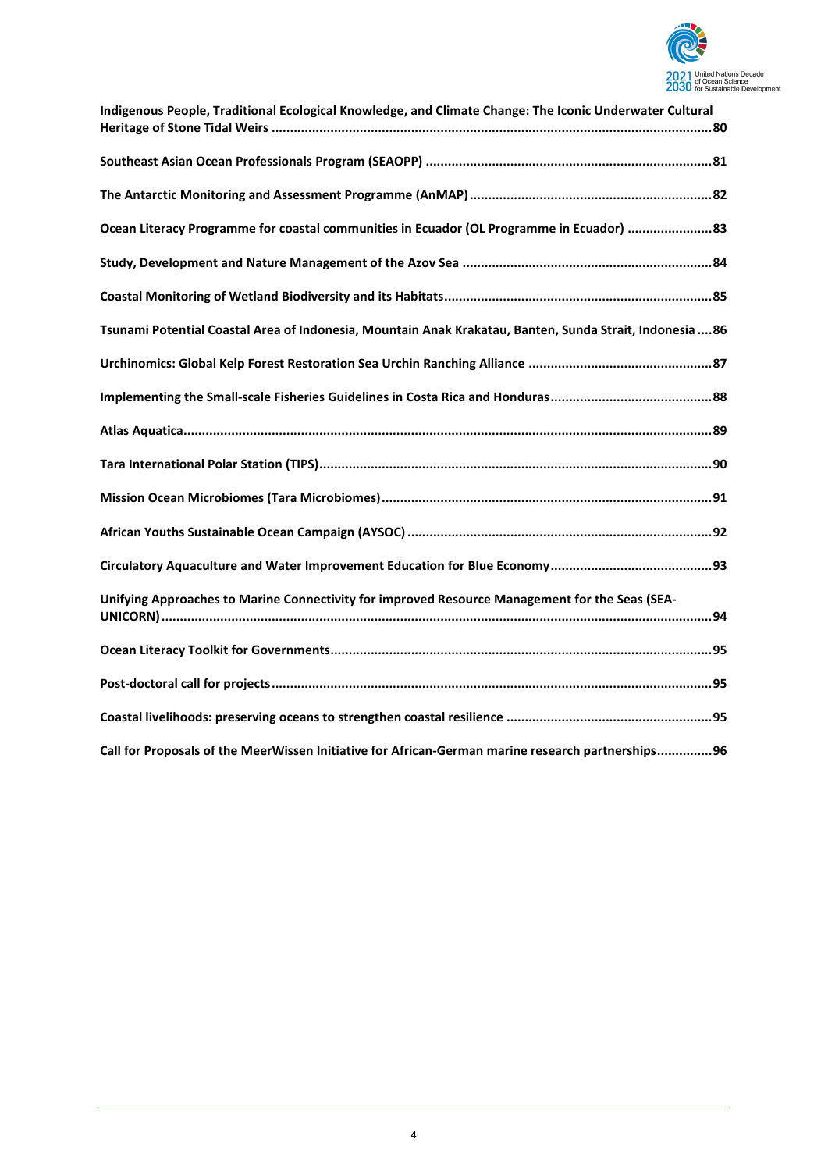

| Indigenous People, Traditional Ecological Knowledge, and Climate Change: The Iconic Underwater Cultural  |
|----------------------------------------------------------------------------------------------------------|
|                                                                                                          |
|                                                                                                          |
| Ocean Literacy Programme for coastal communities in Ecuador (OL Programme in Ecuador) 33                 |
|                                                                                                          |
|                                                                                                          |
| Tsunami Potential Coastal Area of Indonesia, Mountain Anak Krakatau, Banten, Sunda Strait, Indonesia  86 |
|                                                                                                          |
|                                                                                                          |
|                                                                                                          |
|                                                                                                          |
|                                                                                                          |
|                                                                                                          |
|                                                                                                          |
| Unifying Approaches to Marine Connectivity for improved Resource Management for the Seas (SEA-           |
|                                                                                                          |
|                                                                                                          |
|                                                                                                          |
| Call for Proposals of the MeerWissen Initiative for African-German marine research partnerships96        |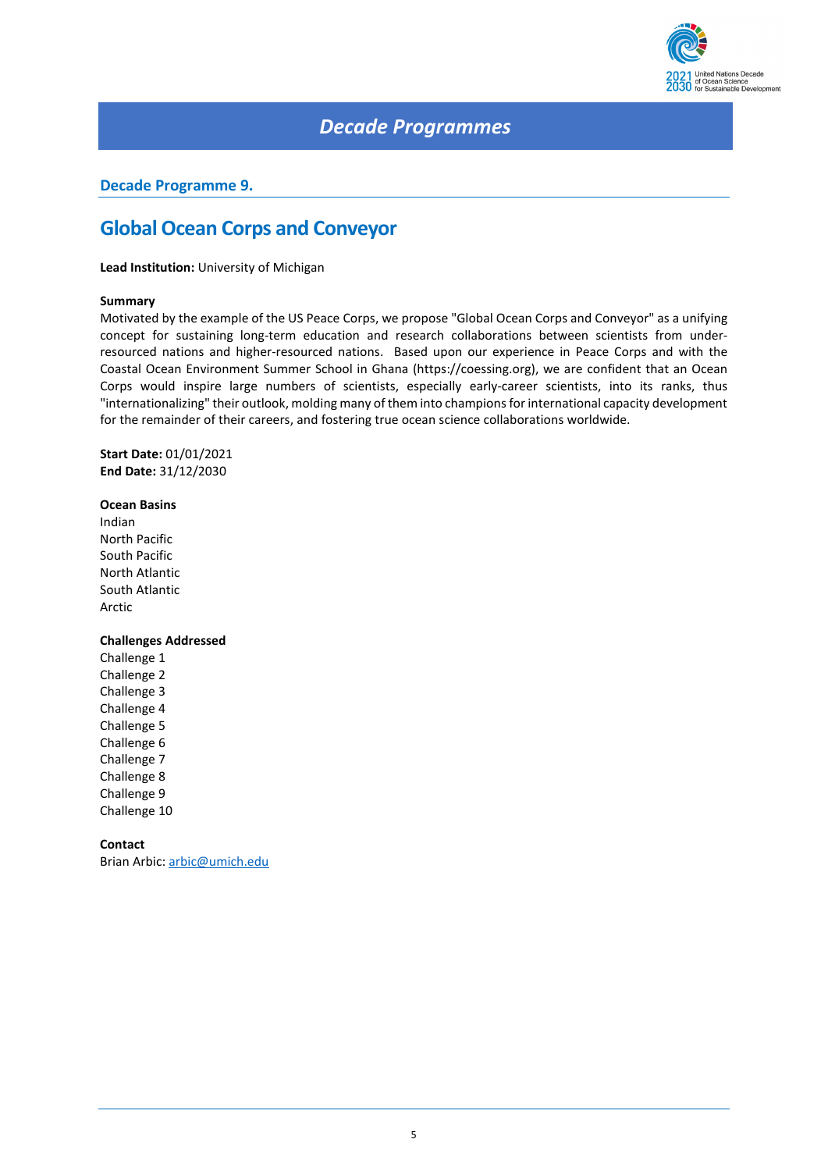

### *Decade Programmes*

### <span id="page-4-0"></span>**Decade Programme 9.**

### **Global Ocean Corps and Conveyor**

**Lead Institution:** University of Michigan

#### **Summary**

Motivated by the example of the US Peace Corps, we propose "Global Ocean Corps and Conveyor" as a unifying concept for sustaining long-term education and research collaborations between scientists from underresourced nations and higher-resourced nations. Based upon our experience in Peace Corps and with the Coastal Ocean Environment Summer School in Ghana (https://coessing.org), we are confident that an Ocean Corps would inspire large numbers of scientists, especially early-career scientists, into its ranks, thus "internationalizing" their outlook, molding many of them into champions for international capacity development for the remainder of their careers, and fostering true ocean science collaborations worldwide.

**Start Date:** 01/01/2021 **End Date:** 31/12/2030

#### **Ocean Basins**

Indian North Pacific South Pacific North Atlantic South Atlantic Arctic

#### **Challenges Addressed**

Challenge 1 Challenge 2 Challenge 3 Challenge 4 Challenge 5 Challenge 6 Challenge 7 Challenge 8 Challenge 9 Challenge 10

### **Contact**

Brian Arbic[: arbic@umich.edu](mailto:arbic@umich.edu)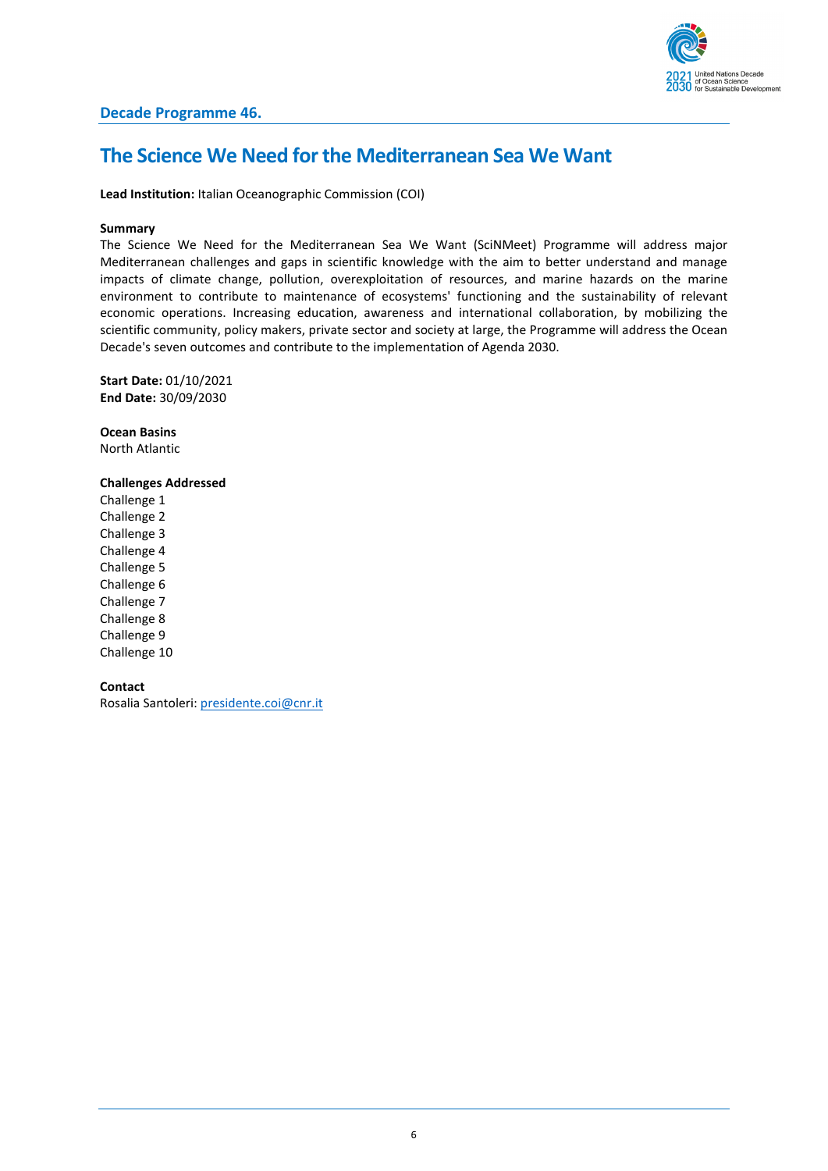

### <span id="page-5-0"></span>**The Science We Need for the Mediterranean Sea We Want**

**Lead Institution:** Italian Oceanographic Commission (COI)

#### **Summary**

The Science We Need for the Mediterranean Sea We Want (SciNMeet) Programme will address major Mediterranean challenges and gaps in scientific knowledge with the aim to better understand and manage impacts of climate change, pollution, overexploitation of resources, and marine hazards on the marine environment to contribute to maintenance of ecosystems' functioning and the sustainability of relevant economic operations. Increasing education, awareness and international collaboration, by mobilizing the scientific community, policy makers, private sector and society at large, the Programme will address the Ocean Decade's seven outcomes and contribute to the implementation of Agenda 2030.

**Start Date:** 01/10/2021 **End Date:** 30/09/2030

**Ocean Basins** North Atlantic

**Challenges Addressed**

Challenge 1 Challenge 2 Challenge 3 Challenge 4 Challenge 5 Challenge 6 Challenge 7 Challenge 8 Challenge 9 Challenge 10

**Contact**

Rosalia Santoleri: [presidente.coi@cnr.it](mailto:presidente.coi@cnr.it)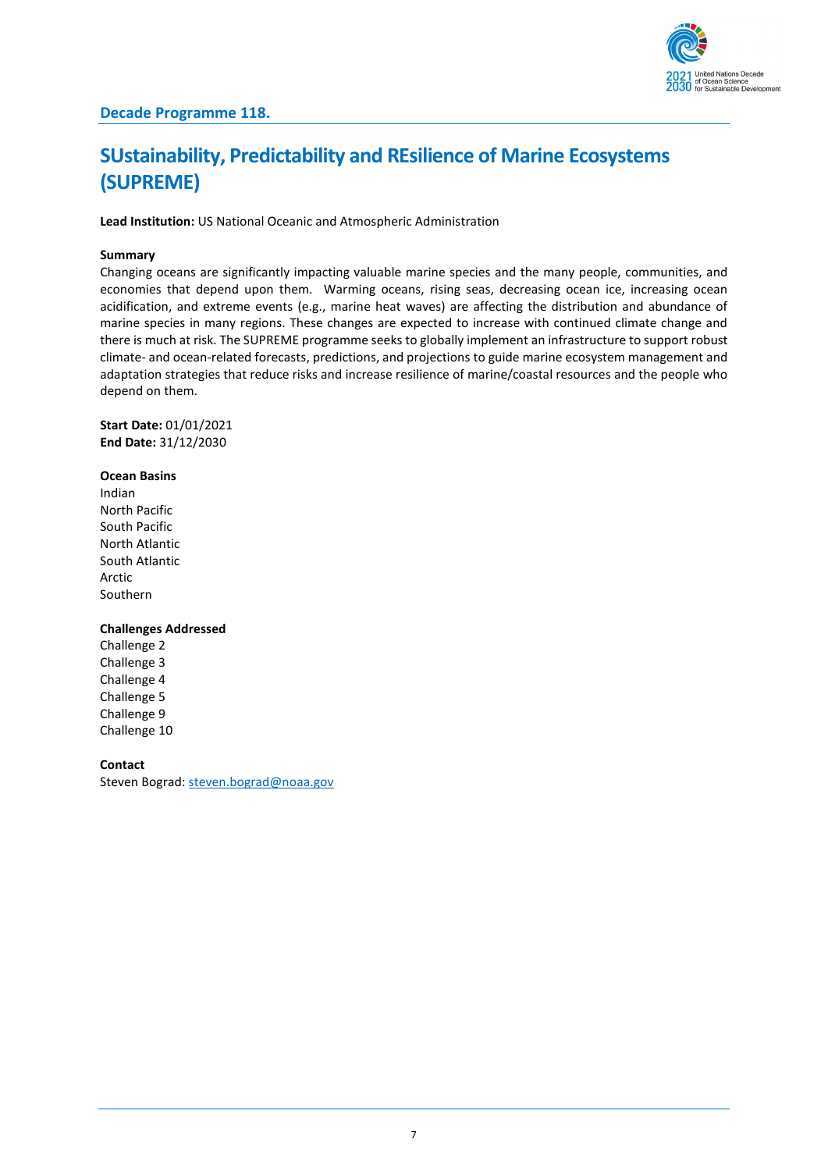

# <span id="page-6-0"></span>**SUstainability, Predictability and REsilience of Marine Ecosystems (SUPREME)**

**Lead Institution:** US National Oceanic and Atmospheric Administration

#### **Summary**

Changing oceans are significantly impacting valuable marine species and the many people, communities, and economies that depend upon them. Warming oceans, rising seas, decreasing ocean ice, increasing ocean acidification, and extreme events (e.g., marine heat waves) are affecting the distribution and abundance of marine species in many regions. These changes are expected to increase with continued climate change and there is much at risk. The SUPREME programme seeks to globally implement an infrastructure to support robust climate- and ocean-related forecasts, predictions, and projections to guide marine ecosystem management and adaptation strategies that reduce risks and increase resilience of marine/coastal resources and the people who depend on them.

**Start Date:** 01/01/2021 **End Date:** 31/12/2030

#### **Ocean Basins**

Indian North Pacific South Pacific North Atlantic South Atlantic Arctic Southern

#### **Challenges Addressed**

Challenge 2 Challenge 3 Challenge 4 Challenge 5 Challenge 9 Challenge 10

#### **Contact**

Steven Bograd: [steven.bograd@noaa.gov](mailto:steven.bograd@noaa.gov)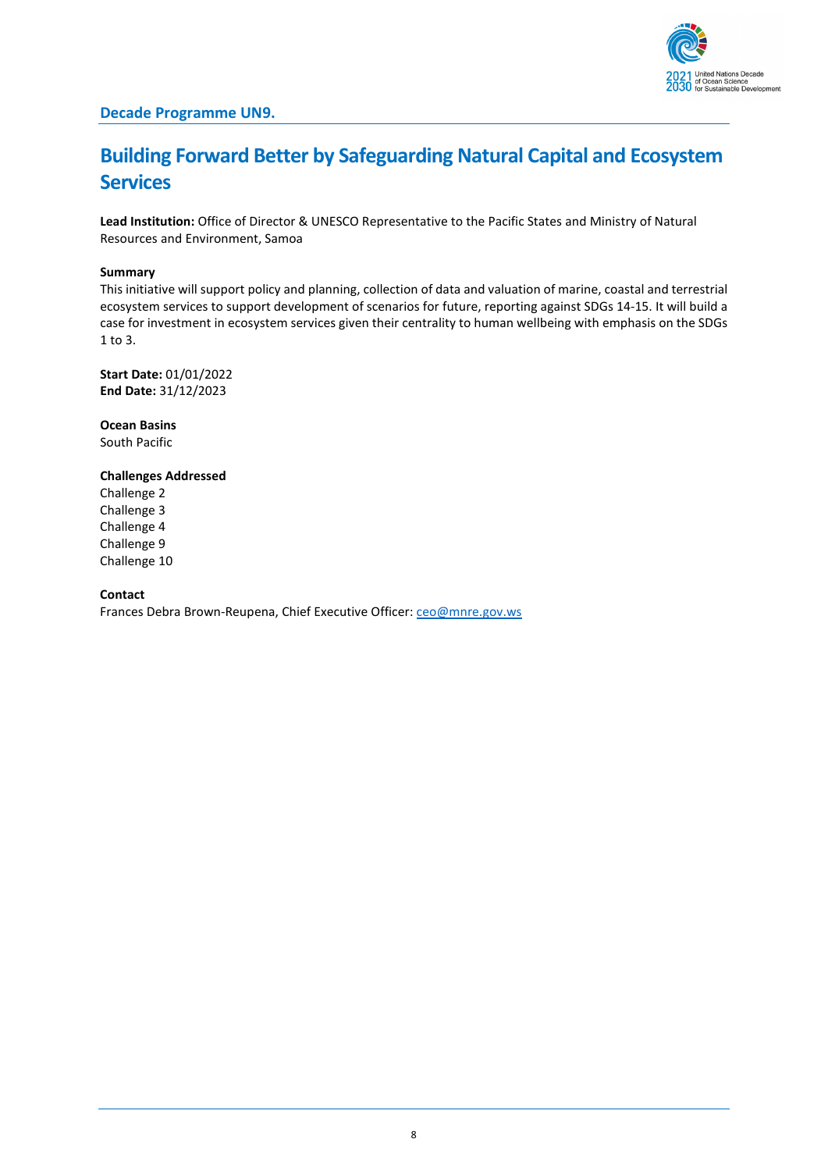

## <span id="page-7-0"></span>**Building Forward Better by Safeguarding Natural Capital and Ecosystem Services**

**Lead Institution:** Office of Director & UNESCO Representative to the Pacific States and Ministry of Natural Resources and Environment, Samoa

#### **Summary**

This initiative will support policy and planning, collection of data and valuation of marine, coastal and terrestrial ecosystem services to support development of scenarios for future, reporting against SDGs 14-15. It will build a case for investment in ecosystem services given their centrality to human wellbeing with emphasis on the SDGs 1 to 3.

**Start Date:** 01/01/2022 **End Date:** 31/12/2023

**Ocean Basins** South Pacific

#### **Challenges Addressed**

Challenge 2 Challenge 3 Challenge 4 Challenge 9 Challenge 10

#### **Contact**

Frances Debra Brown-Reupena, Chief Executive Officer[: ceo@mnre.gov.ws](mailto:ceo@mnre.gov.ws)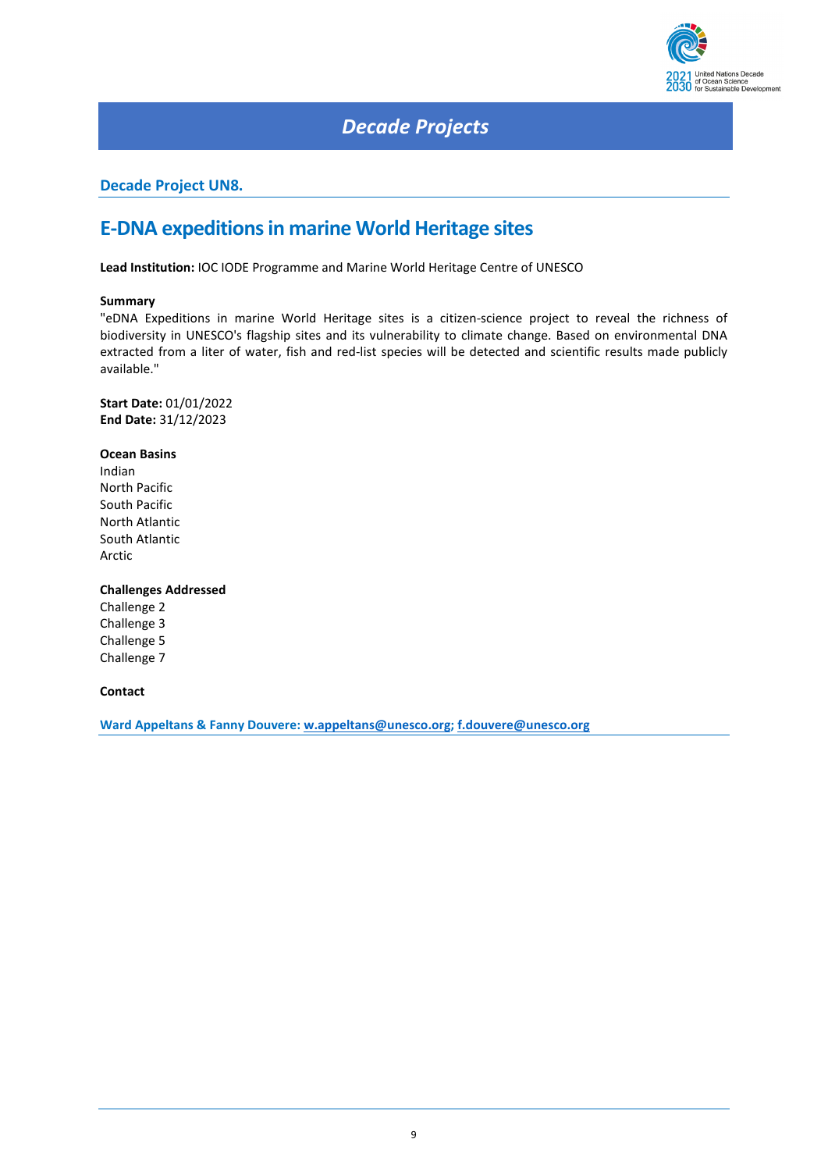

### *Decade Projects*

### <span id="page-8-0"></span>**Decade Project UN8.**

### **E-DNA expeditions in marine World Heritage sites**

**Lead Institution:** IOC IODE Programme and Marine World Heritage Centre of UNESCO

#### **Summary**

"eDNA Expeditions in marine World Heritage sites is a citizen-science project to reveal the richness of biodiversity in UNESCO's flagship sites and its vulnerability to climate change. Based on environmental DNA extracted from a liter of water, fish and red-list species will be detected and scientific results made publicly available."

**Start Date:** 01/01/2022 **End Date:** 31/12/2023

#### **Ocean Basins**

Indian North Pacific South Pacific North Atlantic South Atlantic Arctic

#### **Challenges Addressed**

Challenge 2 Challenge 3 Challenge 5 Challenge 7

**Contact**

**Ward Appeltans & Fanny Douvere[: w.appeltans@unesco.org;](mailto:w.appeltans@unesco.org) [f.douvere@unesco.org](mailto:f.douvere@unesco.org)**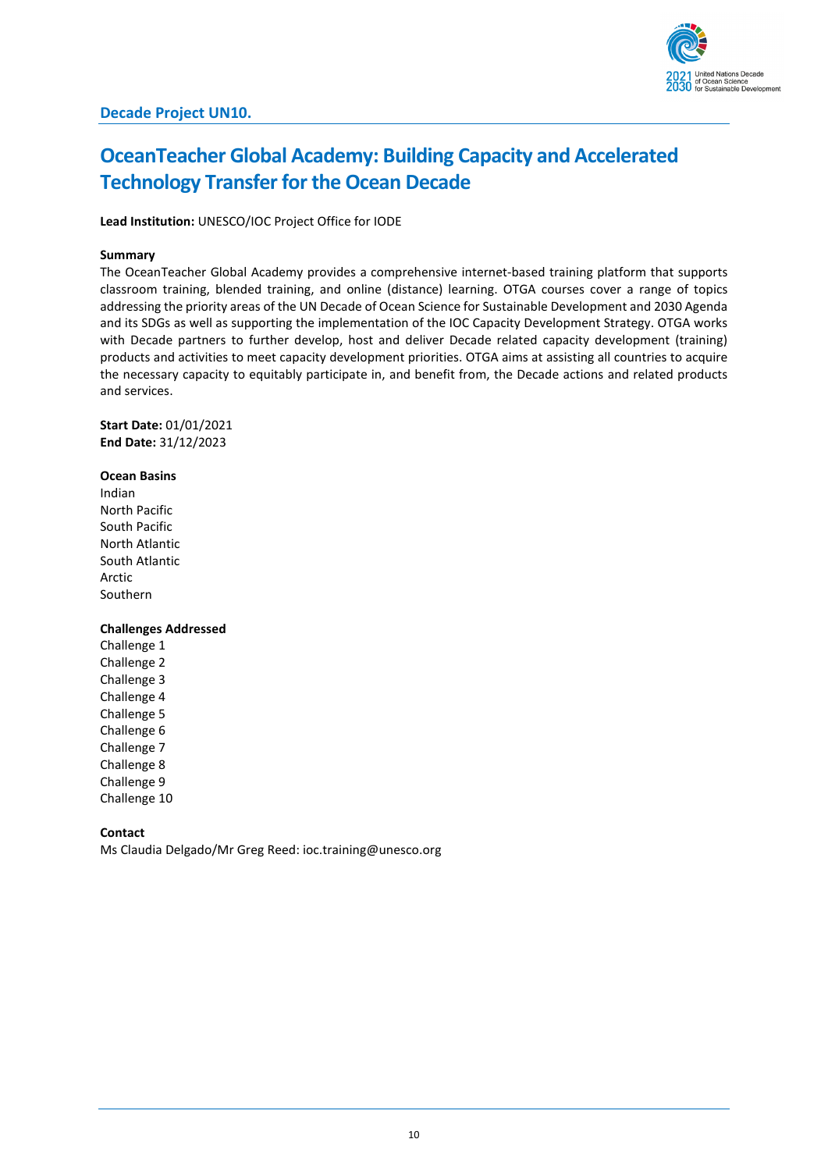## <span id="page-9-0"></span>**OceanTeacher Global Academy: Building Capacity and Accelerated Technology Transfer for the Ocean Decade**

**Lead Institution:** UNESCO/IOC Project Office for IODE

#### **Summary**

The OceanTeacher Global Academy provides a comprehensive internet-based training platform that supports classroom training, blended training, and online (distance) learning. OTGA courses cover a range of topics addressing the priority areas of the UN Decade of Ocean Science for Sustainable Development and 2030 Agenda and its SDGs as well as supporting the implementation of the IOC Capacity Development Strategy. OTGA works with Decade partners to further develop, host and deliver Decade related capacity development (training) products and activities to meet capacity development priorities. OTGA aims at assisting all countries to acquire the necessary capacity to equitably participate in, and benefit from, the Decade actions and related products and services.

**Start Date:** 01/01/2021 **End Date:** 31/12/2023

#### **Ocean Basins**

Indian North Pacific South Pacific North Atlantic South Atlantic Arctic Southern

#### **Challenges Addressed**

Challenge 1 Challenge 2 Challenge 3 Challenge 4 Challenge 5 Challenge 6 Challenge 7 Challenge 8 Challenge 9 Challenge 10

#### **Contact**

Ms Claudia Delgado/Mr Greg Reed: ioc.training@unesco.org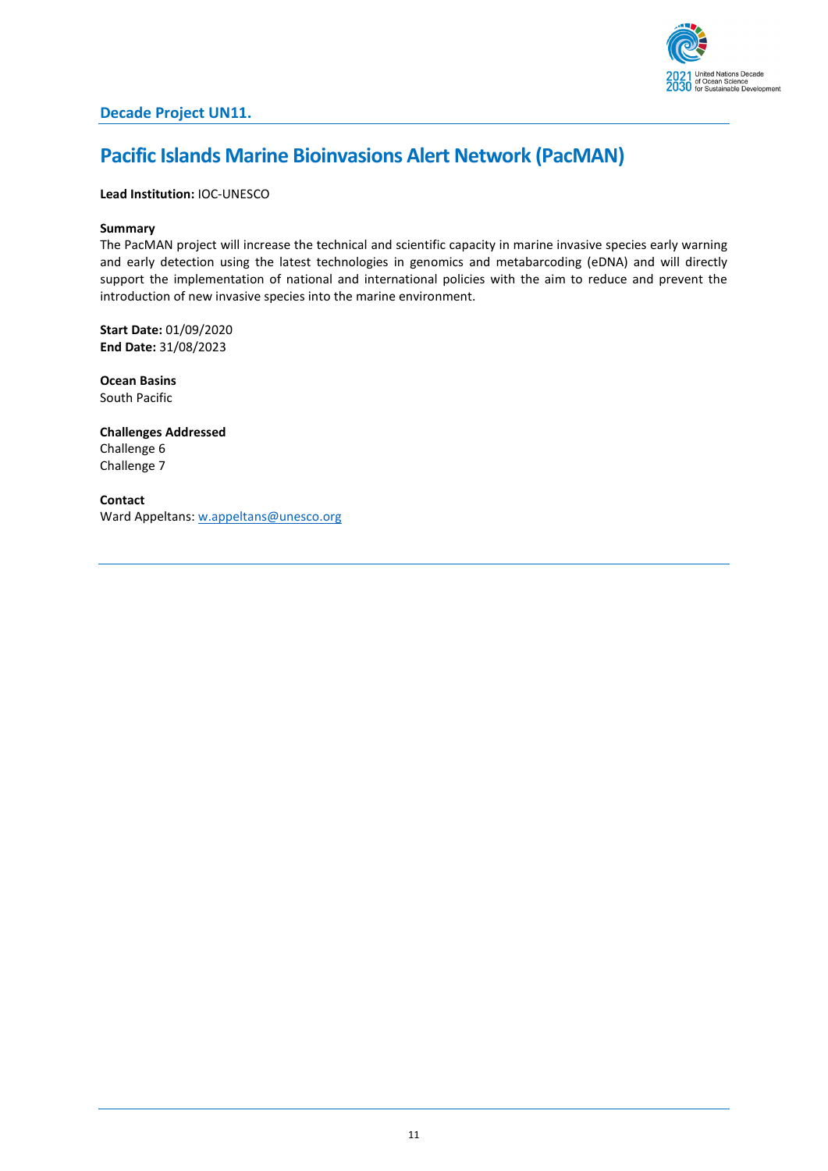

## <span id="page-10-0"></span>**Pacific Islands Marine Bioinvasions Alert Network (PacMAN)**

#### **Lead Institution:** IOC-UNESCO

#### **Summary**

The PacMAN project will increase the technical and scientific capacity in marine invasive species early warning and early detection using the latest technologies in genomics and metabarcoding (eDNA) and will directly support the implementation of national and international policies with the aim to reduce and prevent the introduction of new invasive species into the marine environment.

**Start Date:** 01/09/2020 **End Date:** 31/08/2023

**Ocean Basins** South Pacific

**Challenges Addressed** Challenge 6 Challenge 7

**Contact** Ward Appeltans[: w.appeltans@unesco.org](mailto:w.appeltans@unesco.org)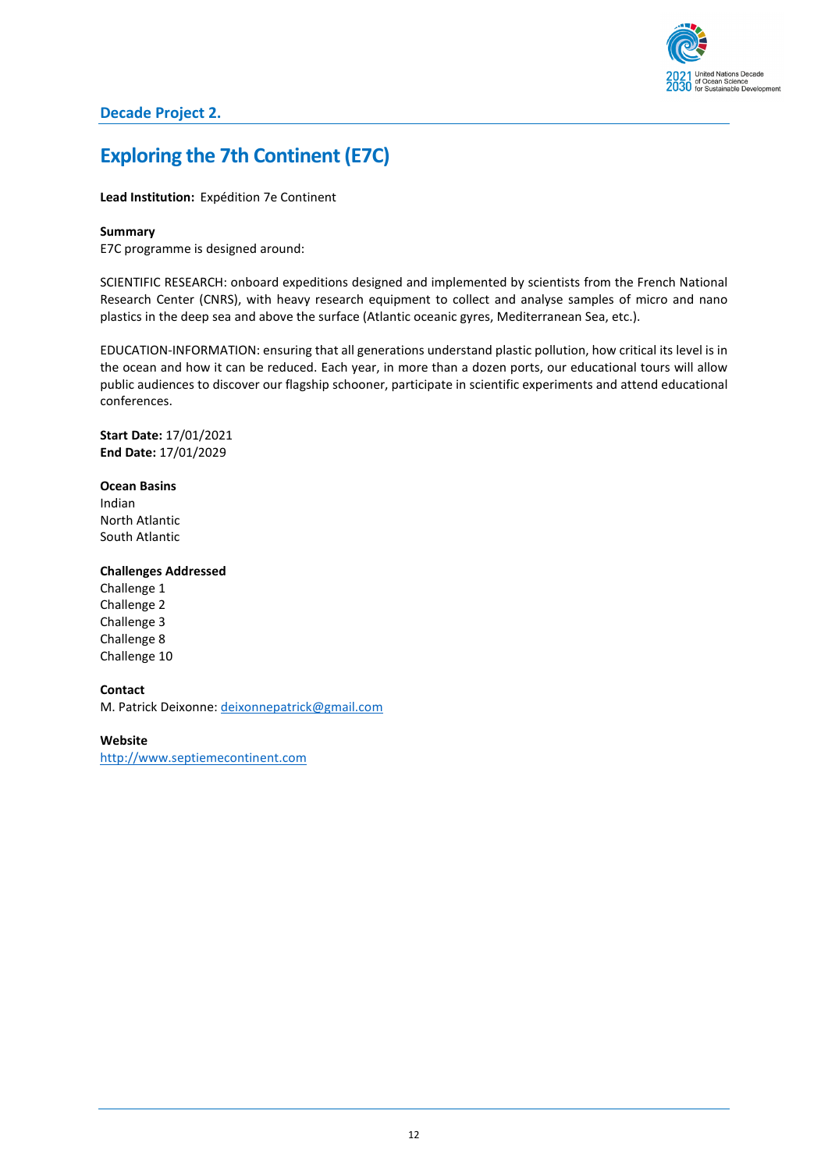

### **Decade Project 2.**

### <span id="page-11-0"></span>**Exploring the 7th Continent (E7C)**

#### **Lead Institution:** Expédition 7e Continent

#### **Summary**

E7C programme is designed around:

SCIENTIFIC RESEARCH: onboard expeditions designed and implemented by scientists from the French National Research Center (CNRS), with heavy research equipment to collect and analyse samples of micro and nano plastics in the deep sea and above the surface (Atlantic oceanic gyres, Mediterranean Sea, etc.).

EDUCATION-INFORMATION: ensuring that all generations understand plastic pollution, how critical its level is in the ocean and how it can be reduced. Each year, in more than a dozen ports, our educational tours will allow public audiences to discover our flagship schooner, participate in scientific experiments and attend educational conferences.

**Start Date:** 17/01/2021 **End Date:** 17/01/2029

#### **Ocean Basins**

Indian North Atlantic South Atlantic

### **Challenges Addressed**

Challenge 1 Challenge 2 Challenge 3 Challenge 8 Challenge 10

#### **Contact**

M. Patrick Deixonne: [deixonnepatrick@gmail.com](mailto:deixonnepatrick@gmail.com)

**Website** [http://www.septiemecontinent.com](http://www.septiemecontinent.com/)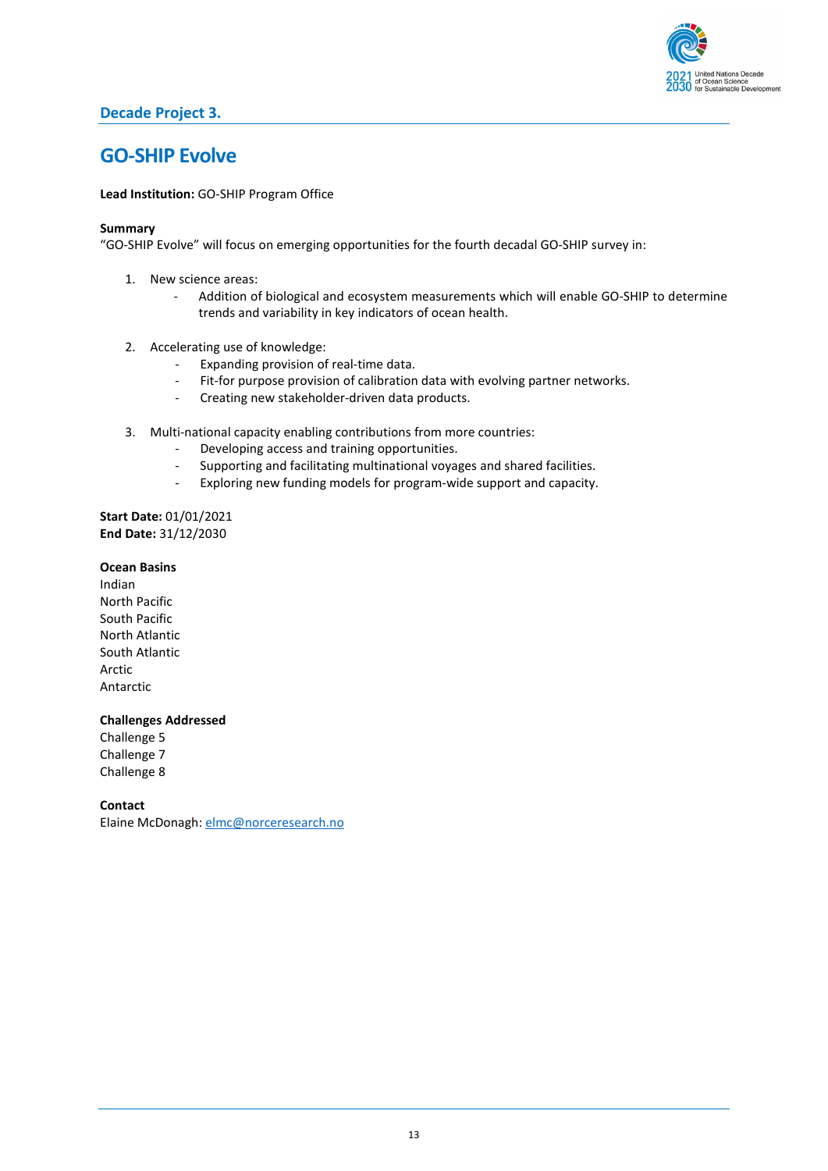

### **Decade Project 3.**

### <span id="page-12-0"></span>**GO-SHIP Evolve**

**Lead Institution:** GO-SHIP Program Office

#### **Summary**

"GO-SHIP Evolve" will focus on emerging opportunities for the fourth decadal GO-SHIP survey in:

- 1. New science areas:
	- Addition of biological and ecosystem measurements which will enable GO-SHIP to determine trends and variability in key indicators of ocean health.
- 2. Accelerating use of knowledge:
	- Expanding provision of real-time data.
	- Fit-for purpose provision of calibration data with evolving partner networks.
	- Creating new stakeholder-driven data products.
- 3. Multi-national capacity enabling contributions from more countries:
	- Developing access and training opportunities.
	- Supporting and facilitating multinational voyages and shared facilities.
	- Exploring new funding models for program-wide support and capacity.

**Start Date:** 01/01/2021 **End Date:** 31/12/2030

#### **Ocean Basins**

Indian North Pacific South Pacific North Atlantic South Atlantic Arctic Antarctic

#### **Challenges Addressed**

Challenge 5 Challenge 7 Challenge 8

**Contact**

Elaine McDonagh: [elmc@norceresearch.no](mailto:elmc@norceresearch.no)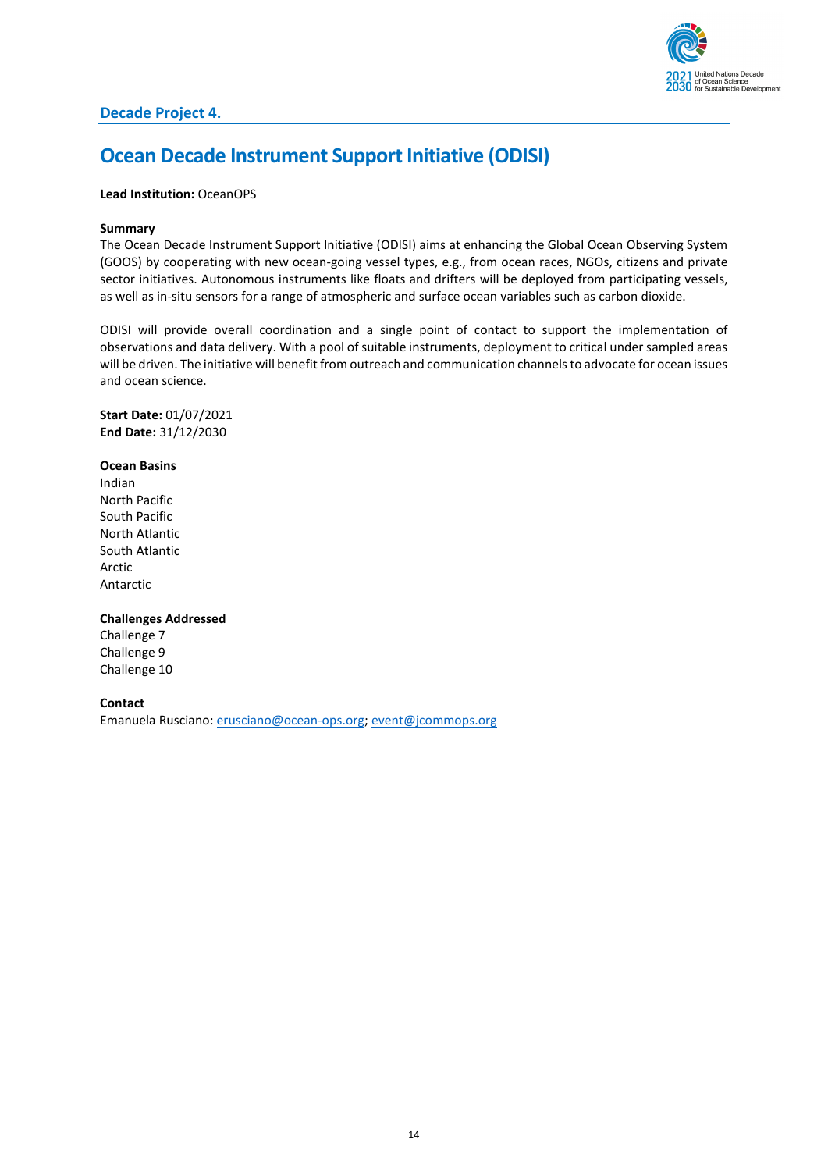

### <span id="page-13-0"></span>**Ocean Decade Instrument Support Initiative (ODISI)**

#### **Lead Institution:** OceanOPS

#### **Summary**

The Ocean Decade Instrument Support Initiative (ODISI) aims at enhancing the Global Ocean Observing System (GOOS) by cooperating with new ocean-going vessel types, e.g., from ocean races, NGOs, citizens and private sector initiatives. Autonomous instruments like floats and drifters will be deployed from participating vessels, as well as in-situ sensors for a range of atmospheric and surface ocean variables such as carbon dioxide.

ODISI will provide overall coordination and a single point of contact to support the implementation of observations and data delivery. With a pool of suitable instruments, deployment to critical under sampled areas will be driven. The initiative will benefit from outreach and communication channels to advocate for ocean issues and ocean science.

**Start Date:** 01/07/2021 **End Date:** 31/12/2030

#### **Ocean Basins**

Indian North Pacific South Pacific North Atlantic South Atlantic Arctic Antarctic

#### **Challenges Addressed**

Challenge 7 Challenge 9 Challenge 10

**Contact**

Emanuela Rusciano: [erusciano@ocean-ops.org;](mailto:erusciano@ocean-ops.org) [event@jcommops.org](mailto:event@jcommops.org)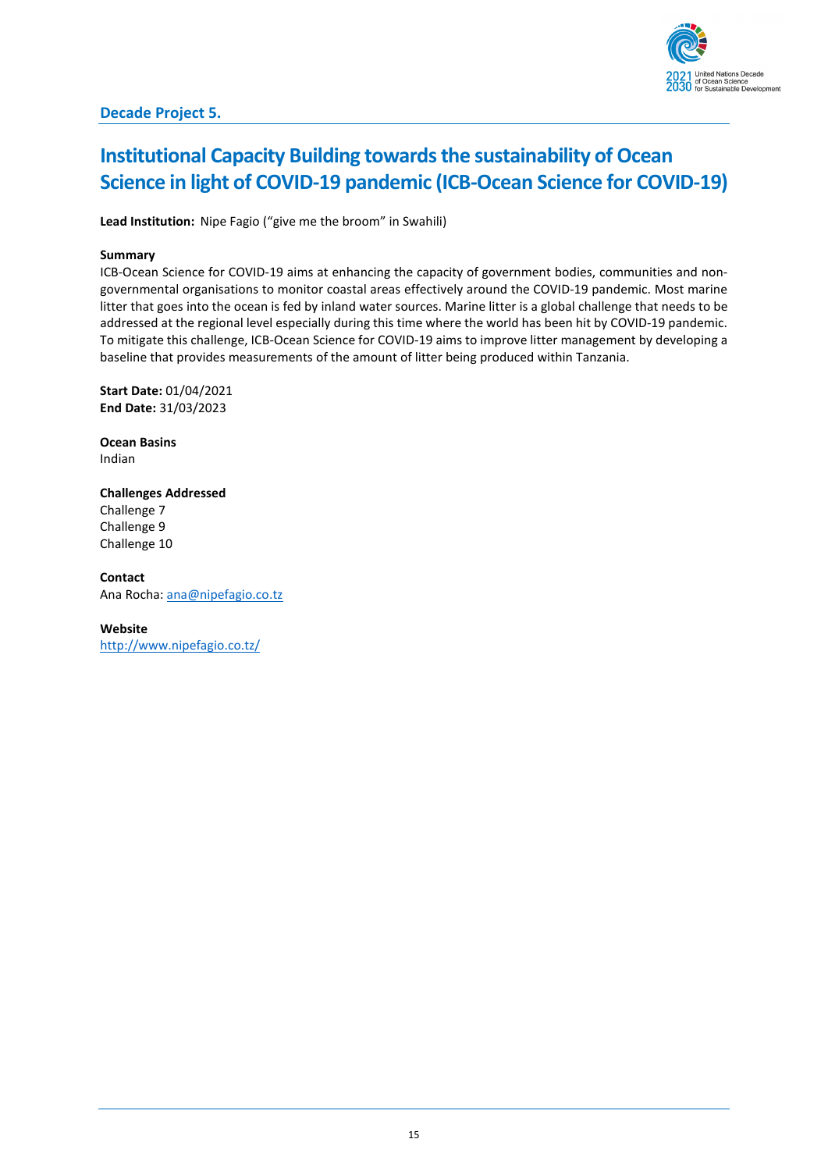## <span id="page-14-0"></span>**Institutional Capacity Building towards the sustainability of Ocean Science in light of COVID-19 pandemic (ICB-Ocean Science for COVID-19)**

**Lead Institution:** Nipe Fagio ("give me the broom" in Swahili)

#### **Summary**

ICB-Ocean Science for COVID-19 aims at enhancing the capacity of government bodies, communities and nongovernmental organisations to monitor coastal areas effectively around the COVID-19 pandemic. Most marine litter that goes into the ocean is fed by inland water sources. Marine litter is a global challenge that needs to be addressed at the regional level especially during this time where the world has been hit by COVID-19 pandemic. To mitigate this challenge, ICB-Ocean Science for COVID-19 aims to improve litter management by developing a baseline that provides measurements of the amount of litter being produced within Tanzania.

**Start Date:** 01/04/2021 **End Date:** 31/03/2023

**Ocean Basins** Indian

**Challenges Addressed** Challenge 7 Challenge 9 Challenge 10

**Contact** Ana Rocha: [ana@nipefagio.co.tz](mailto:ana@nipefagio.co.tz)

**Website** <http://www.nipefagio.co.tz/>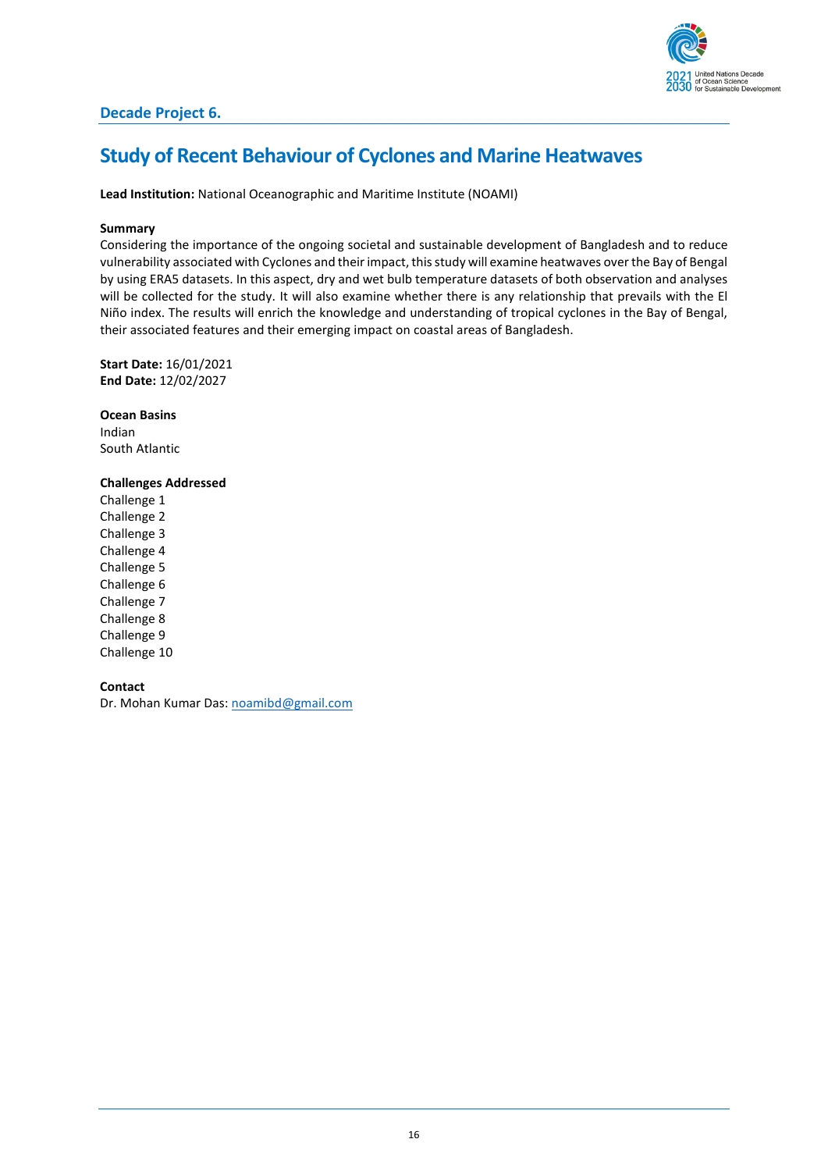

### **Decade Project 6.**

### <span id="page-15-0"></span>**Study of Recent Behaviour of Cyclones and Marine Heatwaves**

#### **Lead Institution:** National Oceanographic and Maritime Institute (NOAMI)

#### **Summary**

Considering the importance of the ongoing societal and sustainable development of Bangladesh and to reduce vulnerability associated with Cyclones and their impact, thisstudy will examine heatwaves over the Bay of Bengal by using ERA5 datasets. In this aspect, dry and wet bulb temperature datasets of both observation and analyses will be collected for the study. It will also examine whether there is any relationship that prevails with the El Niño index. The results will enrich the knowledge and understanding of tropical cyclones in the Bay of Bengal, their associated features and their emerging impact on coastal areas of Bangladesh.

**Start Date:** 16/01/2021 **End Date:** 12/02/2027

**Ocean Basins** Indian South Atlantic

#### **Challenges Addressed**

Challenge 1 Challenge 2 Challenge 3 Challenge 4 Challenge 5 Challenge 6 Challenge 7 Challenge 8 Challenge 9 Challenge 10

#### **Contact**

Dr. Mohan Kumar Das: [noamibd@gmail.com](mailto:noamibd@gmail.com)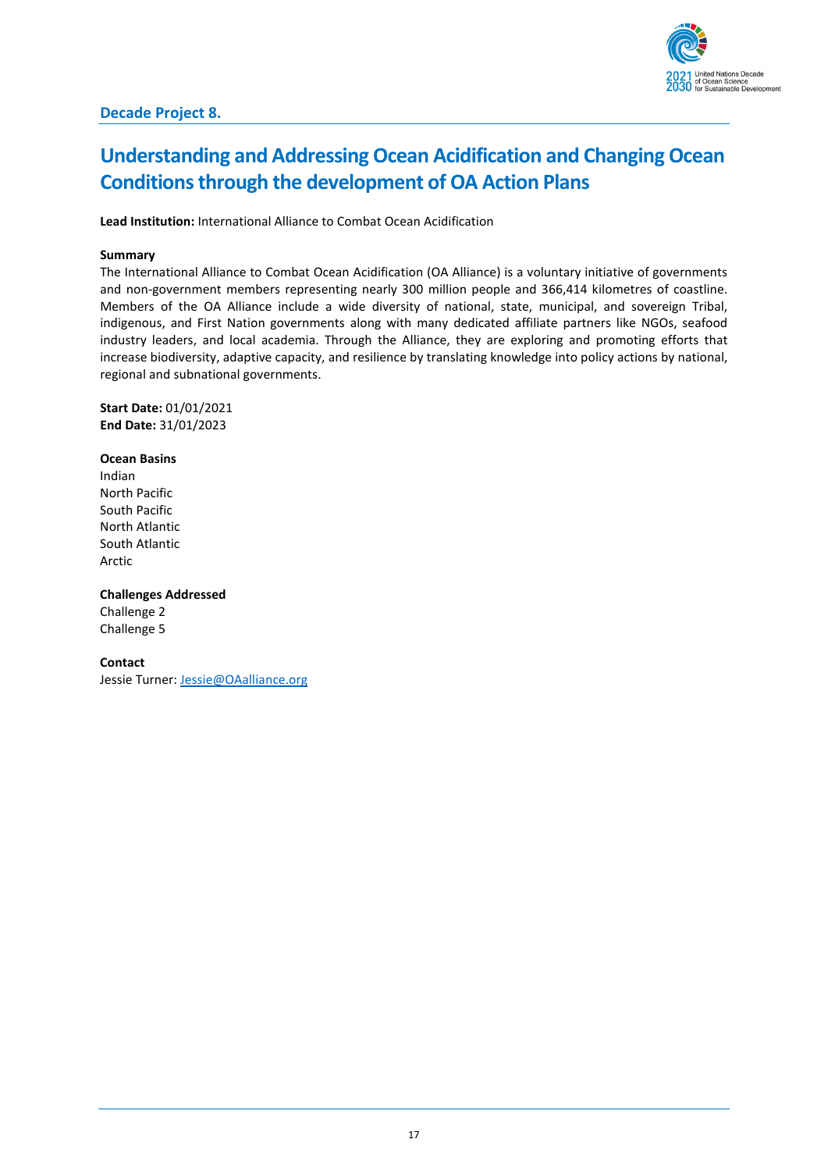## <span id="page-16-0"></span>**Understanding and Addressing Ocean Acidification and Changing Ocean Conditions through the development of OA Action Plans**

**Lead Institution:** International Alliance to Combat Ocean Acidification

#### **Summary**

The International Alliance to Combat Ocean Acidification (OA Alliance) is a voluntary initiative of governments and non-government members representing nearly 300 million people and 366,414 kilometres of coastline. Members of the OA Alliance include a wide diversity of national, state, municipal, and sovereign Tribal, indigenous, and First Nation governments along with many dedicated affiliate partners like NGOs, seafood industry leaders, and local academia. Through the Alliance, they are exploring and promoting efforts that increase biodiversity, adaptive capacity, and resilience by translating knowledge into policy actions by national, regional and subnational governments.

**Start Date:** 01/01/2021 **End Date:** 31/01/2023

**Ocean Basins** Indian North Pacific South Pacific North Atlantic South Atlantic Arctic

**Challenges Addressed**

Challenge 2 Challenge 5

#### **Contact**

Jessie Turner: [Jessie@OAalliance.org](mailto:Jessie@OAalliance.org)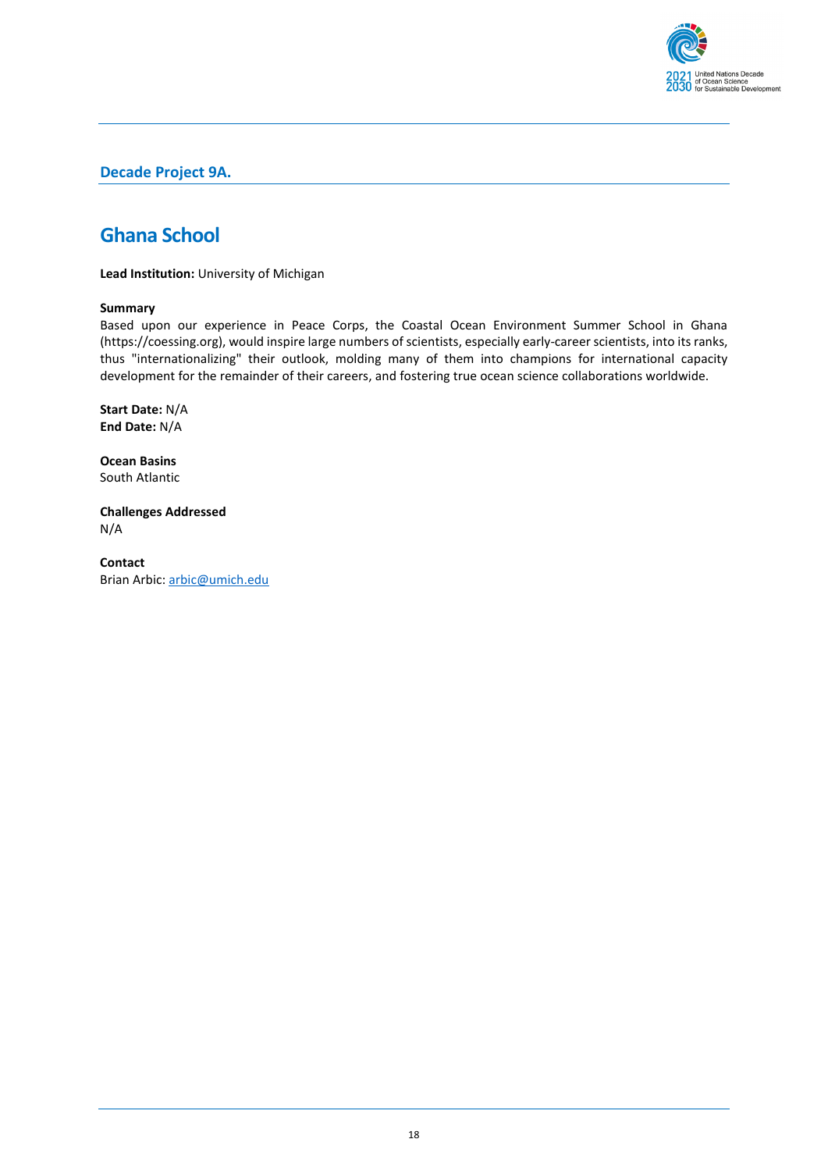

### **Decade Project 9A.**

### <span id="page-17-0"></span>**Ghana School**

**Lead Institution:** University of Michigan

#### **Summary**

Based upon our experience in Peace Corps, the Coastal Ocean Environment Summer School in Ghana (https://coessing.org), would inspire large numbers of scientists, especially early-career scientists, into its ranks, thus "internationalizing" their outlook, molding many of them into champions for international capacity development for the remainder of their careers, and fostering true ocean science collaborations worldwide.

**Start Date:** N/A **End Date:** N/A

**Ocean Basins** South Atlantic

**Challenges Addressed** N/A

**Contact** Brian Arbic[: arbic@umich.edu](mailto:arbic@umich.edu)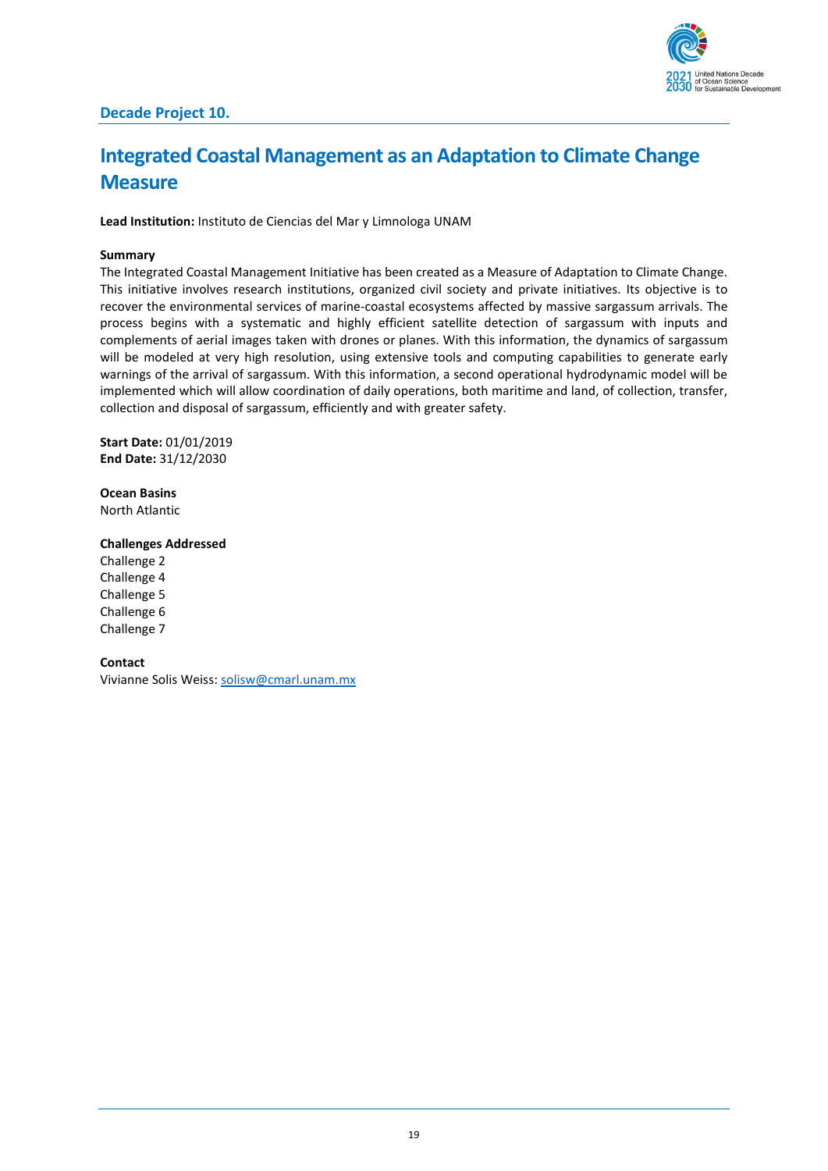

# <span id="page-18-0"></span>**Integrated Coastal Management as an Adaptation to Climate Change Measure**

**Lead Institution:** Instituto de Ciencias del Mar y Limnologa UNAM

#### **Summary**

The Integrated Coastal Management Initiative has been created as a Measure of Adaptation to Climate Change. This initiative involves research institutions, organized civil society and private initiatives. Its objective is to recover the environmental services of marine-coastal ecosystems affected by massive sargassum arrivals. The process begins with a systematic and highly efficient satellite detection of sargassum with inputs and complements of aerial images taken with drones or planes. With this information, the dynamics of sargassum will be modeled at very high resolution, using extensive tools and computing capabilities to generate early warnings of the arrival of sargassum. With this information, a second operational hydrodynamic model will be implemented which will allow coordination of daily operations, both maritime and land, of collection, transfer, collection and disposal of sargassum, efficiently and with greater safety.

**Start Date:** 01/01/2019 **End Date:** 31/12/2030

**Ocean Basins** North Atlantic

#### **Challenges Addressed**

Challenge 2 Challenge 4 Challenge 5 Challenge 6 Challenge 7

**Contact**

Vivianne Solis Weiss: [solisw@cmarl.unam.mx](mailto:solisw@cmarl.unam.mx)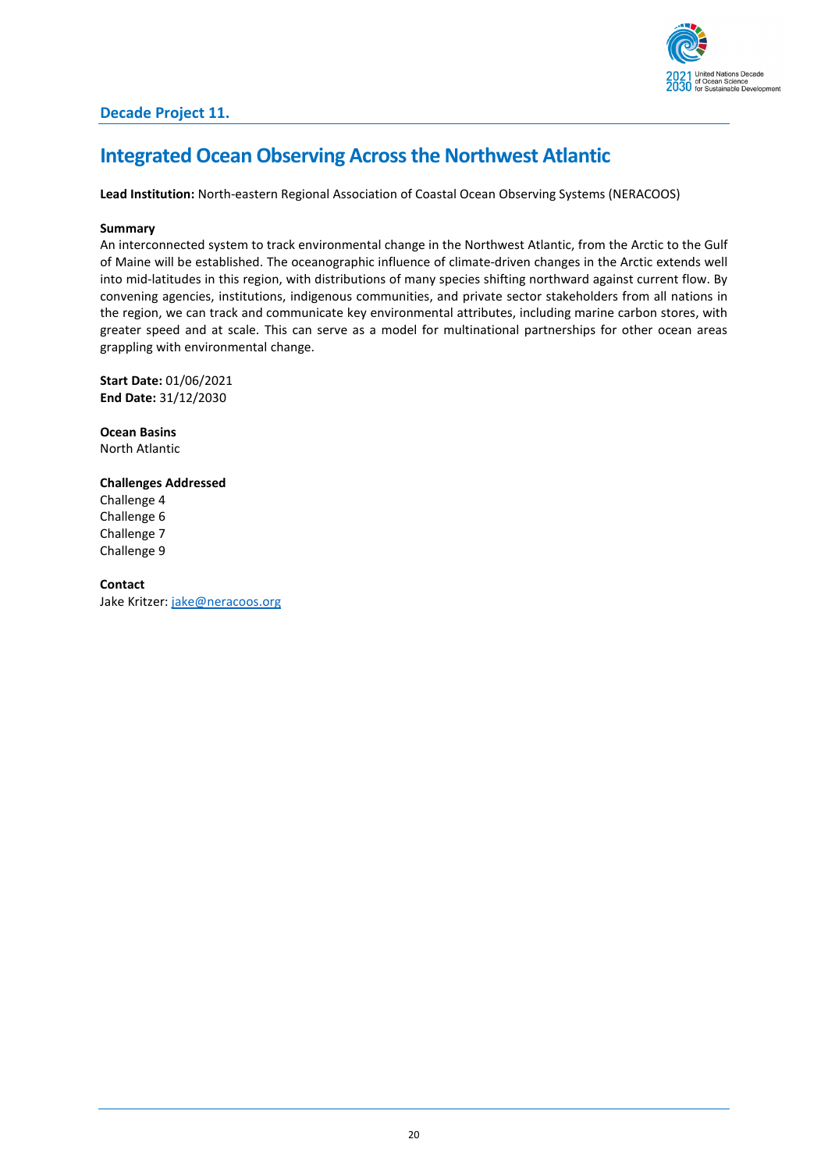

### <span id="page-19-0"></span>**Integrated Ocean Observing Across the Northwest Atlantic**

**Lead Institution:** North-eastern Regional Association of Coastal Ocean Observing Systems (NERACOOS)

#### **Summary**

An interconnected system to track environmental change in the Northwest Atlantic, from the Arctic to the Gulf of Maine will be established. The oceanographic influence of climate-driven changes in the Arctic extends well into mid-latitudes in this region, with distributions of many species shifting northward against current flow. By convening agencies, institutions, indigenous communities, and private sector stakeholders from all nations in the region, we can track and communicate key environmental attributes, including marine carbon stores, with greater speed and at scale. This can serve as a model for multinational partnerships for other ocean areas grappling with environmental change.

**Start Date:** 01/06/2021 **End Date:** 31/12/2030

**Ocean Basins** North Atlantic

**Challenges Addressed** Challenge 4 Challenge 6 Challenge 7 Challenge 9

**Contact** Jake Kritzer: [jake@neracoos.org](mailto:jake@neracoos.org)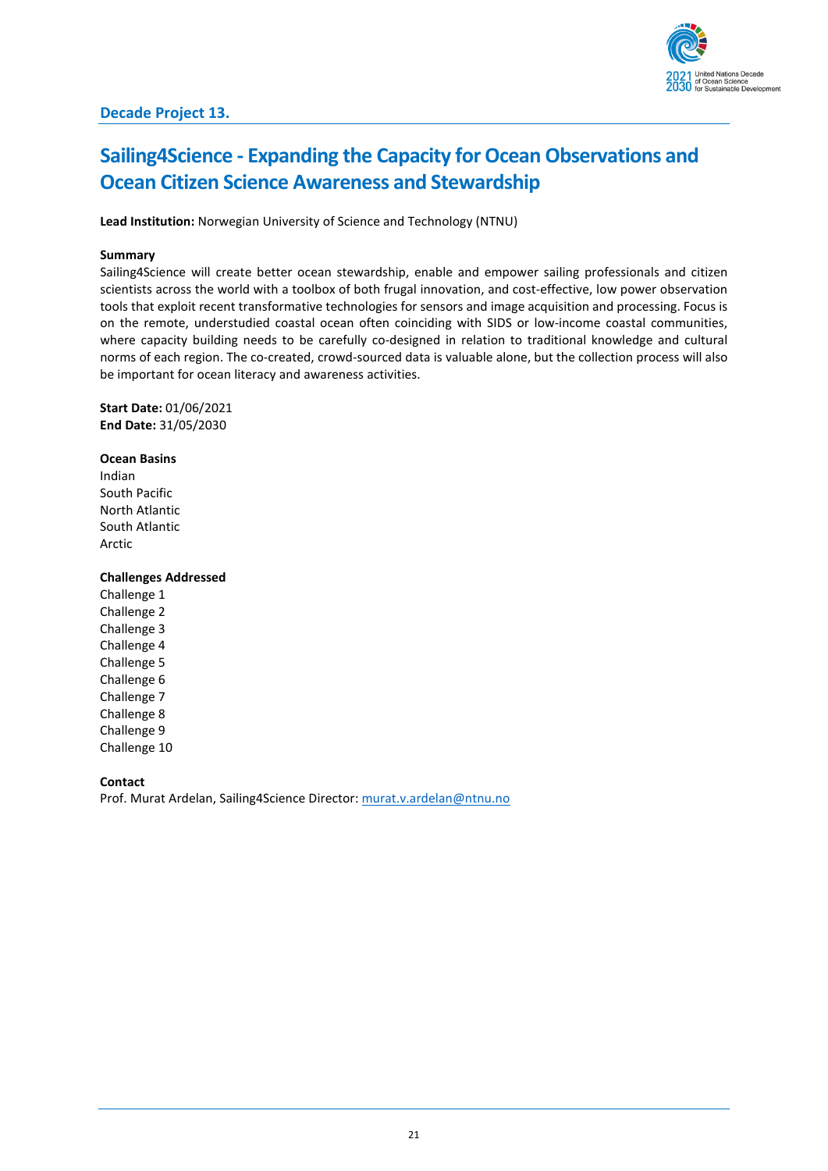## <span id="page-20-0"></span>**Sailing4Science - Expanding the Capacity for Ocean Observations and Ocean Citizen Science Awareness and Stewardship**

**Lead Institution:** Norwegian University of Science and Technology (NTNU)

#### **Summary**

Sailing4Science will create better ocean stewardship, enable and empower sailing professionals and citizen scientists across the world with a toolbox of both frugal innovation, and cost-effective, low power observation tools that exploit recent transformative technologies for sensors and image acquisition and processing. Focus is on the remote, understudied coastal ocean often coinciding with SIDS or low-income coastal communities, where capacity building needs to be carefully co-designed in relation to traditional knowledge and cultural norms of each region. The co-created, crowd-sourced data is valuable alone, but the collection process will also be important for ocean literacy and awareness activities.

**Start Date:** 01/06/2021 **End Date:** 31/05/2030

**Ocean Basins** Indian South Pacific North Atlantic South Atlantic Arctic

#### **Challenges Addressed**

Challenge 1 Challenge 2 Challenge 3 Challenge 4 Challenge 5 Challenge 6 Challenge 7 Challenge 8 Challenge 9 Challenge 10

**Contact**

Prof. Murat Ardelan, Sailing4Science Director: [murat.v.ardelan@ntnu.no](mailto:murat.v.ardelan@ntnu.no)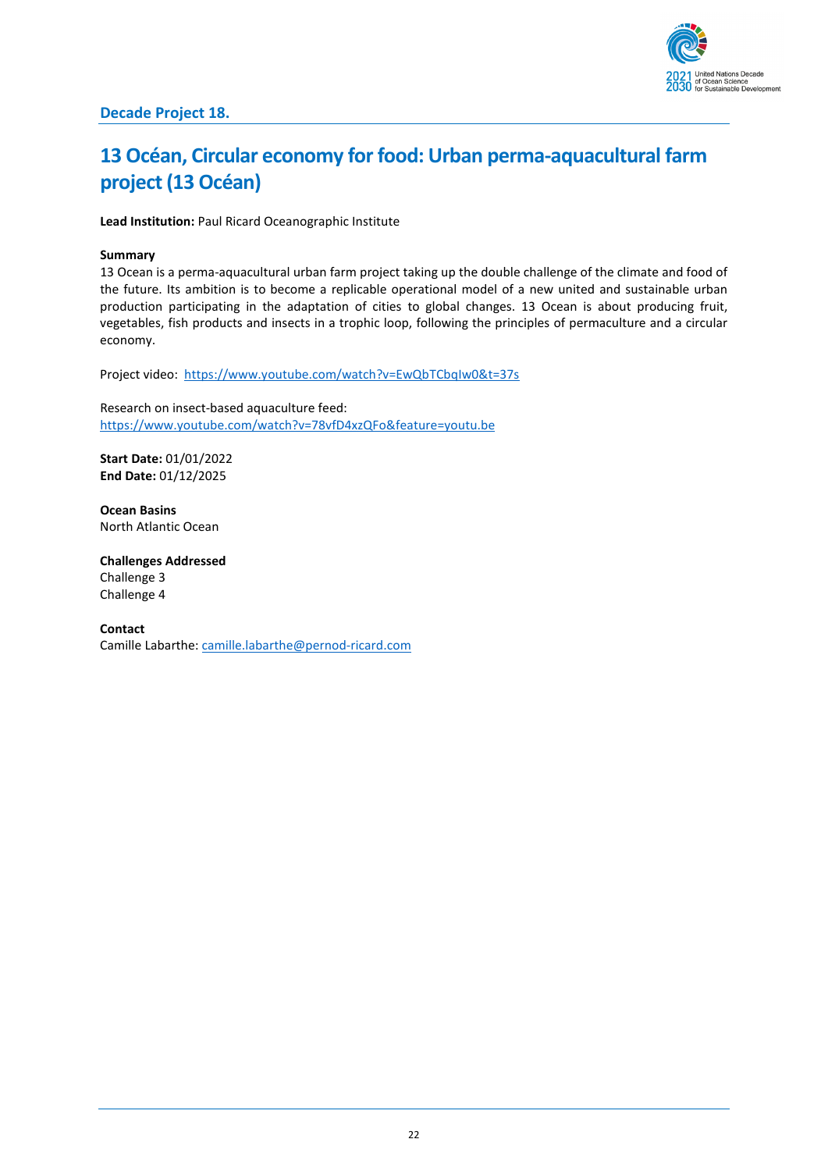

### **Decade Project 18.**

# <span id="page-21-0"></span>**13 Océan, Circular economy for food: Urban perma-aquacultural farm project(13 Océan)**

**Lead Institution:** Paul Ricard Oceanographic Institute

### **Summary**

13 Ocean is a perma-aquacultural urban farm project taking up the double challenge of the climate and food of the future. Its ambition is to become a replicable operational model of a new united and sustainable urban production participating in the adaptation of cities to global changes. 13 Ocean is about producing fruit, vegetables, fish products and insects in a trophic loop, following the principles of permaculture and a circular economy.

Project video:<https://www.youtube.com/watch?v=EwQbTCbqIw0&t=37s>

Research on insect-based aquaculture feed: <https://www.youtube.com/watch?v=78vfD4xzQFo&feature=youtu.be>

**Start Date:** 01/01/2022 **End Date:** 01/12/2025

**Ocean Basins** North Atlantic Ocean

**Challenges Addressed** Challenge 3 Challenge 4

**Contact** Camille Labarthe: [camille.labarthe@pernod-ricard.com](mailto:camille.labarthe@pernod-ricard.com)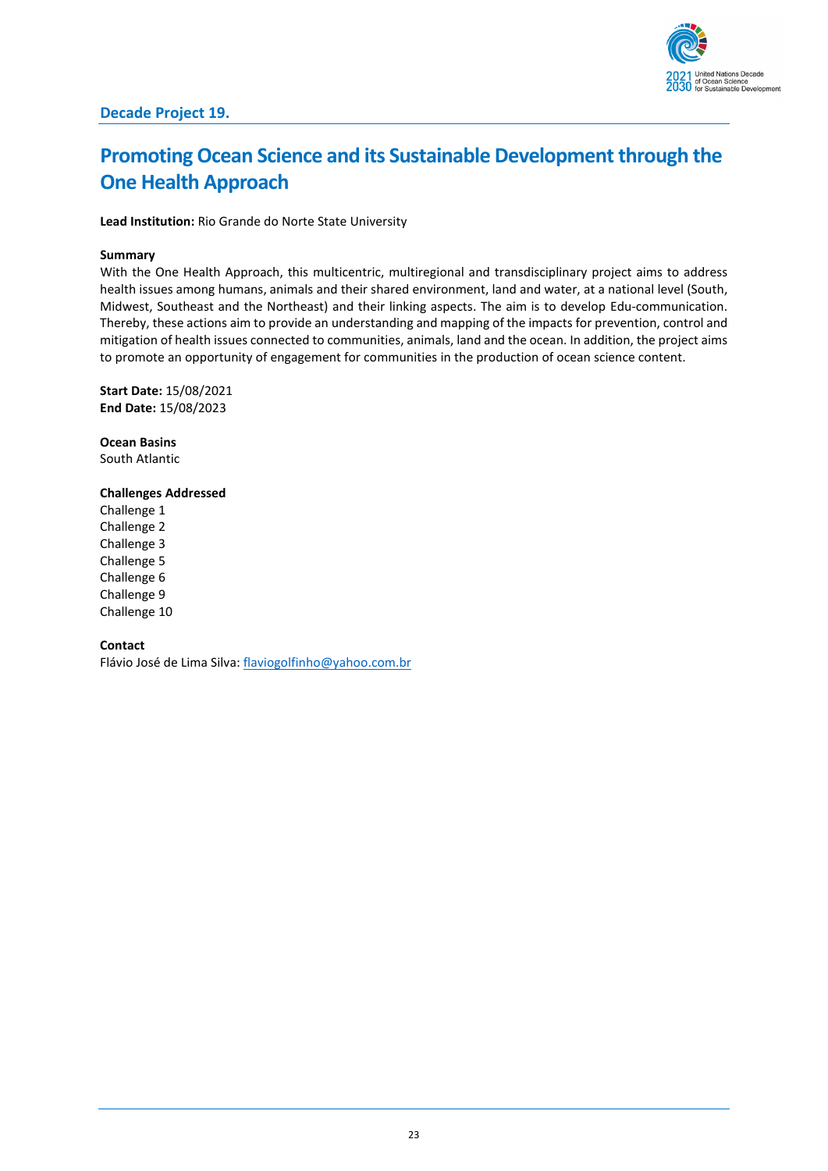

# <span id="page-22-0"></span>**Promoting Ocean Science and its Sustainable Development through the One Health Approach**

**Lead Institution:** Rio Grande do Norte State University

#### **Summary**

With the One Health Approach, this multicentric, multiregional and transdisciplinary project aims to address health issues among humans, animals and their shared environment, land and water, at a national level (South, Midwest, Southeast and the Northeast) and their linking aspects. The aim is to develop Edu-communication. Thereby, these actions aim to provide an understanding and mapping of the impacts for prevention, control and mitigation of health issues connected to communities, animals, land and the ocean. In addition, the project aims to promote an opportunity of engagement for communities in the production of ocean science content.

**Start Date:** 15/08/2021 **End Date:** 15/08/2023

**Ocean Basins** South Atlantic

#### **Challenges Addressed**

Challenge 1 Challenge 2 Challenge 3 Challenge 5 Challenge 6 Challenge 9 Challenge 10

#### **Contact**

Flávio José de Lima Silva: [flaviogolfinho@yahoo.com.br](mailto:flaviogolfinho@yahoo.com.br)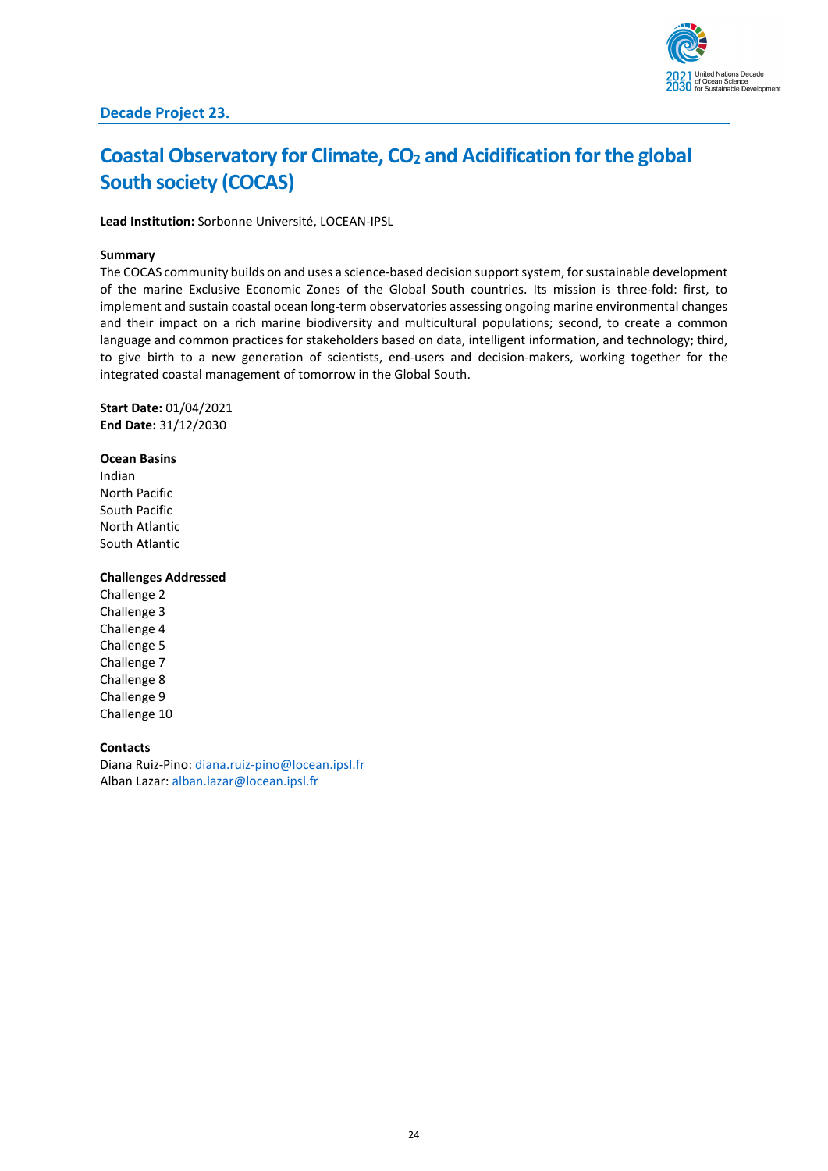# <span id="page-23-0"></span>**Coastal Observatory for Climate, CO<sub>2</sub> and Acidification for the global South society (COCAS)**

**Lead Institution:** Sorbonne Université, LOCEAN-IPSL

#### **Summary**

The COCAS community builds on and uses a science-based decision support system, for sustainable development of the marine Exclusive Economic Zones of the Global South countries. Its mission is three-fold: first, to implement and sustain coastal ocean long-term observatories assessing ongoing marine environmental changes and their impact on a rich marine biodiversity and multicultural populations; second, to create a common language and common practices for stakeholders based on data, intelligent information, and technology; third, to give birth to a new generation of scientists, end-users and decision-makers, working together for the integrated coastal management of tomorrow in the Global South.

**Start Date:** 01/04/2021 **End Date:** 31/12/2030

**Ocean Basins** Indian North Pacific South Pacific North Atlantic South Atlantic

#### **Challenges Addressed**

Challenge 2 Challenge 3 Challenge 4 Challenge 5 Challenge 7 Challenge 8 Challenge 9 Challenge 10

#### **Contacts**

Diana Ruiz-Pino[: diana.ruiz-pino@locean.ipsl.fr](mailto:diana.ruiz-pino@locean.ipsl.fr) Alban Lazar: [alban.lazar@locean.ipsl.fr](mailto:alban.lazar@locean.ipsl.fr)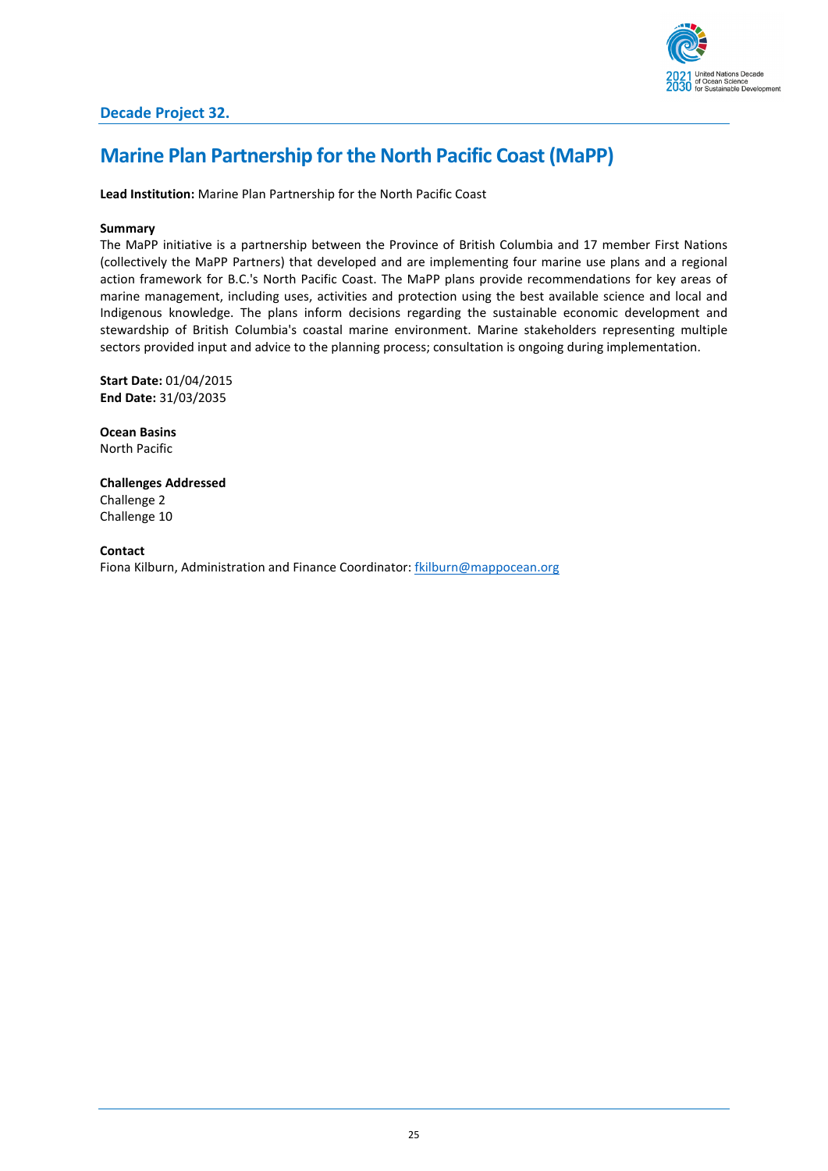

### <span id="page-24-0"></span>**Marine Plan Partnership for the North Pacific Coast (MaPP)**

**Lead Institution:** Marine Plan Partnership for the North Pacific Coast

#### **Summary**

The MaPP initiative is a partnership between the Province of British Columbia and 17 member First Nations (collectively the MaPP Partners) that developed and are implementing four marine use plans and a regional action framework for B.C.'s North Pacific Coast. The MaPP plans provide recommendations for key areas of marine management, including uses, activities and protection using the best available science and local and Indigenous knowledge. The plans inform decisions regarding the sustainable economic development and stewardship of British Columbia's coastal marine environment. Marine stakeholders representing multiple sectors provided input and advice to the planning process; consultation is ongoing during implementation.

**Start Date:** 01/04/2015 **End Date:** 31/03/2035

**Ocean Basins** North Pacific

**Challenges Addressed** Challenge 2 Challenge 10

**Contact** Fiona Kilburn, Administration and Finance Coordinator[: fkilburn@mappocean.org](mailto:fkilburn@mappocean.org)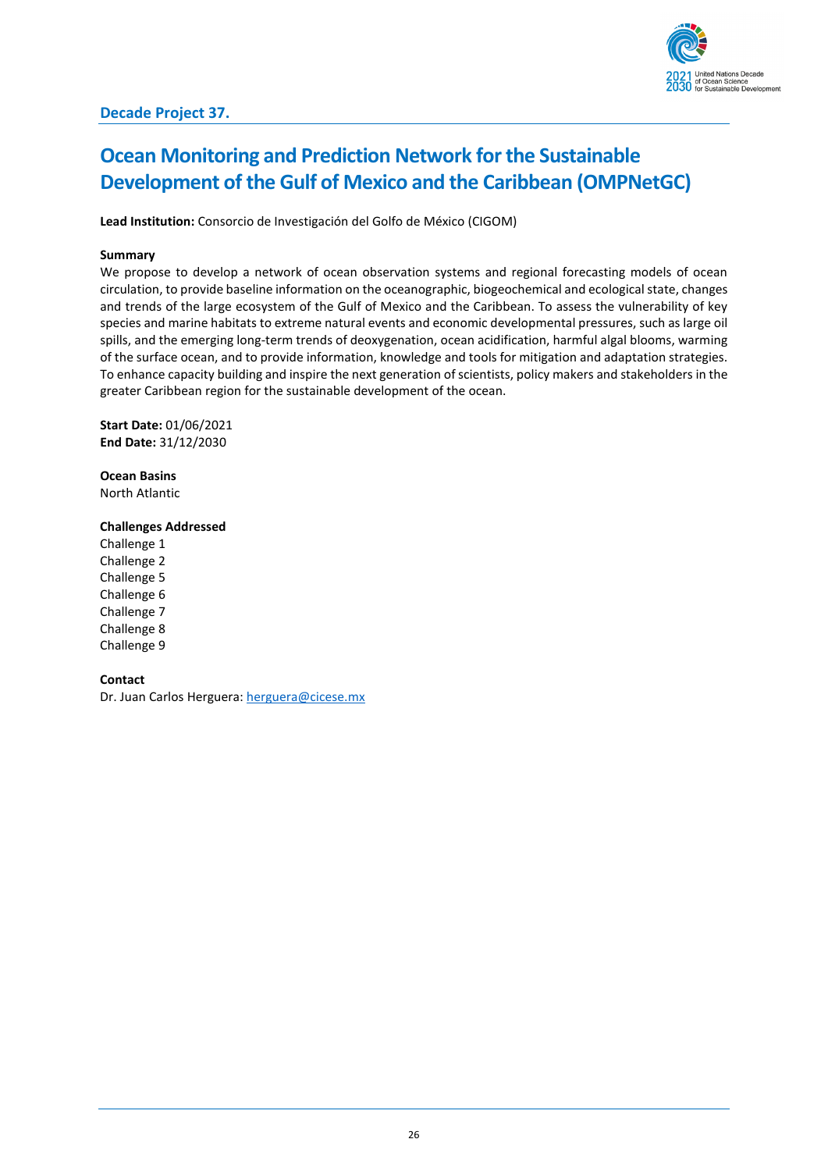## <span id="page-25-0"></span>**Ocean Monitoring and Prediction Network for the Sustainable Development of the Gulf of Mexico and the Caribbean (OMPNetGC)**

**Lead Institution:** Consorcio de Investigación del Golfo de México (CIGOM)

#### **Summary**

We propose to develop a network of ocean observation systems and regional forecasting models of ocean circulation, to provide baseline information on the oceanographic, biogeochemical and ecological state, changes and trends of the large ecosystem of the Gulf of Mexico and the Caribbean. To assess the vulnerability of key species and marine habitats to extreme natural events and economic developmental pressures, such as large oil spills, and the emerging long-term trends of deoxygenation, ocean acidification, harmful algal blooms, warming of the surface ocean, and to provide information, knowledge and tools for mitigation and adaptation strategies. To enhance capacity building and inspire the next generation of scientists, policy makers and stakeholders in the greater Caribbean region for the sustainable development of the ocean.

**Start Date:** 01/06/2021 **End Date:** 31/12/2030

**Ocean Basins** North Atlantic

#### **Challenges Addressed**

Challenge 1 Challenge 2 Challenge 5 Challenge 6 Challenge 7 Challenge 8 Challenge 9

### **Contact**

Dr. Juan Carlos Herguera[: herguera@cicese.mx](mailto:herguera@cicese.mx)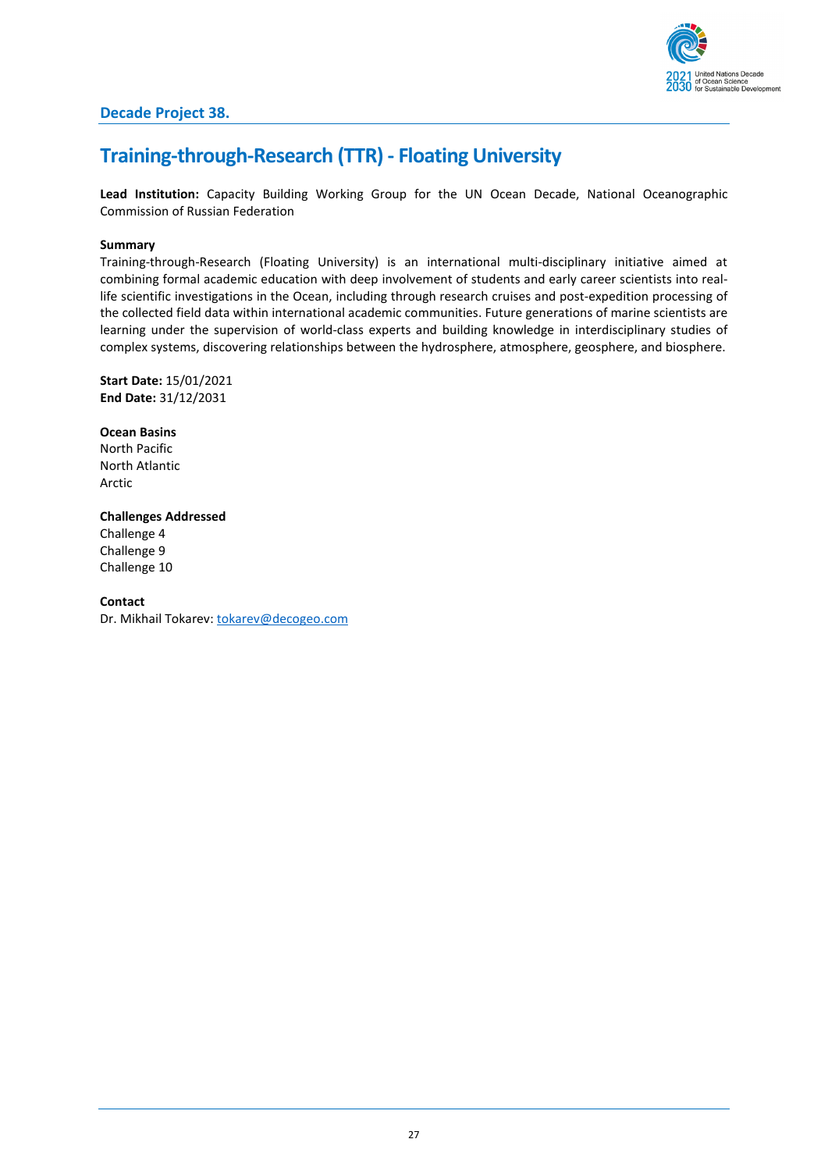

### <span id="page-26-0"></span>**Training-through-Research (TTR) - Floating University**

**Lead Institution:** Capacity Building Working Group for the UN Ocean Decade, National Oceanographic Commission of Russian Federation

#### **Summary**

Training-through-Research (Floating University) is an international multi-disciplinary initiative aimed at combining formal academic education with deep involvement of students and early career scientists into reallife scientific investigations in the Ocean, including through research cruises and post-expedition processing of the collected field data within international academic communities. Future generations of marine scientists are learning under the supervision of world-class experts and building knowledge in interdisciplinary studies of complex systems, discovering relationships between the hydrosphere, atmosphere, geosphere, and biosphere.

**Start Date:** 15/01/2021 **End Date:** 31/12/2031

**Ocean Basins** North Pacific North Atlantic Arctic

**Challenges Addressed** Challenge 4 Challenge 9 Challenge 10

**Contact** Dr. Mikhail Tokarev: [tokarev@decogeo.com](mailto:tokarev@decogeo.com)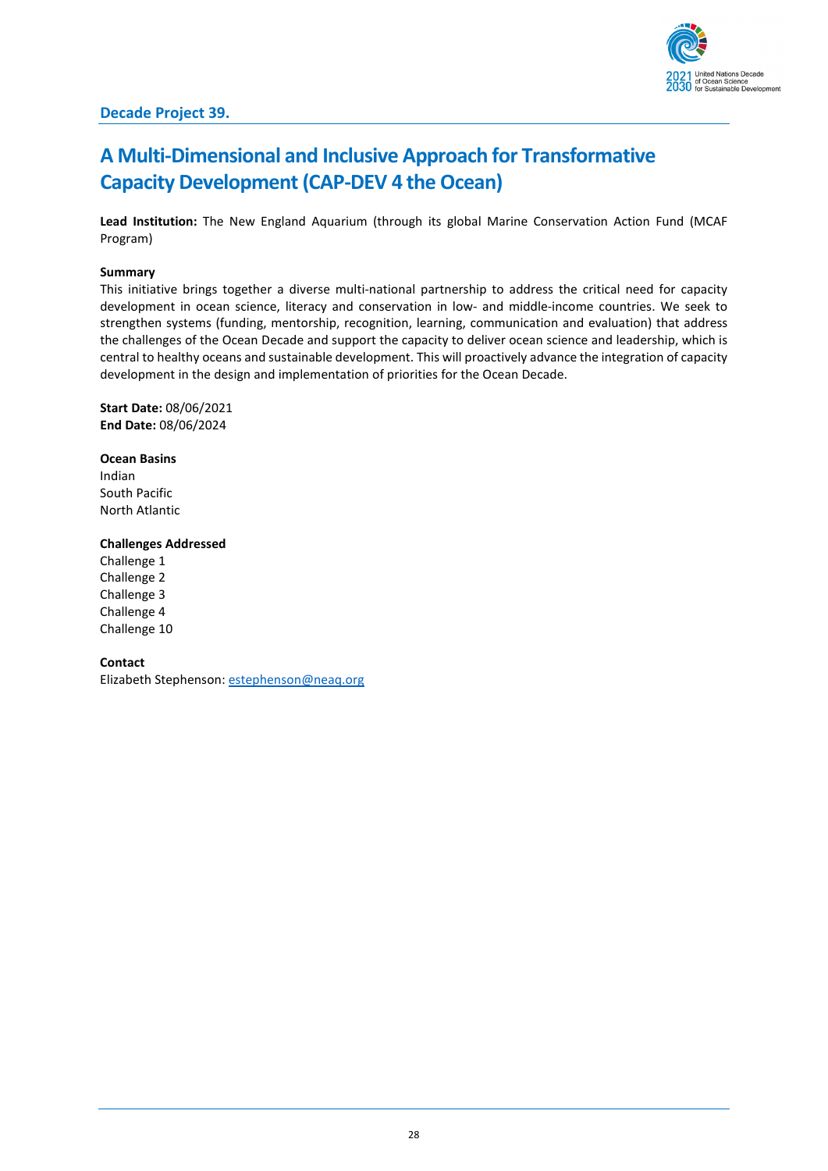

### **Decade Project 39.**

# <span id="page-27-0"></span>**A Multi-Dimensional and Inclusive Approach for Transformative Capacity Development (CAP-DEV 4 the Ocean)**

**Lead Institution:** The New England Aquarium (through its global Marine Conservation Action Fund (MCAF Program)

#### **Summary**

This initiative brings together a diverse multi-national partnership to address the critical need for capacity development in ocean science, literacy and conservation in low- and middle-income countries. We seek to strengthen systems (funding, mentorship, recognition, learning, communication and evaluation) that address the challenges of the Ocean Decade and support the capacity to deliver ocean science and leadership, which is central to healthy oceans and sustainable development. This will proactively advance the integration of capacity development in the design and implementation of priorities for the Ocean Decade.

**Start Date:** 08/06/2021 **End Date:** 08/06/2024

**Ocean Basins** Indian South Pacific North Atlantic

#### **Challenges Addressed**

Challenge 1 Challenge 2 Challenge 3 Challenge 4 Challenge 10

**Contact**

Elizabeth Stephenson[: estephenson@neaq.org](mailto:estephenson@neaq.org)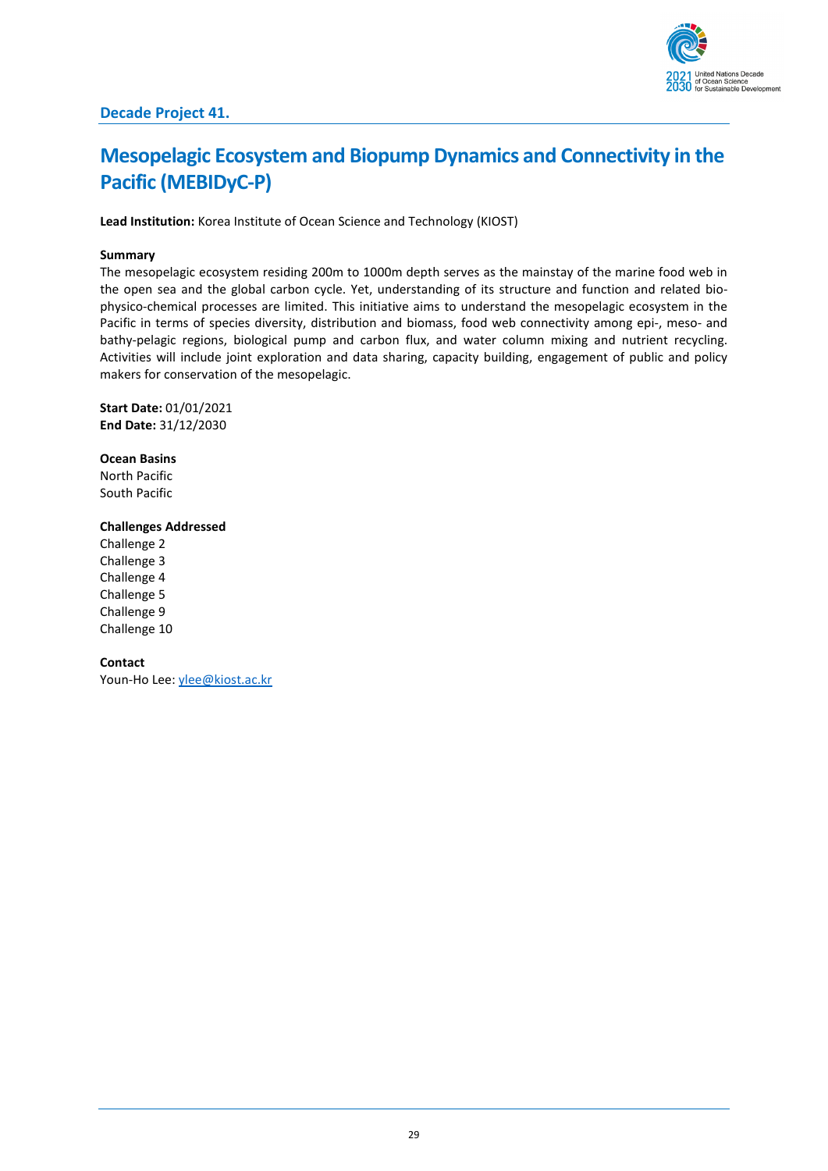

# <span id="page-28-0"></span>**Mesopelagic Ecosystem and Biopump Dynamics and Connectivity in the Pacific (MEBIDyC-P)**

**Lead Institution:** Korea Institute of Ocean Science and Technology (KIOST)

#### **Summary**

The mesopelagic ecosystem residing 200m to 1000m depth serves as the mainstay of the marine food web in the open sea and the global carbon cycle. Yet, understanding of its structure and function and related biophysico-chemical processes are limited. This initiative aims to understand the mesopelagic ecosystem in the Pacific in terms of species diversity, distribution and biomass, food web connectivity among epi-, meso- and bathy-pelagic regions, biological pump and carbon flux, and water column mixing and nutrient recycling. Activities will include joint exploration and data sharing, capacity building, engagement of public and policy makers for conservation of the mesopelagic.

**Start Date:** 01/01/2021 **End Date:** 31/12/2030

**Ocean Basins** North Pacific South Pacific

#### **Challenges Addressed**

Challenge 2 Challenge 3 Challenge 4 Challenge 5 Challenge 9 Challenge 10

**Contact**

Youn-Ho Lee[: ylee@kiost.ac.kr](mailto:ylee@kiost.ac.kr)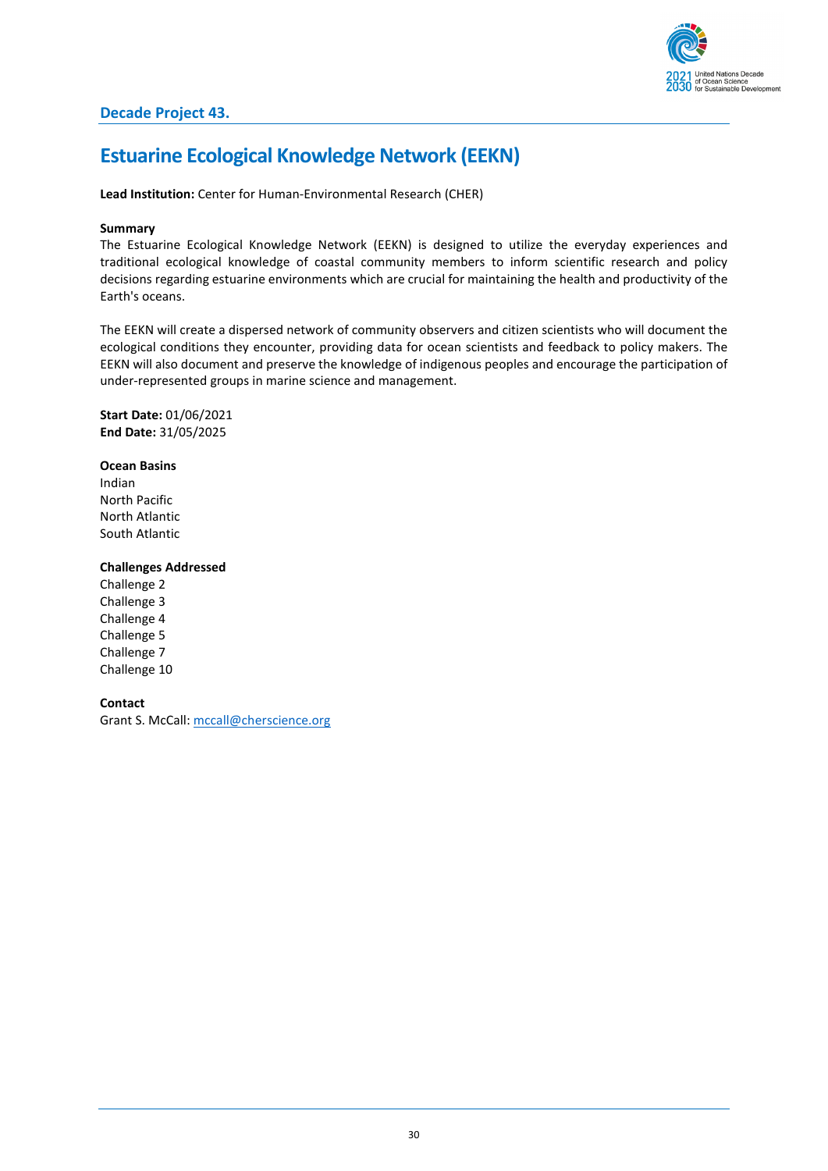

## <span id="page-29-0"></span>**Estuarine Ecological Knowledge Network (EEKN)**

**Lead Institution:** Center for Human-Environmental Research (CHER)

#### **Summary**

The Estuarine Ecological Knowledge Network (EEKN) is designed to utilize the everyday experiences and traditional ecological knowledge of coastal community members to inform scientific research and policy decisions regarding estuarine environments which are crucial for maintaining the health and productivity of the Earth's oceans.

The EEKN will create a dispersed network of community observers and citizen scientists who will document the ecological conditions they encounter, providing data for ocean scientists and feedback to policy makers. The EEKN will also document and preserve the knowledge of indigenous peoples and encourage the participation of under-represented groups in marine science and management.

**Start Date:** 01/06/2021 **End Date:** 31/05/2025

**Ocean Basins** Indian North Pacific North Atlantic

South Atlantic

### **Challenges Addressed**

Challenge 2 Challenge 3 Challenge 4 Challenge 5 Challenge 7 Challenge 10

**Contact** Grant S. McCall: [mccall@cherscience.org](mailto:mccall@cherscience.org)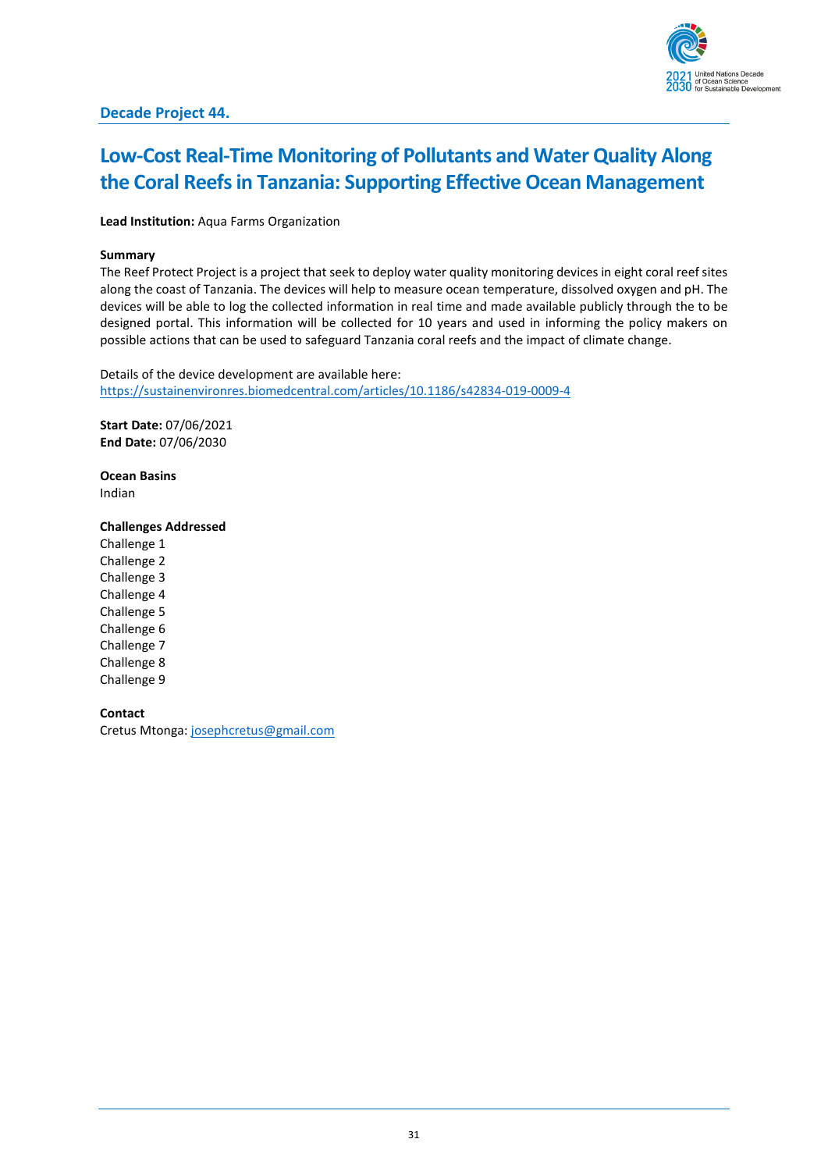

## <span id="page-30-0"></span>**Low-Cost Real-Time Monitoring of Pollutants and Water Quality Along the Coral Reefs in Tanzania: Supporting Effective Ocean Management**

**Lead Institution:** Aqua Farms Organization

#### **Summary**

The Reef Protect Project is a project that seek to deploy water quality monitoring devices in eight coral reef sites along the coast of Tanzania. The devices will help to measure ocean temperature, dissolved oxygen and pH. The devices will be able to log the collected information in real time and made available publicly through the to be designed portal. This information will be collected for 10 years and used in informing the policy makers on possible actions that can be used to safeguard Tanzania coral reefs and the impact of climate change.

Details of the device development are available here: <https://sustainenvironres.biomedcentral.com/articles/10.1186/s42834-019-0009-4>

**Start Date:** 07/06/2021 **End Date:** 07/06/2030

**Ocean Basins** Indian

#### **Challenges Addressed**

Challenge 1 Challenge 2 Challenge 3 Challenge 4 Challenge 5 Challenge 6 Challenge 7 Challenge 8 Challenge 9

#### **Contact**

Cretus Mtonga[: josephcretus@gmail.com](mailto:josephcretus@gmail.com)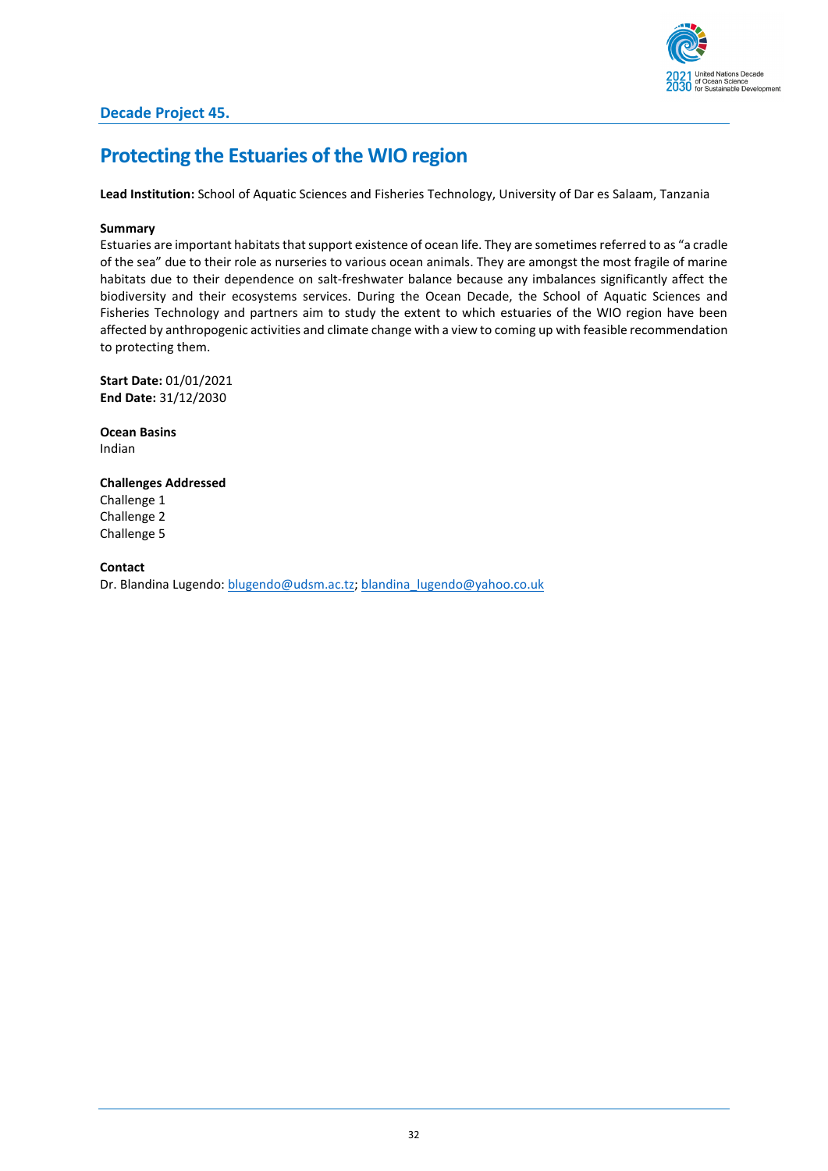

### <span id="page-31-0"></span>**Protecting the Estuaries of the WIO region**

**Lead Institution:** School of Aquatic Sciences and Fisheries Technology, University of Dar es Salaam, Tanzania

#### **Summary**

Estuaries are important habitats that support existence of ocean life. They are sometimes referred to as "a cradle of the sea" due to their role as nurseries to various ocean animals. They are amongst the most fragile of marine habitats due to their dependence on salt-freshwater balance because any imbalances significantly affect the biodiversity and their ecosystems services. During the Ocean Decade, the School of Aquatic Sciences and Fisheries Technology and partners aim to study the extent to which estuaries of the WIO region have been affected by anthropogenic activities and climate change with a view to coming up with feasible recommendation to protecting them.

**Start Date:** 01/01/2021 **End Date:** 31/12/2030

**Ocean Basins** Indian

**Challenges Addressed** Challenge 1 Challenge 2 Challenge 5

**Contact**

Dr. Blandina Lugendo: [blugendo@udsm.ac.tz;](mailto:blugendo@udsm.ac.tz) [blandina\\_lugendo@yahoo.co.uk](mailto:blandina_lugendo@yahoo.co.uk)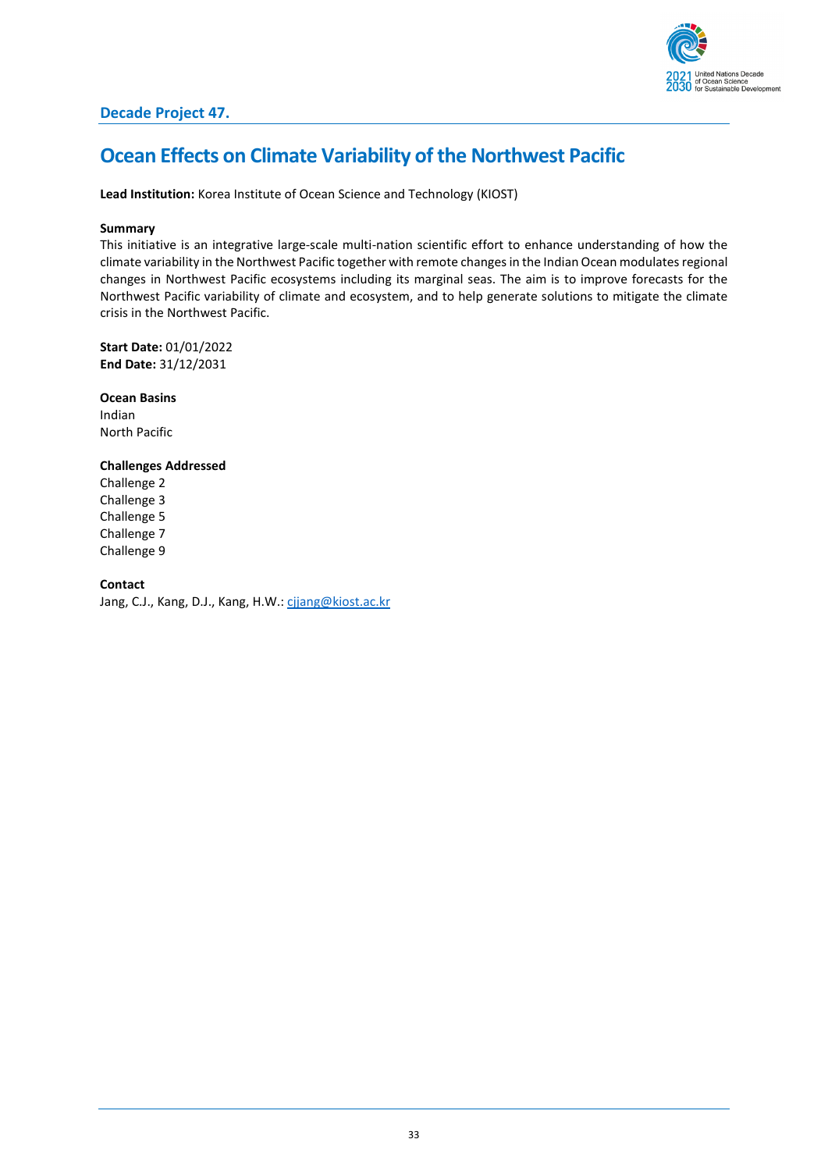

### **Decade Project 47.**

### <span id="page-32-0"></span>**Ocean Effects on Climate Variability of the Northwest Pacific**

**Lead Institution:** Korea Institute of Ocean Science and Technology (KIOST)

#### **Summary**

This initiative is an integrative large-scale multi-nation scientific effort to enhance understanding of how the climate variability in the Northwest Pacific together with remote changes in the Indian Ocean modulates regional changes in Northwest Pacific ecosystems including its marginal seas. The aim is to improve forecasts for the Northwest Pacific variability of climate and ecosystem, and to help generate solutions to mitigate the climate crisis in the Northwest Pacific.

**Start Date:** 01/01/2022 **End Date:** 31/12/2031

**Ocean Basins** Indian North Pacific

### **Challenges Addressed**

Challenge 2 Challenge 3 Challenge 5 Challenge 7 Challenge 9

**Contact**

Jang, C.J., Kang, D.J., Kang, H.W.[: cjjang@kiost.ac.kr](mailto:cjjang@kiost.ac.kr)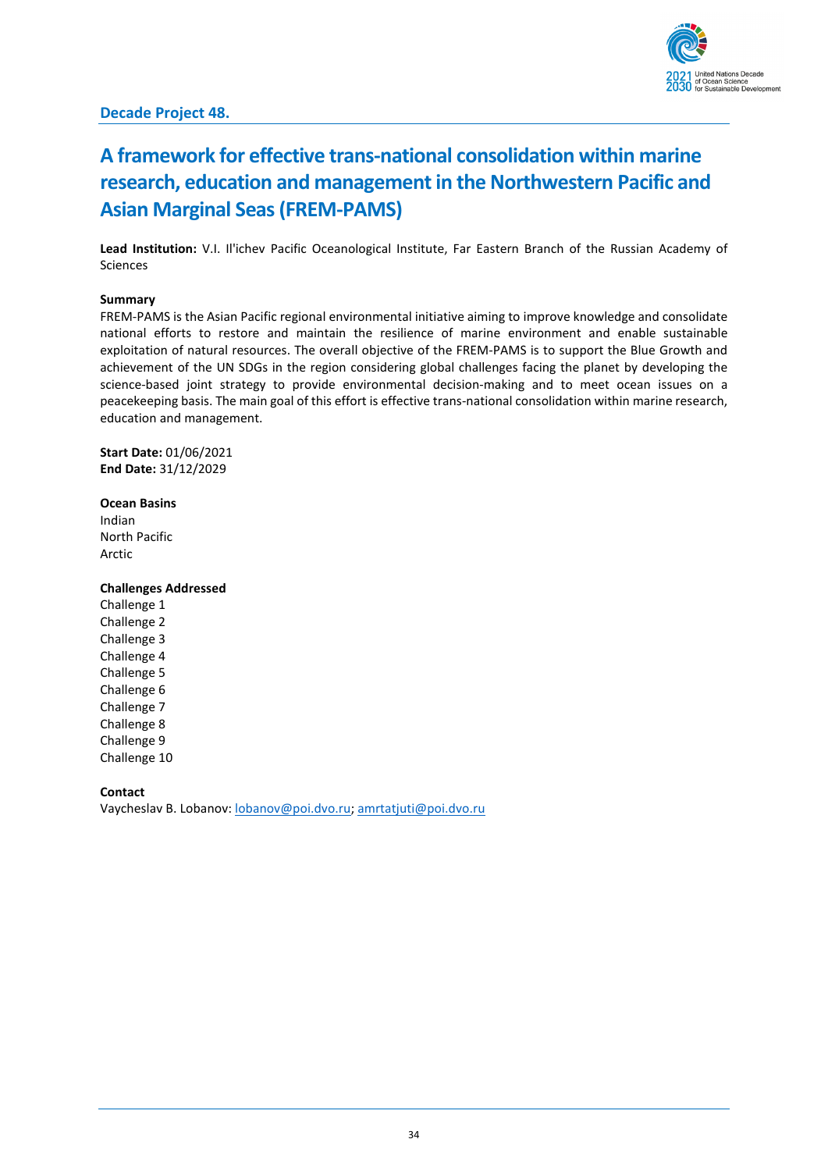

### **Decade Project 48.**

# <span id="page-33-0"></span>**A framework for effective trans-national consolidation within marine research, education and management in the Northwestern Pacific and Asian Marginal Seas(FREM-PAMS)**

**Lead Institution:** V.I. Il'ichev Pacific Oceanological Institute, Far Eastern Branch of the Russian Academy of Sciences

#### **Summary**

FREM-PAMS is the Asian Pacific regional environmental initiative aiming to improve knowledge and consolidate national efforts to restore and maintain the resilience of marine environment and enable sustainable exploitation of natural resources. The overall objective of the FREM-PAMS is to support the Blue Growth and achievement of the UN SDGs in the region considering global challenges facing the planet by developing the science-based joint strategy to provide environmental decision-making and to meet ocean issues on a peacekeeping basis. The main goal of this effort is effective trans-national consolidation within marine research, education and management.

**Start Date:** 01/06/2021 **End Date:** 31/12/2029

#### **Ocean Basins**

Indian North Pacific Arctic

#### **Challenges Addressed**

Challenge 1 Challenge 2 Challenge 3 Challenge 4 Challenge 5 Challenge 6 Challenge 7 Challenge 8 Challenge 9 Challenge 10

**Contact**

Vaycheslav B. Lobanov: [lobanov@poi.dvo.ru;](mailto:lobanov@poi.dvo.ru) [amrtatjuti@poi.dvo.ru](mailto:amrtatjuti@poi.dvo.ru)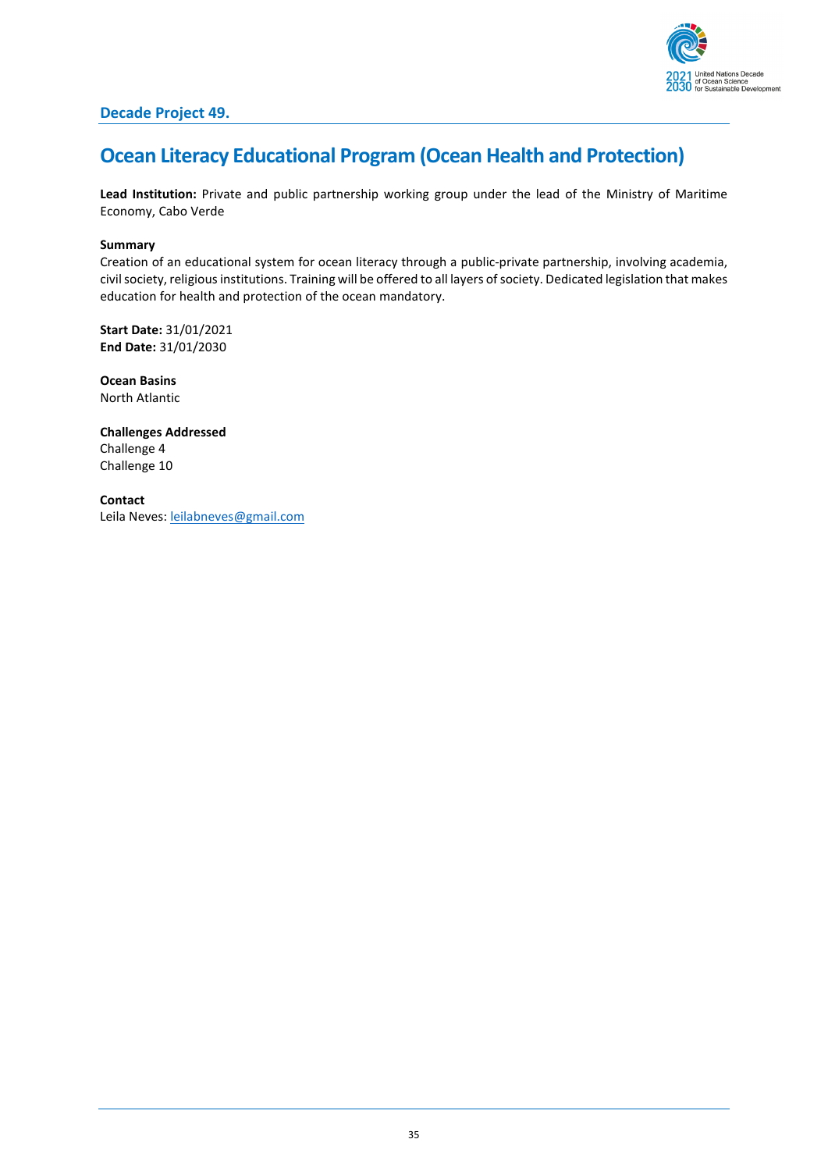

### **Decade Project 49.**

# <span id="page-34-0"></span>**Ocean Literacy Educational Program (Ocean Health and Protection)**

**Lead Institution:** Private and public partnership working group under the lead of the Ministry of Maritime Economy, Cabo Verde

#### **Summary**

Creation of an educational system for ocean literacy through a public-private partnership, involving academia, civil society, religious institutions. Training will be offered to all layers of society. Dedicated legislation that makes education for health and protection of the ocean mandatory.

**Start Date:** 31/01/2021 **End Date:** 31/01/2030

**Ocean Basins** North Atlantic

**Challenges Addressed** Challenge 4 Challenge 10

**Contact** Leila Neves[: leilabneves@gmail.com](mailto:leilabneves@gmail.com)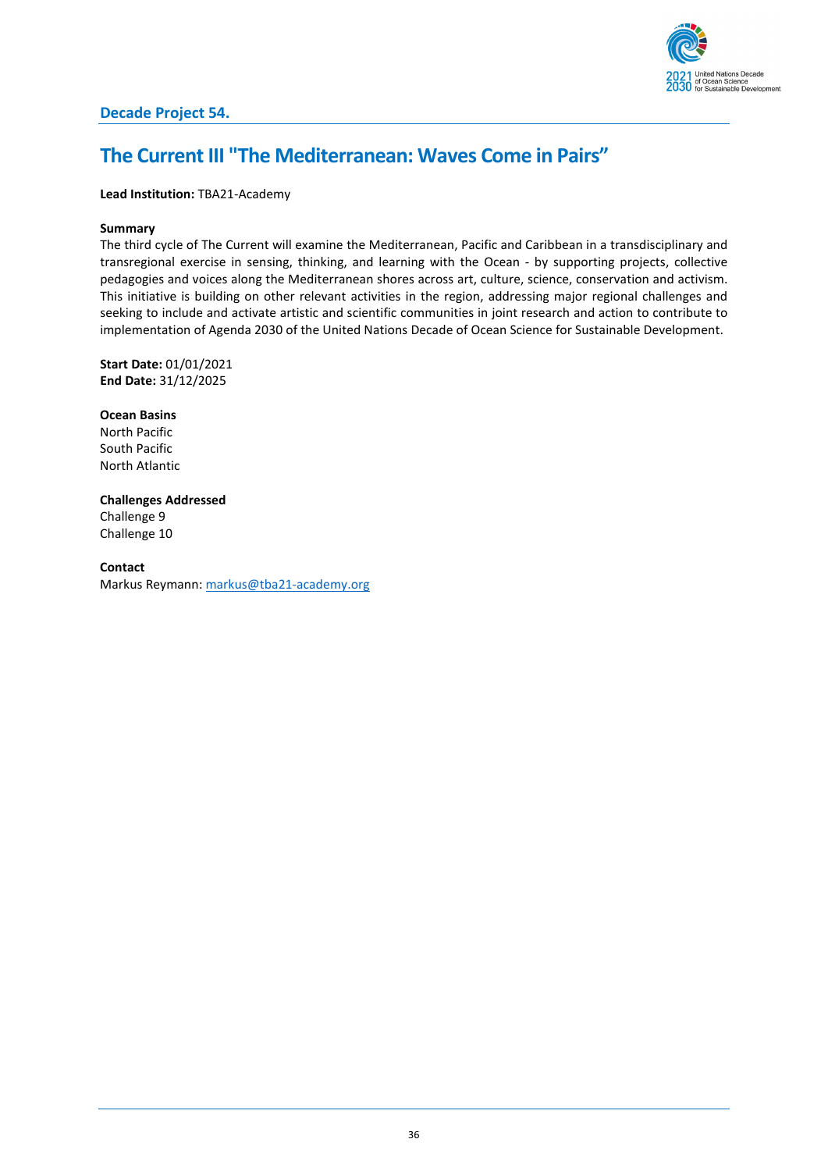

### <span id="page-35-0"></span>**The Current III "The Mediterranean: Waves Come in Pairs"**

#### **Lead Institution:** TBA21-Academy

#### **Summary**

The third cycle of The Current will examine the Mediterranean, Pacific and Caribbean in a transdisciplinary and transregional exercise in sensing, thinking, and learning with the Ocean - by supporting projects, collective pedagogies and voices along the Mediterranean shores across art, culture, science, conservation and activism. This initiative is building on other relevant activities in the region, addressing major regional challenges and seeking to include and activate artistic and scientific communities in joint research and action to contribute to implementation of Agenda 2030 of the United Nations Decade of Ocean Science for Sustainable Development.

**Start Date:** 01/01/2021 **End Date:** 31/12/2025

**Ocean Basins** North Pacific South Pacific North Atlantic

**Challenges Addressed** Challenge 9 Challenge 10

**Contact** Markus Reymann: [markus@tba21-academy.org](mailto:markus@tba21-academy.org)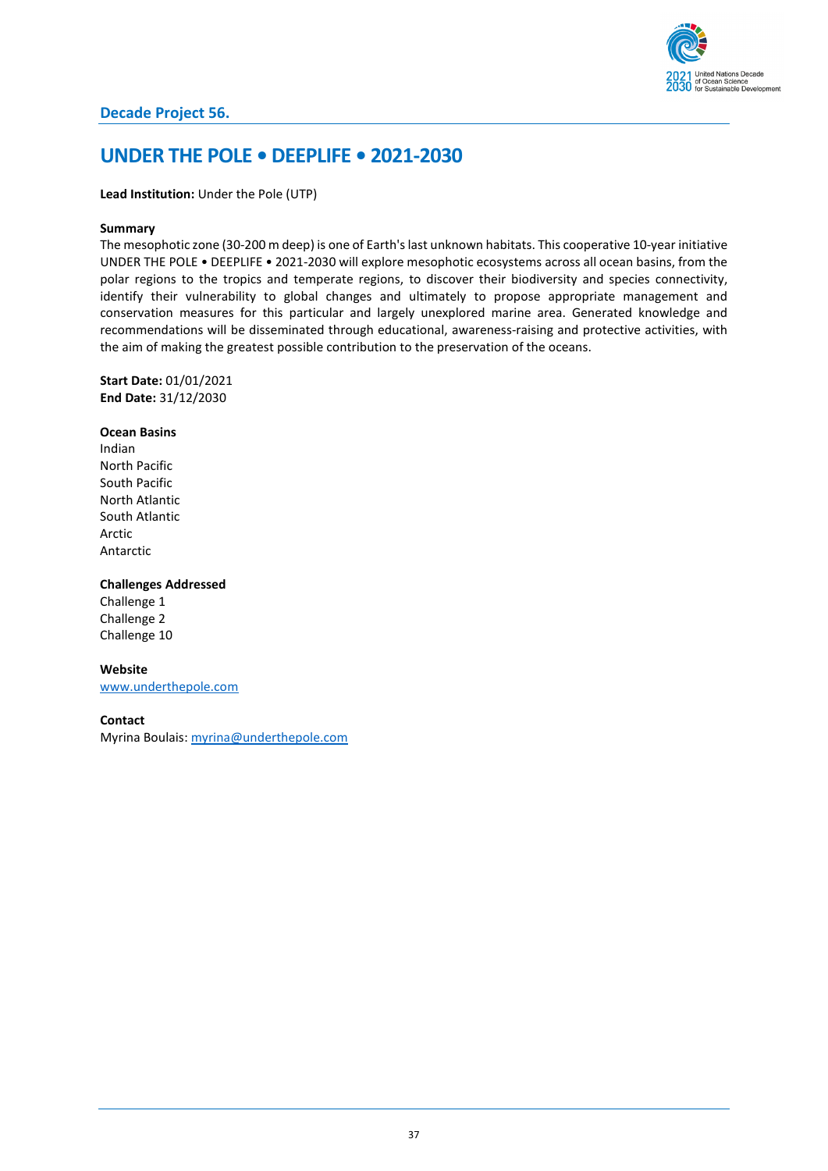

# **UNDER THE POLE • DEEPLIFE • 2021-2030**

### **Lead Institution:** Under the Pole (UTP)

#### **Summary**

The mesophotic zone (30-200 m deep) is one of Earth's last unknown habitats. This cooperative 10-year initiative UNDER THE POLE • DEEPLIFE • 2021-2030 will explore mesophotic ecosystems across all ocean basins, from the polar regions to the tropics and temperate regions, to discover their biodiversity and species connectivity, identify their vulnerability to global changes and ultimately to propose appropriate management and conservation measures for this particular and largely unexplored marine area. Generated knowledge and recommendations will be disseminated through educational, awareness-raising and protective activities, with the aim of making the greatest possible contribution to the preservation of the oceans.

**Start Date:** 01/01/2021 **End Date:** 31/12/2030

**Ocean Basins** Indian North Pacific South Pacific North Atlantic South Atlantic Arctic Antarctic

#### **Challenges Addressed**

Challenge 1 Challenge 2 Challenge 10

**Website** [www.underthepole.com](http://www.underthepole.com/) 

#### **Contact**

Myrina Boulais[: myrina@underthepole.com](mailto:myrina@underthepole.com)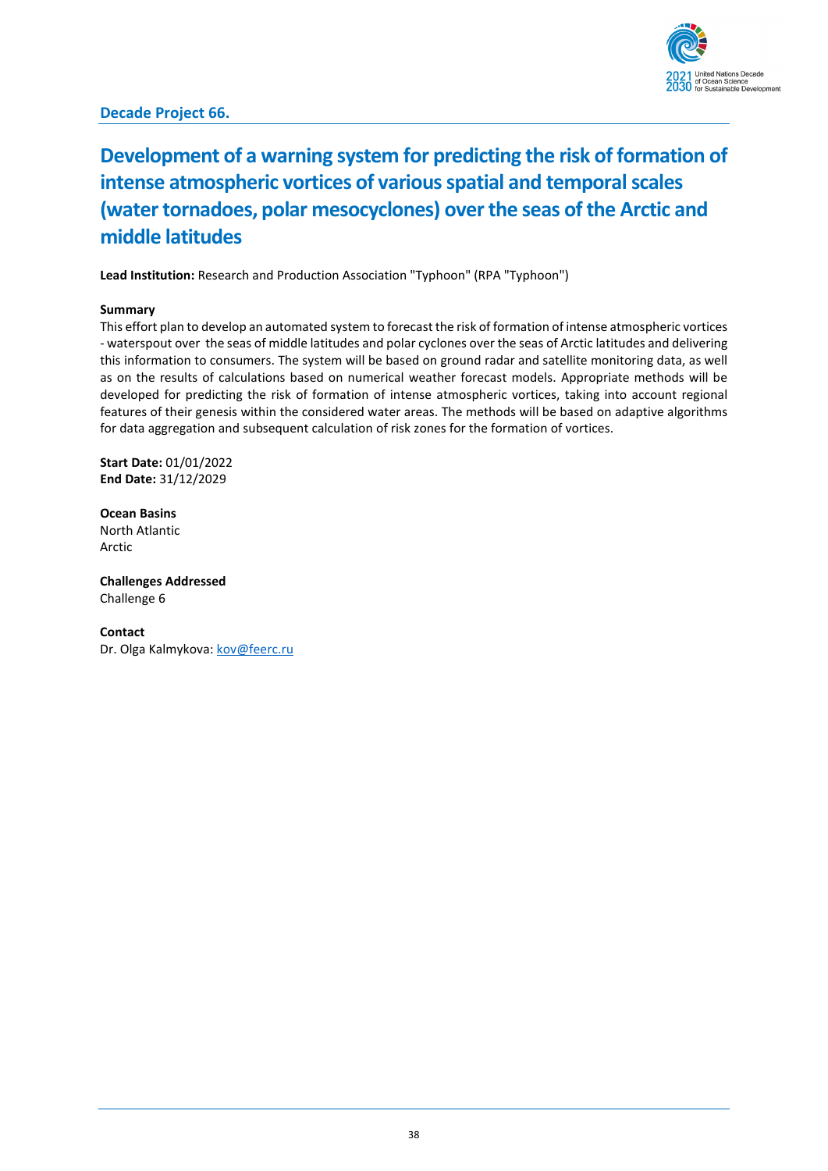

# **Decade Project 66.**

# **Development of a warning system for predicting the risk of formation of intense atmospheric vortices of various spatial and temporal scales (water tornadoes, polar mesocyclones) over the seas of the Arctic and middle latitudes**

**Lead Institution:** Research and Production Association "Typhoon" (RPA "Typhoon")

### **Summary**

This effort plan to develop an automated system to forecast the risk of formation of intense atmospheric vortices - waterspout over the seas of middle latitudes and polar cyclones over the seas of Arctic latitudes and delivering this information to consumers. The system will be based on ground radar and satellite monitoring data, as well as on the results of calculations based on numerical weather forecast models. Appropriate methods will be developed for predicting the risk of formation of intense atmospheric vortices, taking into account regional features of their genesis within the considered water areas. The methods will be based on adaptive algorithms for data aggregation and subsequent calculation of risk zones for the formation of vortices.

**Start Date:** 01/01/2022 **End Date:** 31/12/2029

**Ocean Basins** North Atlantic Arctic

**Challenges Addressed** Challenge 6

**Contact** Dr. Olga Kalmykova: [kov@feerc.ru](mailto:kov@feerc.ru)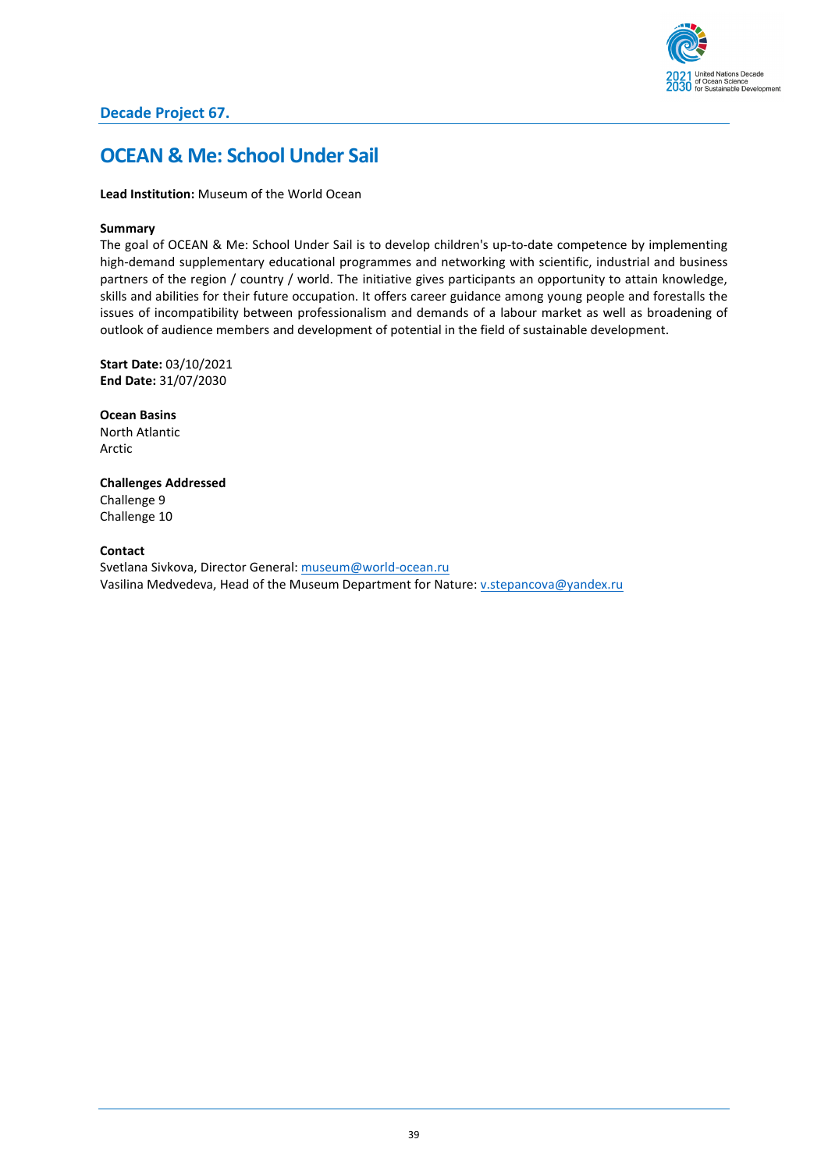

# **OCEAN & Me: School Under Sail**

**Lead Institution:** Museum of the World Ocean

#### **Summary**

The goal of OCEAN & Me: School Under Sail is to develop children's up-to-date competence by implementing high-demand supplementary educational programmes and networking with scientific, industrial and business partners of the region / country / world. The initiative gives participants an opportunity to attain knowledge, skills and abilities for their future occupation. It offers career guidance among young people and forestalls the issues of incompatibility between professionalism and demands of a labour market as well as broadening of outlook of audience members and development of potential in the field of sustainable development.

**Start Date:** 03/10/2021 **End Date:** 31/07/2030

**Ocean Basins** North Atlantic Arctic

**Challenges Addressed** Challenge 9 Challenge 10

#### **Contact**

Svetlana Sivkova, Director General[: museum@world-ocean.ru](mailto:museum@world-ocean.ru) Vasilina Medvedeva, Head of the Museum Department for Nature[: v.stepancova@yandex.ru](mailto:v.stepancova@yandex.ru)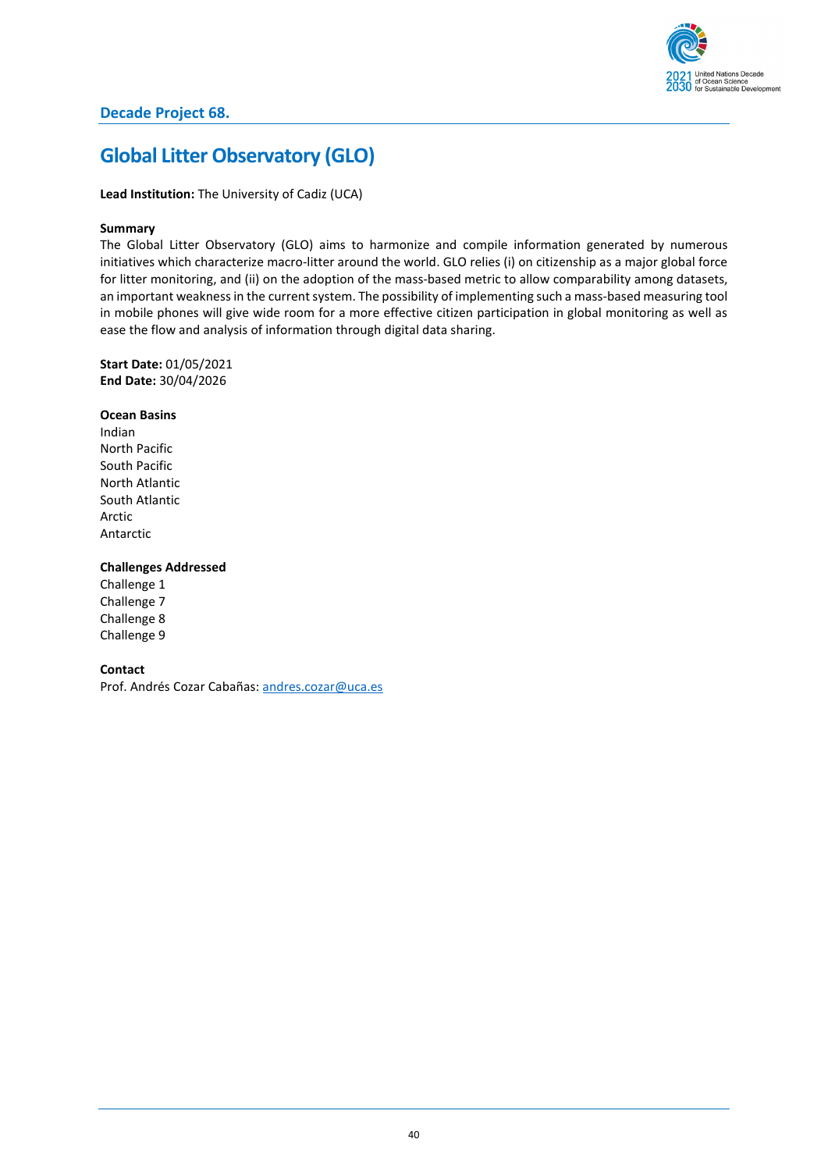

# **Global Litter Observatory (GLO)**

**Lead Institution:** The University of Cadiz (UCA)

#### **Summary**

The Global Litter Observatory (GLO) aims to harmonize and compile information generated by numerous initiatives which characterize macro-litter around the world. GLO relies (i) on citizenship as a major global force for litter monitoring, and (ii) on the adoption of the mass-based metric to allow comparability among datasets, an important weakness in the current system. The possibility of implementing such a mass-based measuring tool in mobile phones will give wide room for a more effective citizen participation in global monitoring as well as ease the flow and analysis of information through digital data sharing.

**Start Date:** 01/05/2021 **End Date:** 30/04/2026

#### **Ocean Basins**

Indian North Pacific South Pacific North Atlantic South Atlantic Arctic Antarctic

### **Challenges Addressed**

Challenge 1 Challenge 7 Challenge 8 Challenge 9

#### **Contact**

Prof. Andrés Cozar Cabañas: [andres.cozar@uca.es](mailto:andres.cozar@uca.es)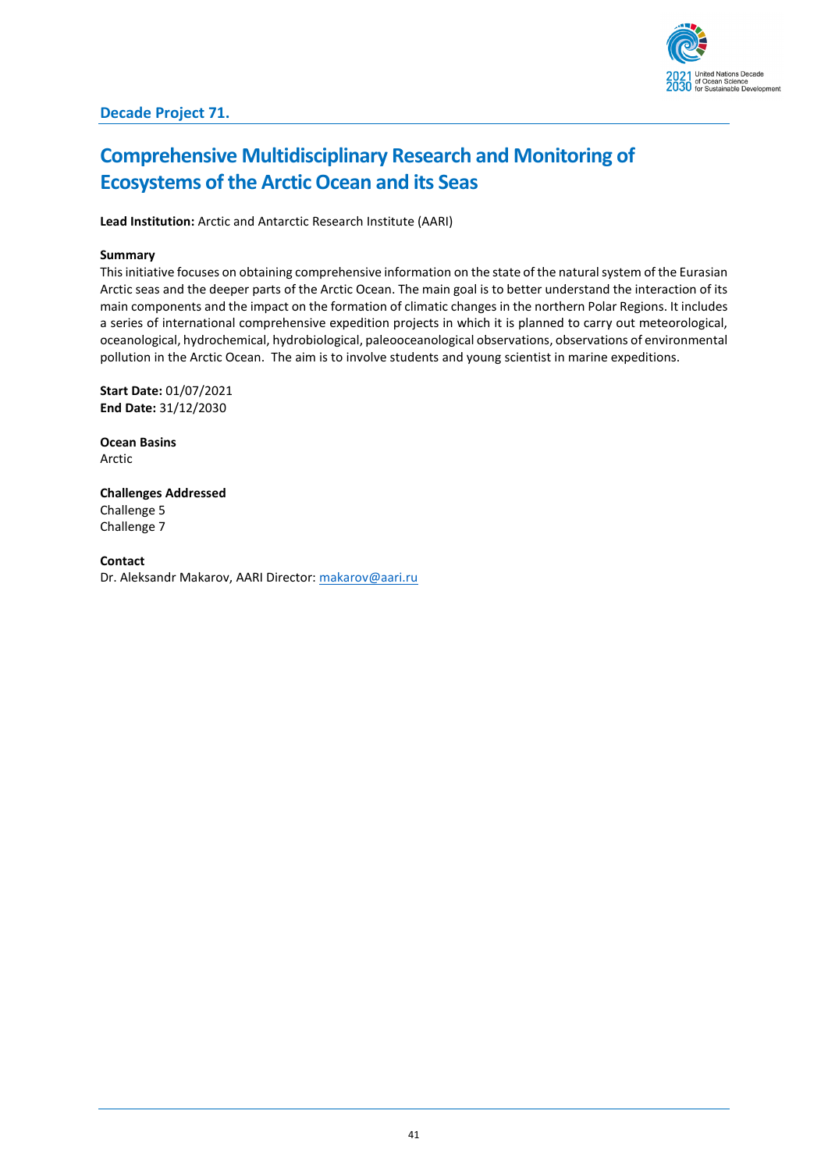

# **Comprehensive Multidisciplinary Research and Monitoring of Ecosystems of the Arctic Ocean and its Seas**

**Lead Institution:** Arctic and Antarctic Research Institute (AARI)

## **Summary**

This initiative focuses on obtaining comprehensive information on the state of the natural system of the Eurasian Arctic seas and the deeper parts of the Arctic Ocean. The main goal is to better understand the interaction of its main components and the impact on the formation of climatic changes in the northern Polar Regions. It includes a series of international comprehensive expedition projects in which it is planned to carry out meteorological, oceanological, hydrochemical, hydrobiological, paleooceanological observations, observations of environmental pollution in the Arctic Ocean. The aim is to involve students and young scientist in marine expeditions.

**Start Date:** 01/07/2021 **End Date:** 31/12/2030

**Ocean Basins** Arctic

**Challenges Addressed** Challenge 5 Challenge 7

**Contact** Dr. Aleksandr Makarov, AARI Director[: makarov@aari.ru](mailto:makarov@aari.ru)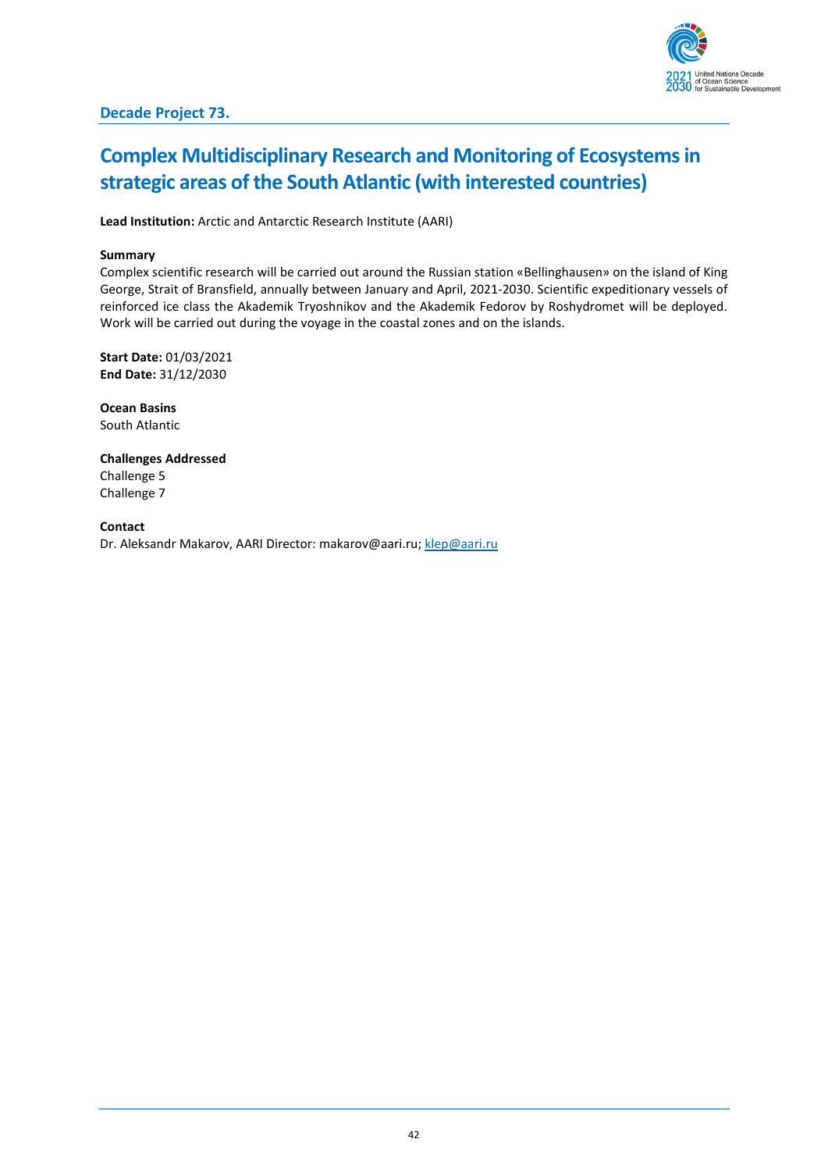

# **Complex Multidisciplinary Research and Monitoring of Ecosystems in strategic areas of the South Atlantic (with interested countries)**

**Lead Institution:** Arctic and Antarctic Research Institute (AARI)

## **Summary**

Complex scientific research will be carried out around the Russian station «Bellinghausen» on the island of King George, Strait of Bransfield, annually between January and April, 2021-2030. Scientific expeditionary vessels of reinforced ice class the Akademik Tryoshnikov and the Akademik Fedorov by Roshydromet will be deployed. Work will be carried out during the voyage in the coastal zones and on the islands.

**Start Date:** 01/03/2021 **End Date:** 31/12/2030

**Ocean Basins** South Atlantic

**Challenges Addressed** Challenge 5 Challenge 7

**Contact** Dr. Aleksandr Makarov, AARI Director: makarov@aari.ru[; klep@aari.ru](mailto:klep@aari.ru)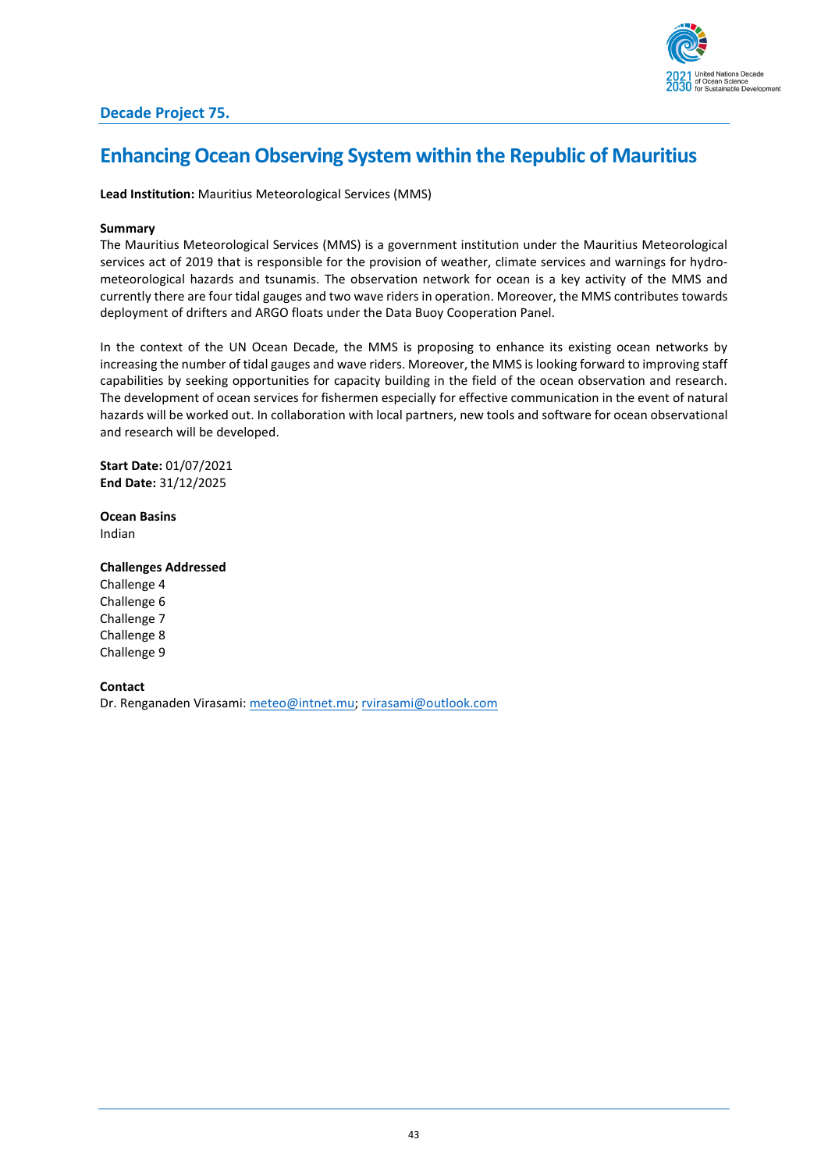

# **Enhancing Ocean Observing System within the Republic of Mauritius**

**Lead Institution:** Mauritius Meteorological Services (MMS)

#### **Summary**

The Mauritius Meteorological Services (MMS) is a government institution under the Mauritius Meteorological services act of 2019 that is responsible for the provision of weather, climate services and warnings for hydrometeorological hazards and tsunamis. The observation network for ocean is a key activity of the MMS and currently there are four tidal gauges and two wave riders in operation. Moreover, the MMS contributes towards deployment of drifters and ARGO floats under the Data Buoy Cooperation Panel.

In the context of the UN Ocean Decade, the MMS is proposing to enhance its existing ocean networks by increasing the number of tidal gauges and wave riders. Moreover, the MMS is looking forward to improving staff capabilities by seeking opportunities for capacity building in the field of the ocean observation and research. The development of ocean services for fishermen especially for effective communication in the event of natural hazards will be worked out. In collaboration with local partners, new tools and software for ocean observational and research will be developed.

**Start Date:** 01/07/2021 **End Date:** 31/12/2025

**Ocean Basins** Indian

**Challenges Addressed**

Challenge 4 Challenge 6 Challenge 7 Challenge 8 Challenge 9

**Contact** Dr. Renganaden Virasami[: meteo@intnet.mu;](mailto:meteo@intnet.mu) [rvirasami@outlook.com](mailto:rvirasami@outlook.com)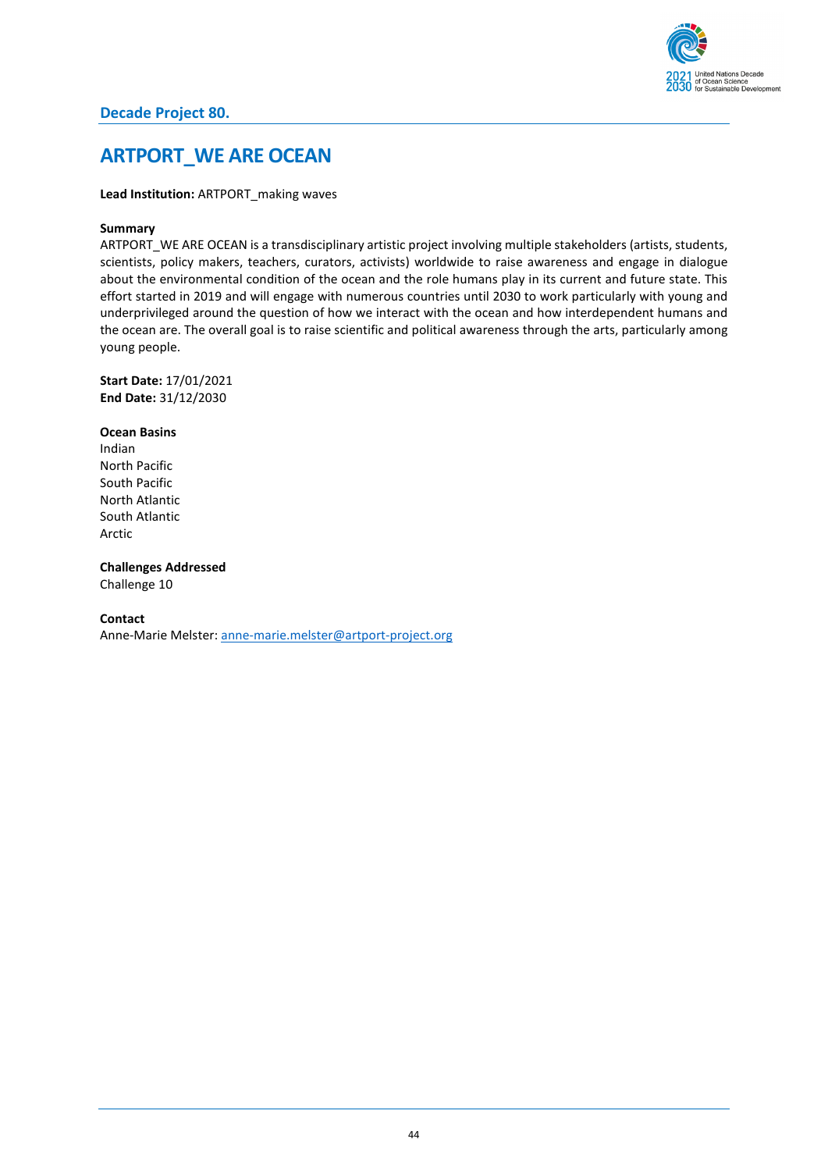

# **Decade Project 80.**

# **ARTPORT\_WE ARE OCEAN**

**Lead Institution: ARTPORT** making waves

### **Summary**

ARTPORT\_WE ARE OCEAN is a transdisciplinary artistic project involving multiple stakeholders (artists, students, scientists, policy makers, teachers, curators, activists) worldwide to raise awareness and engage in dialogue about the environmental condition of the ocean and the role humans play in its current and future state. This effort started in 2019 and will engage with numerous countries until 2030 to work particularly with young and underprivileged around the question of how we interact with the ocean and how interdependent humans and the ocean are. The overall goal is to raise scientific and political awareness through the arts, particularly among young people.

**Start Date:** 17/01/2021 **End Date:** 31/12/2030

**Ocean Basins** Indian North Pacific South Pacific North Atlantic South Atlantic Arctic

**Challenges Addressed** Challenge 10

#### **Contact**

Anne-Marie Melster: [anne-marie.melster@artport-project.org](mailto:anne-marie.melster@artport-project.org)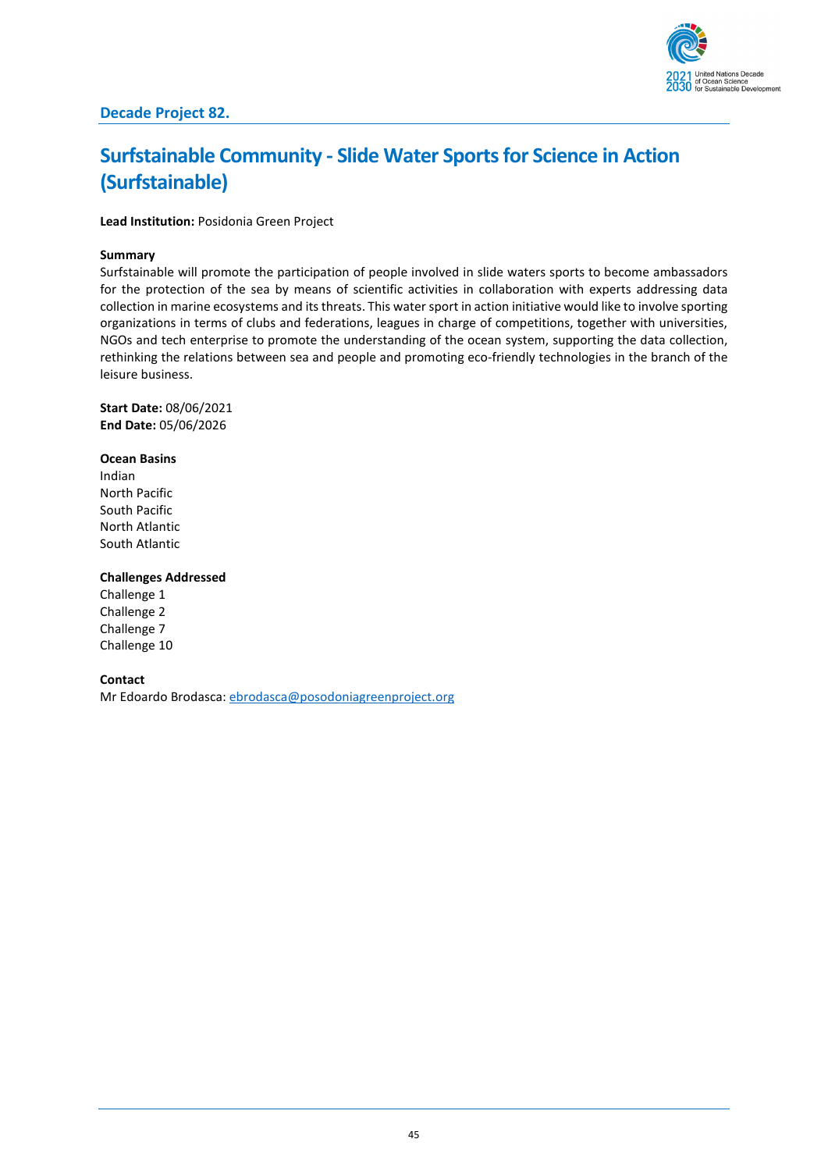

# **Surfstainable Community - Slide Water Sports for Science in Action (Surfstainable)**

**Lead Institution:** Posidonia Green Project

### **Summary**

Surfstainable will promote the participation of people involved in slide waters sports to become ambassadors for the protection of the sea by means of scientific activities in collaboration with experts addressing data collection in marine ecosystems and its threats. This water sport in action initiative would like to involve sporting organizations in terms of clubs and federations, leagues in charge of competitions, together with universities, NGOs and tech enterprise to promote the understanding of the ocean system, supporting the data collection, rethinking the relations between sea and people and promoting eco-friendly technologies in the branch of the leisure business.

**Start Date:** 08/06/2021 **End Date:** 05/06/2026

**Ocean Basins** Indian North Pacific South Pacific North Atlantic South Atlantic

#### **Challenges Addressed**

Challenge 1 Challenge 2 Challenge 7 Challenge 10

**Contact**

Mr Edoardo Brodasca: [ebrodasca@posodoniagreenproject.org](mailto:ebrodasca@posodoniagreenproject.org)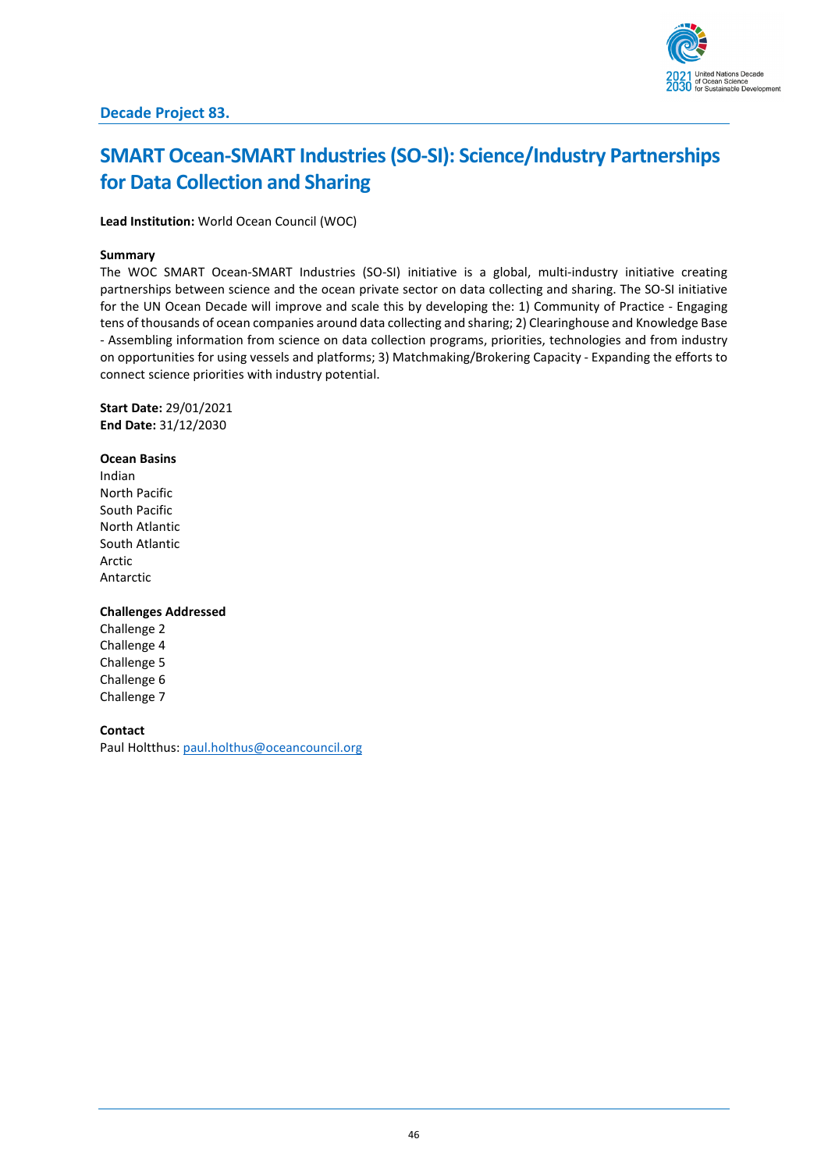

# **SMART Ocean-SMART Industries (SO-SI): Science/Industry Partnerships for Data Collection and Sharing**

**Lead Institution:** World Ocean Council (WOC)

### **Summary**

The WOC SMART Ocean-SMART Industries (SO-SI) initiative is a global, multi-industry initiative creating partnerships between science and the ocean private sector on data collecting and sharing. The SO-SI initiative for the UN Ocean Decade will improve and scale this by developing the: 1) Community of Practice - Engaging tens of thousands of ocean companies around data collecting and sharing; 2) Clearinghouse and Knowledge Base - Assembling information from science on data collection programs, priorities, technologies and from industry on opportunities for using vessels and platforms; 3) Matchmaking/Brokering Capacity - Expanding the efforts to connect science priorities with industry potential.

**Start Date:** 29/01/2021 **End Date:** 31/12/2030

**Ocean Basins** Indian North Pacific South Pacific North Atlantic South Atlantic Arctic Antarctic

#### **Challenges Addressed**

Challenge 2 Challenge 4 Challenge 5 Challenge 6 Challenge 7

### **Contact**

Paul Holtthus[: paul.holthus@oceancouncil.org](mailto:paul.holthus@oceancouncil.org)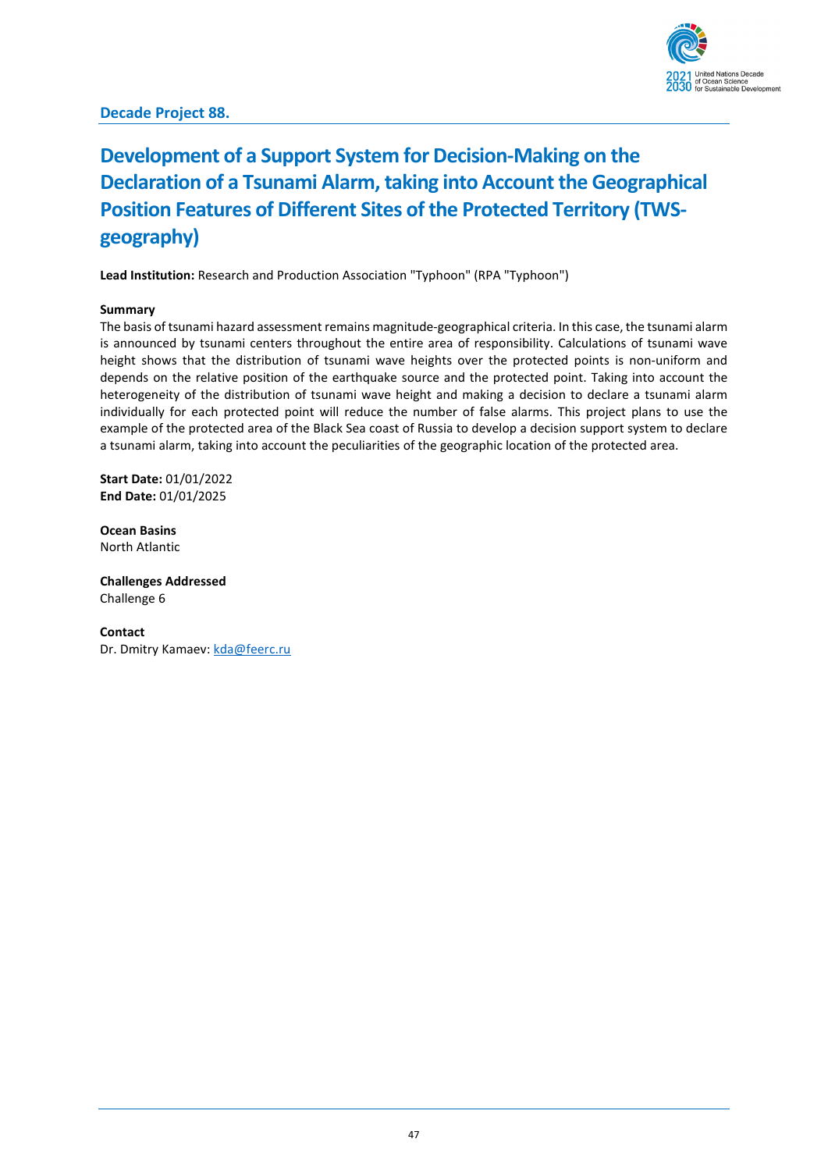

# **Development of a Support System for Decision-Making on the Declaration of a Tsunami Alarm, taking into Account the Geographical Position Features of Different Sites of the Protected Territory (TWSgeography)**

Lead Institution: Research and Production Association "Typhoon" (RPA "Typhoon")

### **Summary**

The basis of tsunami hazard assessment remains magnitude-geographical criteria. In this case, the tsunami alarm is announced by tsunami centers throughout the entire area of responsibility. Calculations of tsunami wave height shows that the distribution of tsunami wave heights over the protected points is non-uniform and depends on the relative position of the earthquake source and the protected point. Taking into account the heterogeneity of the distribution of tsunami wave height and making a decision to declare a tsunami alarm individually for each protected point will reduce the number of false alarms. This project plans to use the example of the protected area of the Black Sea coast of Russia to develop a decision support system to declare a tsunami alarm, taking into account the peculiarities of the geographic location of the protected area.

**Start Date:** 01/01/2022 **End Date:** 01/01/2025

**Ocean Basins** North Atlantic

**Challenges Addressed** Challenge 6

**Contact** Dr. Dmitry Kamaev[: kda@feerc.ru](mailto:kda@feerc.ru)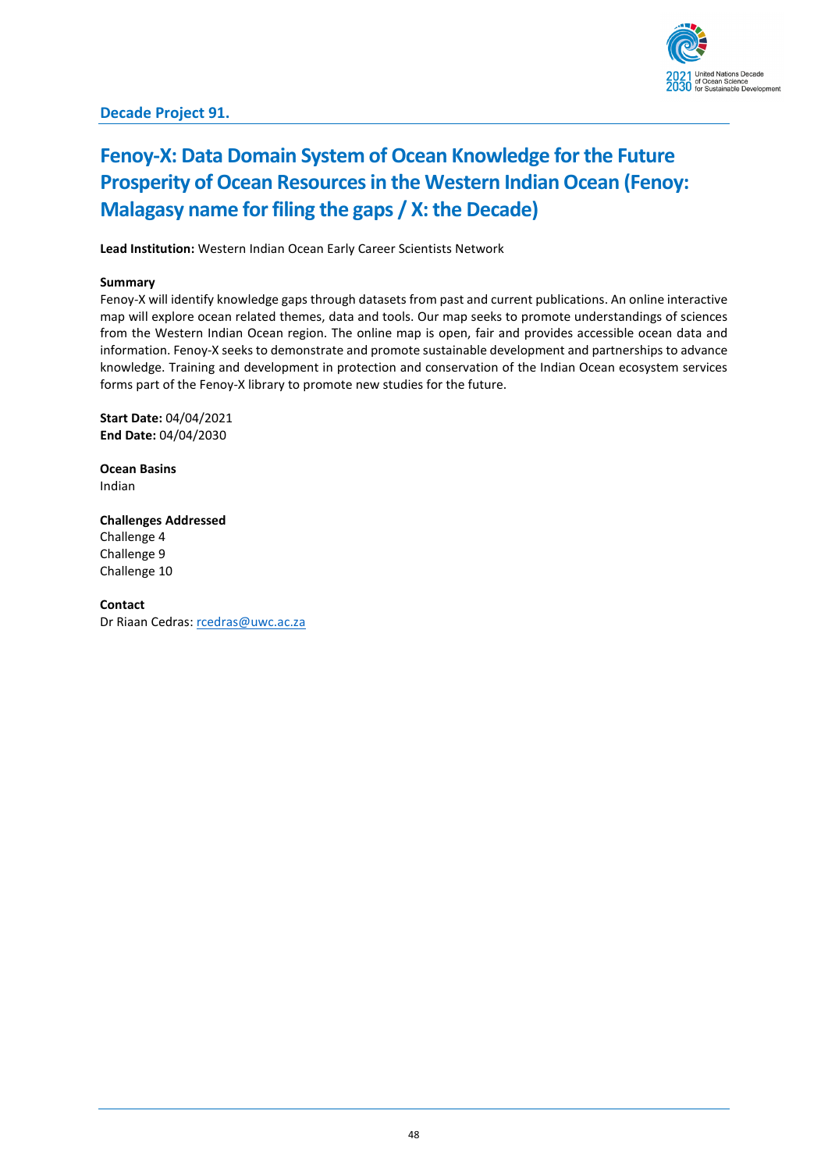# **Fenoy-X: Data Domain System of Ocean Knowledge for the Future Prosperity of Ocean Resources in the Western Indian Ocean (Fenoy: Malagasy name for filing the gaps / X: the Decade)**

**Lead Institution:** Western Indian Ocean Early Career Scientists Network

## **Summary**

Fenoy-X will identify knowledge gaps through datasets from past and current publications. An online interactive map will explore ocean related themes, data and tools. Our map seeks to promote understandings of sciences from the Western Indian Ocean region. The online map is open, fair and provides accessible ocean data and information. Fenoy-X seeks to demonstrate and promote sustainable development and partnerships to advance knowledge. Training and development in protection and conservation of the Indian Ocean ecosystem services forms part of the Fenoy-X library to promote new studies for the future.

**Start Date:** 04/04/2021 **End Date:** 04/04/2030

**Ocean Basins** Indian

**Challenges Addressed** Challenge 4 Challenge 9 Challenge 10

**Contact** Dr Riaan Cedras[: rcedras@uwc.ac.za](mailto:rcedras@uwc.ac.za)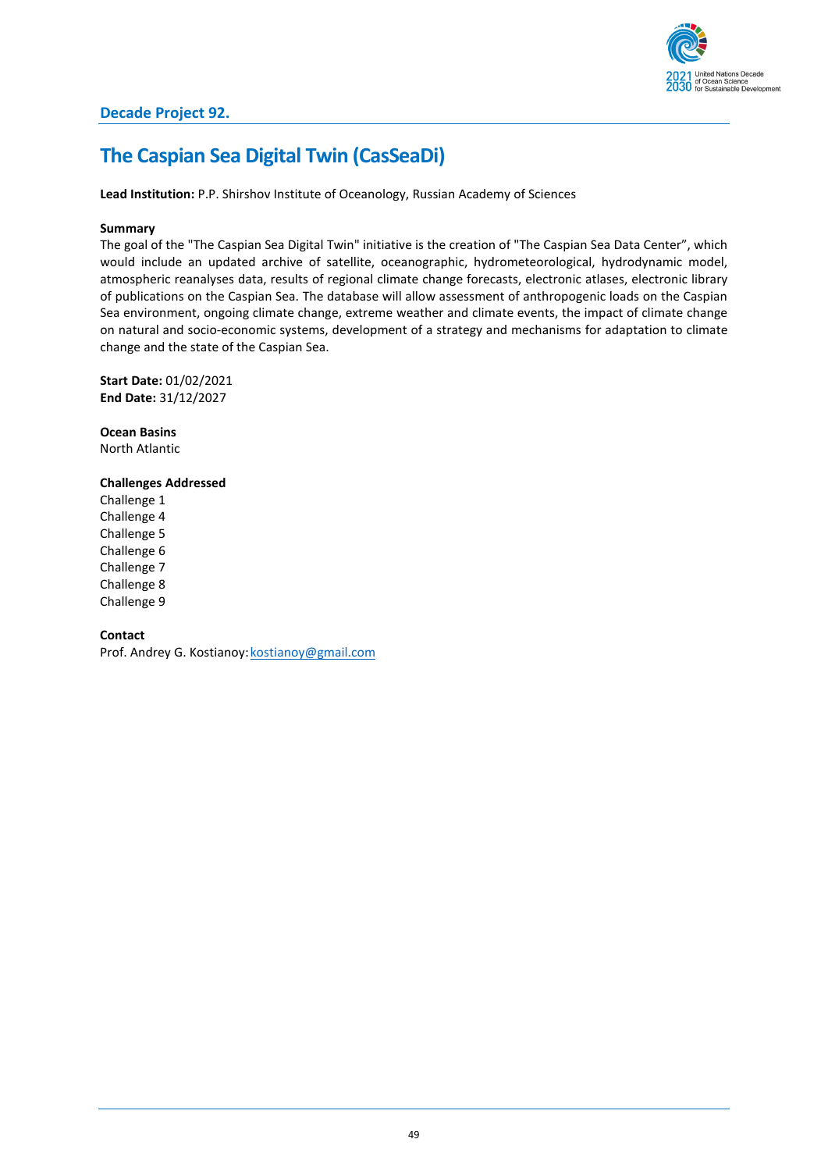

# **The Caspian Sea Digital Twin (CasSeaDi)**

**Lead Institution:** P.P. Shirshov Institute of Oceanology, Russian Academy of Sciences

### **Summary**

The goal of the "The Caspian Sea Digital Twin" initiative is the creation of "The Caspian Sea Data Center", which would include an updated archive of satellite, oceanographic, hydrometeorological, hydrodynamic model, atmospheric reanalyses data, results of regional climate change forecasts, electronic atlases, electronic library of publications on the Caspian Sea. The database will allow assessment of anthropogenic loads on the Caspian Sea environment, ongoing climate change, extreme weather and climate events, the impact of climate change on natural and socio-economic systems, development of a strategy and mechanisms for adaptation to climate change and the state of the Caspian Sea.

**Start Date:** 01/02/2021 **End Date:** 31/12/2027

**Ocean Basins** North Atlantic

**Challenges Addressed** Challenge 1 Challenge 4 Challenge 5 Challenge 6 Challenge 7 Challenge 8 Challenge 9

**Contact**

Prof. Andrey G. Kostianoy: kostianoy@gmail.com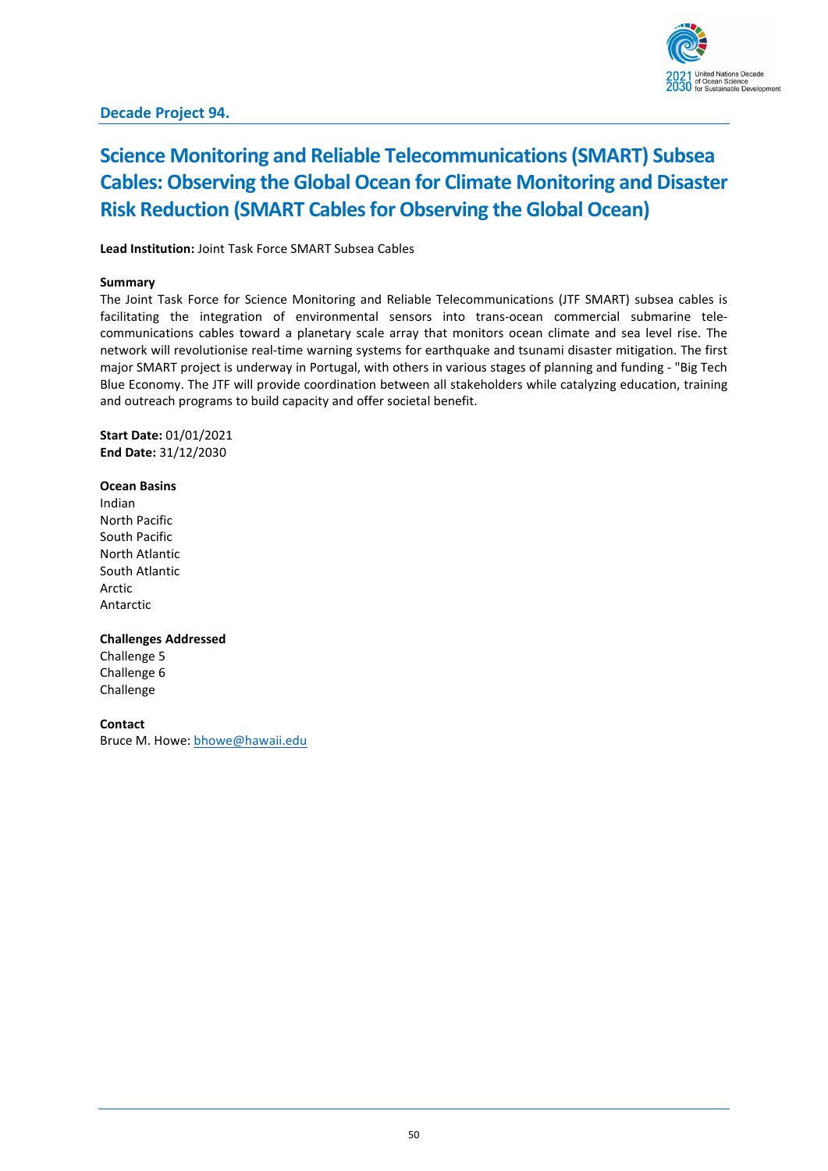

# **Science Monitoring and Reliable Telecommunications (SMART) Subsea Cables: Observing the Global Ocean for Climate Monitoring and Disaster Risk Reduction (SMART Cables for Observing the Global Ocean)**

**Lead Institution:** Joint Task Force SMART Subsea Cables

### **Summary**

The Joint Task Force for Science Monitoring and Reliable Telecommunications (JTF SMART) subsea cables is facilitating the integration of environmental sensors into trans-ocean commercial submarine telecommunications cables toward a planetary scale array that monitors ocean climate and sea level rise. The network will revolutionise real-time warning systems for earthquake and tsunami disaster mitigation. The first major SMART project is underway in Portugal, with others in various stages of planning and funding - "Big Tech Blue Economy. The JTF will provide coordination between all stakeholders while catalyzing education, training and outreach programs to build capacity and offer societal benefit.

**Start Date:** 01/01/2021 **End Date:** 31/12/2030

#### **Ocean Basins**

Indian North Pacific South Pacific North Atlantic South Atlantic Arctic Antarctic

#### **Challenges Addressed**

Challenge 5 Challenge 6 Challenge

### **Contact**

Bruce M. Howe[: bhowe@hawaii.edu](mailto:bhowe@hawaii.edu)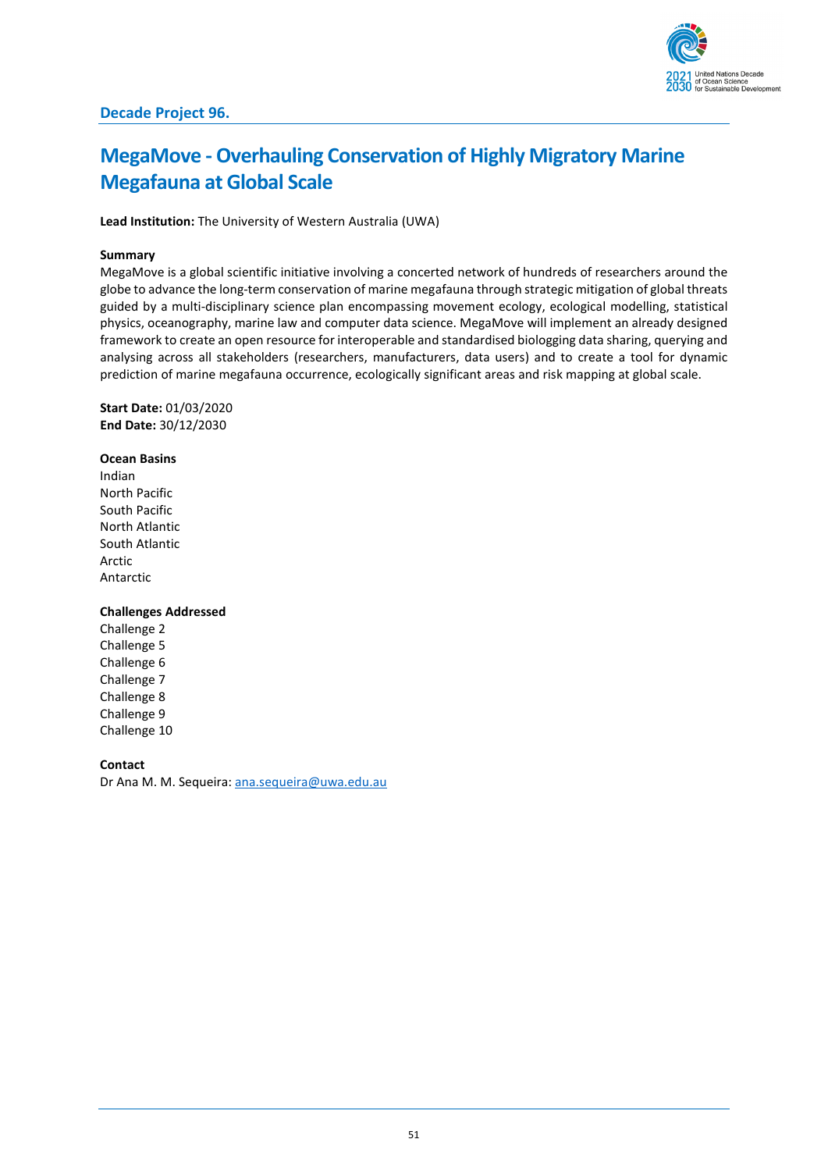

# **MegaMove - Overhauling Conservation of Highly Migratory Marine Megafauna at Global Scale**

**Lead Institution:** The University of Western Australia (UWA)

#### **Summary**

MegaMove is a global scientific initiative involving a concerted network of hundreds of researchers around the globe to advance the long-term conservation of marine megafauna through strategic mitigation of global threats guided by a multi-disciplinary science plan encompassing movement ecology, ecological modelling, statistical physics, oceanography, marine law and computer data science. MegaMove will implement an already designed framework to create an open resource for interoperable and standardised biologging data sharing, querying and analysing across all stakeholders (researchers, manufacturers, data users) and to create a tool for dynamic prediction of marine megafauna occurrence, ecologically significant areas and risk mapping at global scale.

**Start Date:** 01/03/2020 **End Date:** 30/12/2030

**Ocean Basins** Indian North Pacific South Pacific North Atlantic South Atlantic Arctic Antarctic

#### **Challenges Addressed**

Challenge 2 Challenge 5 Challenge 6 Challenge 7 Challenge 8 Challenge 9 Challenge 10

**Contact**

Dr Ana M. M. Sequeira: [ana.sequeira@uwa.edu.au](mailto:ana.sequeira@uwa.edu.au)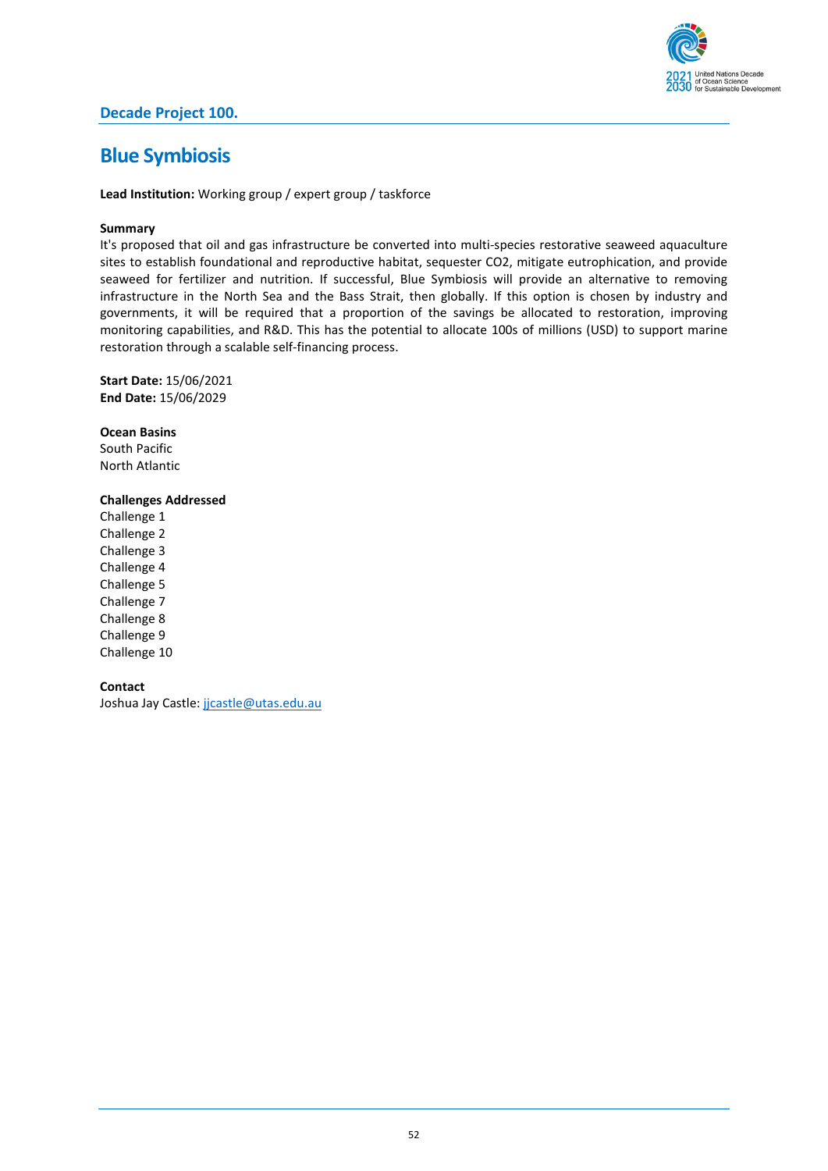

# **Decade Project 100.**

# **Blue Symbiosis**

**Lead Institution:** Working group / expert group / taskforce

### **Summary**

It's proposed that oil and gas infrastructure be converted into multi-species restorative seaweed aquaculture sites to establish foundational and reproductive habitat, sequester CO2, mitigate eutrophication, and provide seaweed for fertilizer and nutrition. If successful, Blue Symbiosis will provide an alternative to removing infrastructure in the North Sea and the Bass Strait, then globally. If this option is chosen by industry and governments, it will be required that a proportion of the savings be allocated to restoration, improving monitoring capabilities, and R&D. This has the potential to allocate 100s of millions (USD) to support marine restoration through a scalable self-financing process.

**Start Date:** 15/06/2021 **End Date:** 15/06/2029

**Ocean Basins** South Pacific North Atlantic

## **Challenges Addressed**

Challenge 1 Challenge 2 Challenge 3 Challenge 4 Challenge 5 Challenge 7 Challenge 8 Challenge 9 Challenge 10

**Contact** Joshua Jay Castle: [jjcastle@utas.edu.au](mailto:jjcastle@utas.edu.au)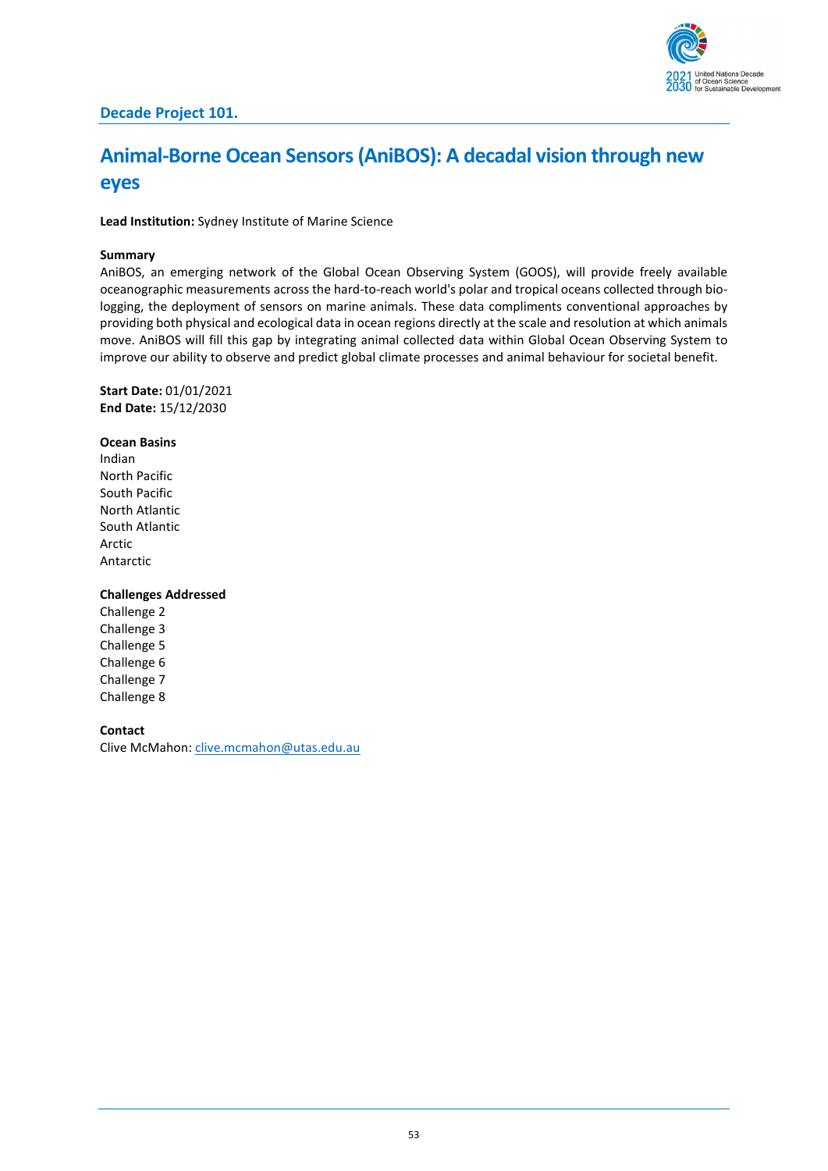

# **Animal-Borne Ocean Sensors(AniBOS): A decadal vision through new eyes**

**Lead Institution:** Sydney Institute of Marine Science

#### **Summary**

AniBOS, an emerging network of the Global Ocean Observing System (GOOS), will provide freely available oceanographic measurements across the hard-to-reach world's polar and tropical oceans collected through biologging, the deployment of sensors on marine animals. These data compliments conventional approaches by providing both physical and ecological data in ocean regions directly at the scale and resolution at which animals move. AniBOS will fill this gap by integrating animal collected data within Global Ocean Observing System to improve our ability to observe and predict global climate processes and animal behaviour for societal benefit.

**Start Date:** 01/01/2021 **End Date:** 15/12/2030

#### **Ocean Basins**

Indian North Pacific South Pacific North Atlantic South Atlantic Arctic Antarctic

### **Challenges Addressed**

Challenge 2 Challenge 3 Challenge 5 Challenge 6 Challenge 7 Challenge 8

### **Contact**

Clive McMahon[: clive.mcmahon@utas.edu.au](mailto:clive.mcmahon@utas.edu.au)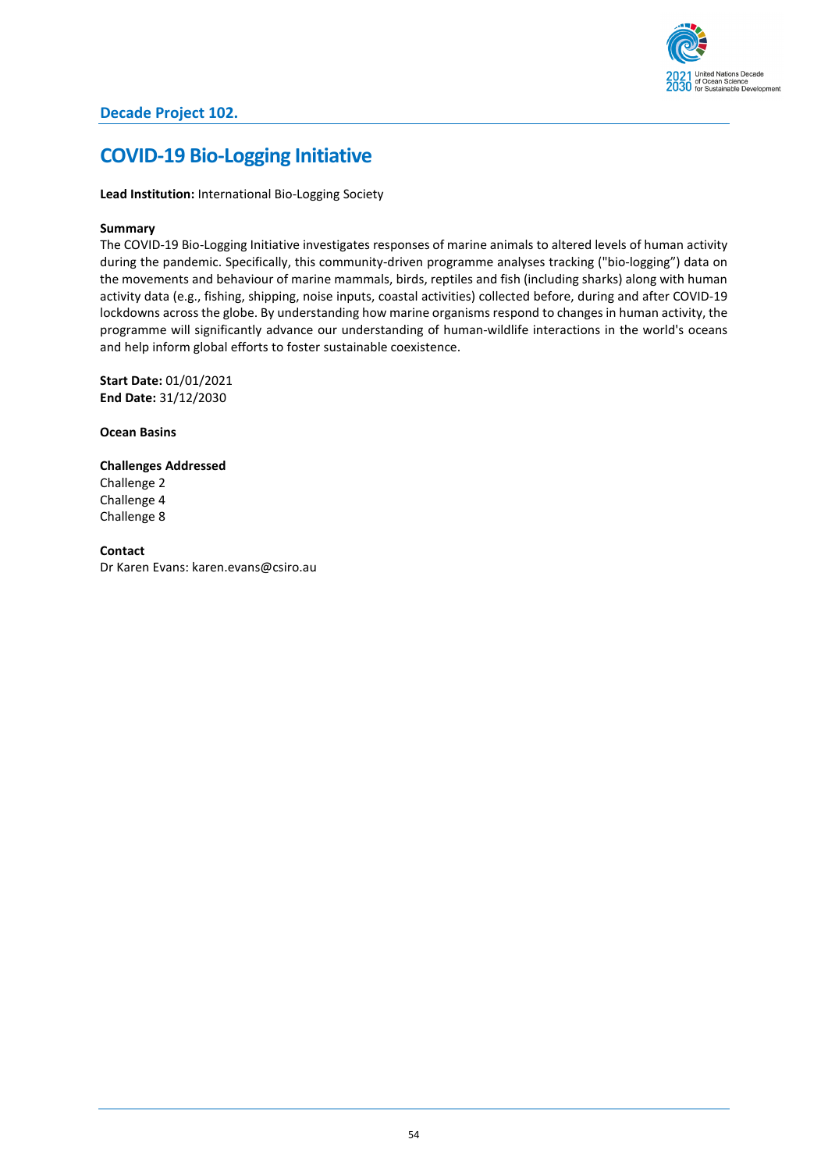

# **COVID-19 Bio-Logging Initiative**

**Lead Institution:** International Bio-Logging Society

### **Summary**

The COVID-19 Bio-Logging Initiative investigates responses of marine animals to altered levels of human activity during the pandemic. Specifically, this community-driven programme analyses tracking ("bio-logging") data on the movements and behaviour of marine mammals, birds, reptiles and fish (including sharks) along with human activity data (e.g., fishing, shipping, noise inputs, coastal activities) collected before, during and after COVID-19 lockdowns across the globe. By understanding how marine organisms respond to changes in human activity, the programme will significantly advance our understanding of human-wildlife interactions in the world's oceans and help inform global efforts to foster sustainable coexistence.

**Start Date:** 01/01/2021 **End Date:** 31/12/2030

**Ocean Basins**

**Challenges Addressed** Challenge 2 Challenge 4 Challenge 8

**Contact** Dr Karen Evans: karen.evans@csiro.au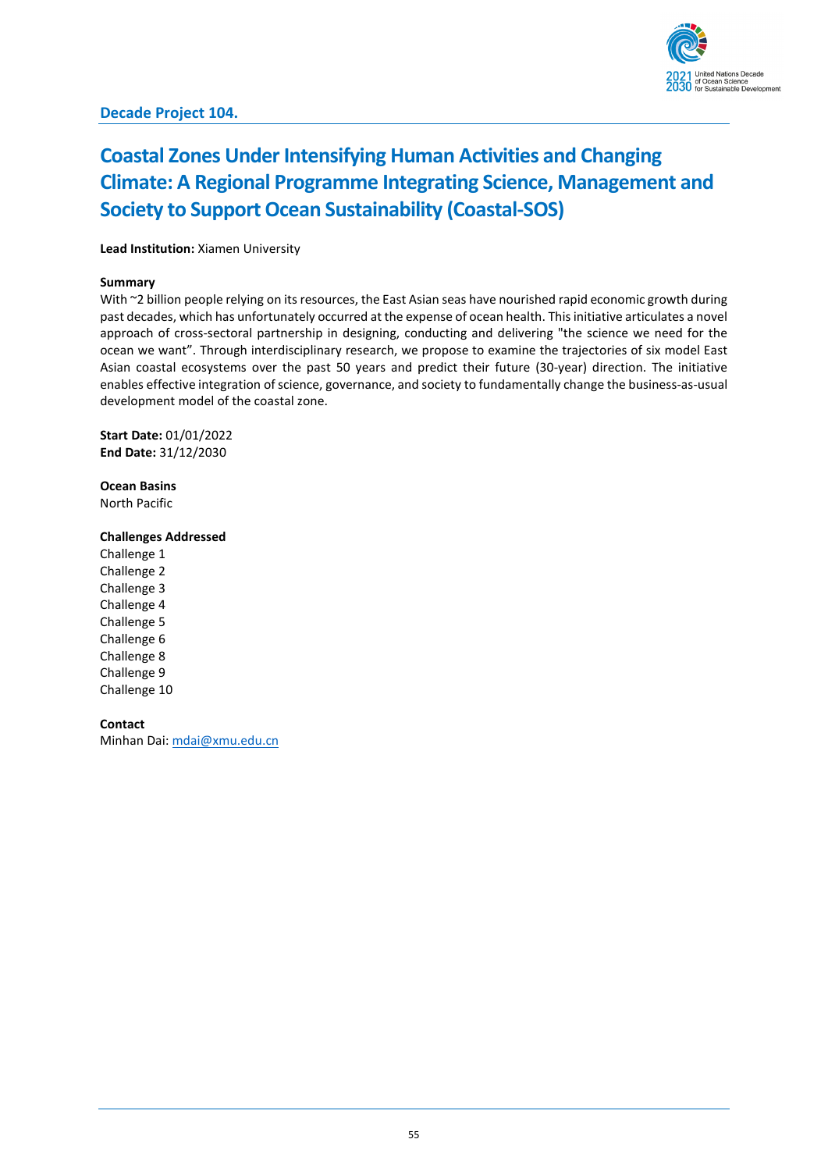# **Coastal Zones Under Intensifying Human Activities and Changing Climate: A Regional Programme Integrating Science, Management and Society to Support Ocean Sustainability (Coastal-SOS)**

### **Lead Institution:** Xiamen University

#### **Summary**

With ~2 billion people relying on its resources, the East Asian seas have nourished rapid economic growth during past decades, which has unfortunately occurred at the expense of ocean health. This initiative articulates a novel approach of cross-sectoral partnership in designing, conducting and delivering "the science we need for the ocean we want". Through interdisciplinary research, we propose to examine the trajectories of six model East Asian coastal ecosystems over the past 50 years and predict their future (30-year) direction. The initiative enables effective integration of science, governance, and society to fundamentally change the business-as-usual development model of the coastal zone.

**Start Date:** 01/01/2022 **End Date:** 31/12/2030

**Ocean Basins** North Pacific

### **Challenges Addressed**

Challenge 1 Challenge 2 Challenge 3 Challenge 4 Challenge 5 Challenge 6 Challenge 8 Challenge 9 Challenge 10

# **Contact**

Minhan Dai: [mdai@xmu.edu.cn](mailto:mdai@xmu.edu.cn)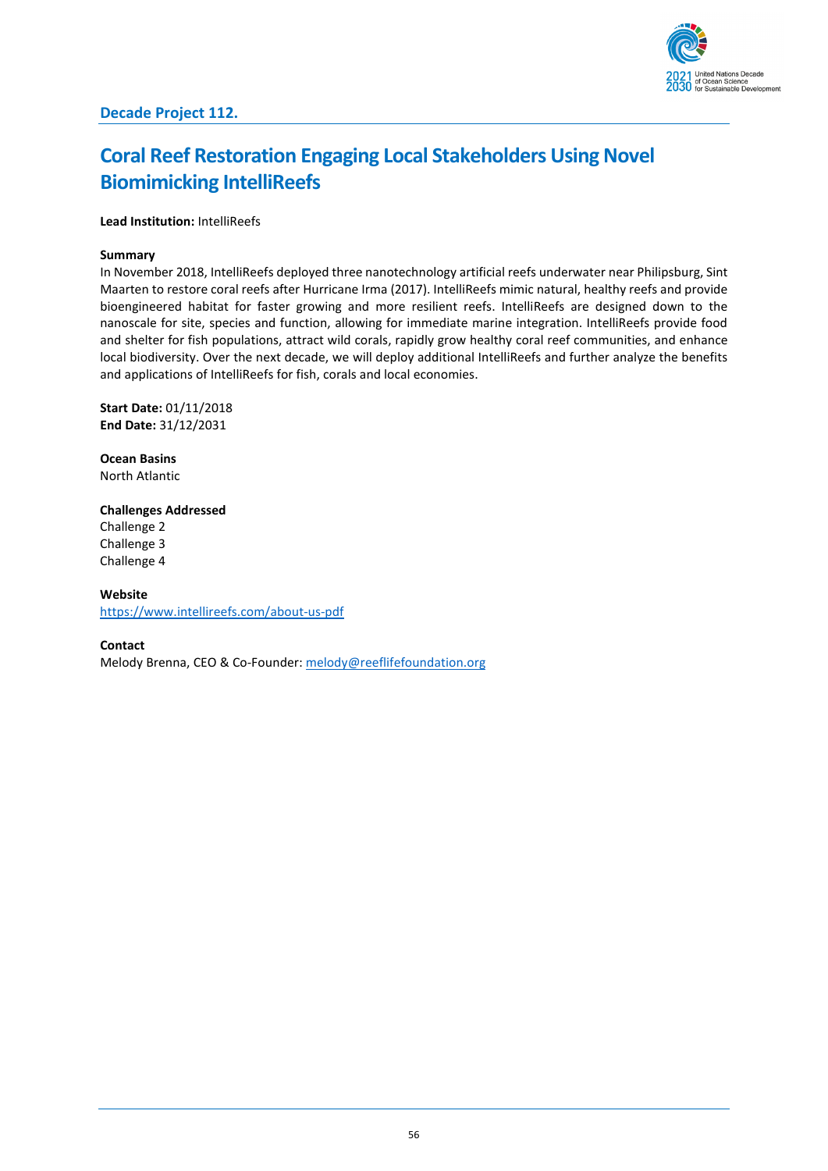# **Coral Reef Restoration Engaging Local Stakeholders Using Novel Biomimicking IntelliReefs**

## **Lead Institution:** IntelliReefs

## **Summary**

In November 2018, IntelliReefs deployed three nanotechnology artificial reefs underwater near Philipsburg, Sint Maarten to restore coral reefs after Hurricane Irma (2017). IntelliReefs mimic natural, healthy reefs and provide bioengineered habitat for faster growing and more resilient reefs. IntelliReefs are designed down to the nanoscale for site, species and function, allowing for immediate marine integration. IntelliReefs provide food and shelter for fish populations, attract wild corals, rapidly grow healthy coral reef communities, and enhance local biodiversity. Over the next decade, we will deploy additional IntelliReefs and further analyze the benefits and applications of IntelliReefs for fish, corals and local economies.

**Start Date:** 01/11/2018 **End Date:** 31/12/2031

**Ocean Basins** North Atlantic

# **Challenges Addressed**

Challenge 2 Challenge 3 Challenge 4

### **Website**

<https://www.intellireefs.com/about-us-pdf>

**Contact**

Melody Brenna, CEO & Co-Founder: [melody@reeflifefoundation.org](mailto:melody@reeflifefoundation.org)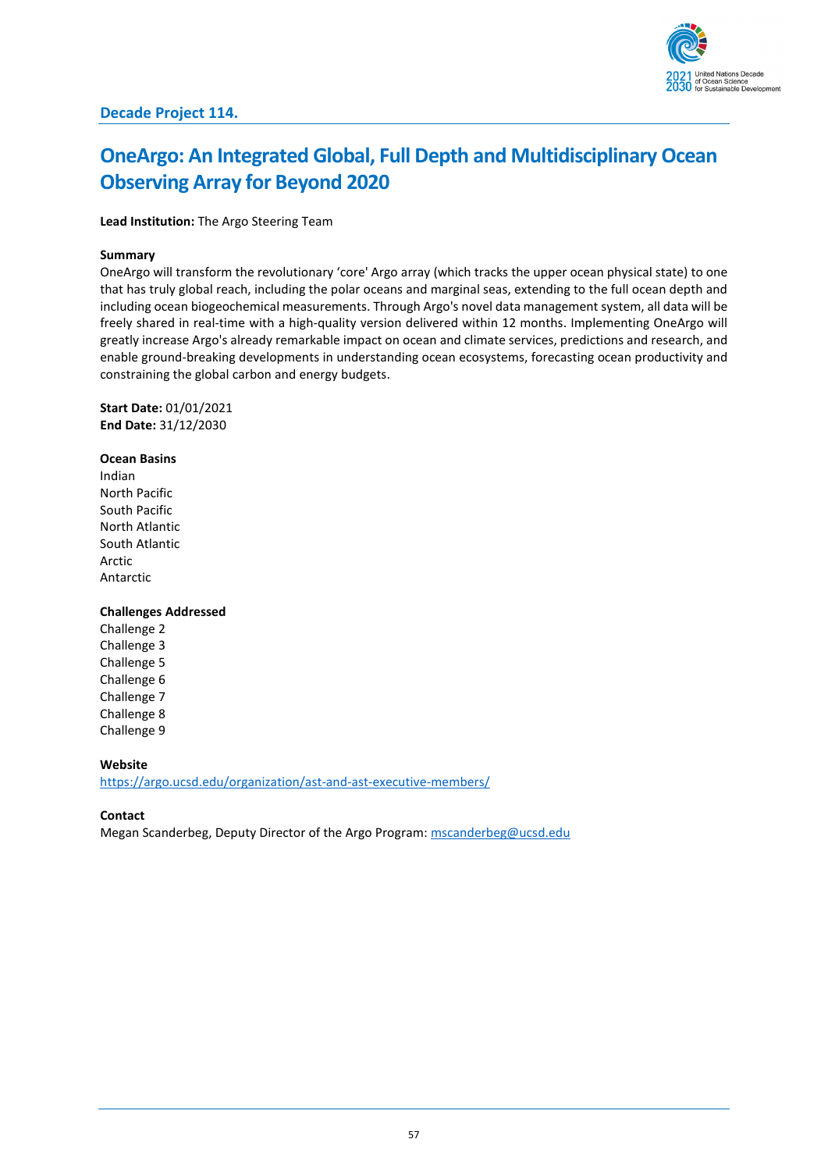

# **OneArgo: An Integrated Global, Full Depth and Multidisciplinary Ocean Observing Array for Beyond 2020**

**Lead Institution:** The Argo Steering Team

#### **Summary**

OneArgo will transform the revolutionary 'core' Argo array (which tracks the upper ocean physical state) to one that has truly global reach, including the polar oceans and marginal seas, extending to the full ocean depth and including ocean biogeochemical measurements. Through Argo's novel data management system, all data will be freely shared in real-time with a high-quality version delivered within 12 months. Implementing OneArgo will greatly increase Argo's already remarkable impact on ocean and climate services, predictions and research, and enable ground-breaking developments in understanding ocean ecosystems, forecasting ocean productivity and constraining the global carbon and energy budgets.

**Start Date:** 01/01/2021 **End Date:** 31/12/2030

**Ocean Basins** Indian North Pacific South Pacific North Atlantic South Atlantic Arctic Antarctic

#### **Challenges Addressed**

Challenge 2 Challenge 3 Challenge 5 Challenge 6 Challenge 7 Challenge 8 Challenge 9

**Website** <https://argo.ucsd.edu/organization/ast-and-ast-executive-members/>

#### **Contact**

Megan Scanderbeg, Deputy Director of the Argo Program: [mscanderbeg@ucsd.edu](mailto:mscanderbeg@ucsd.edu)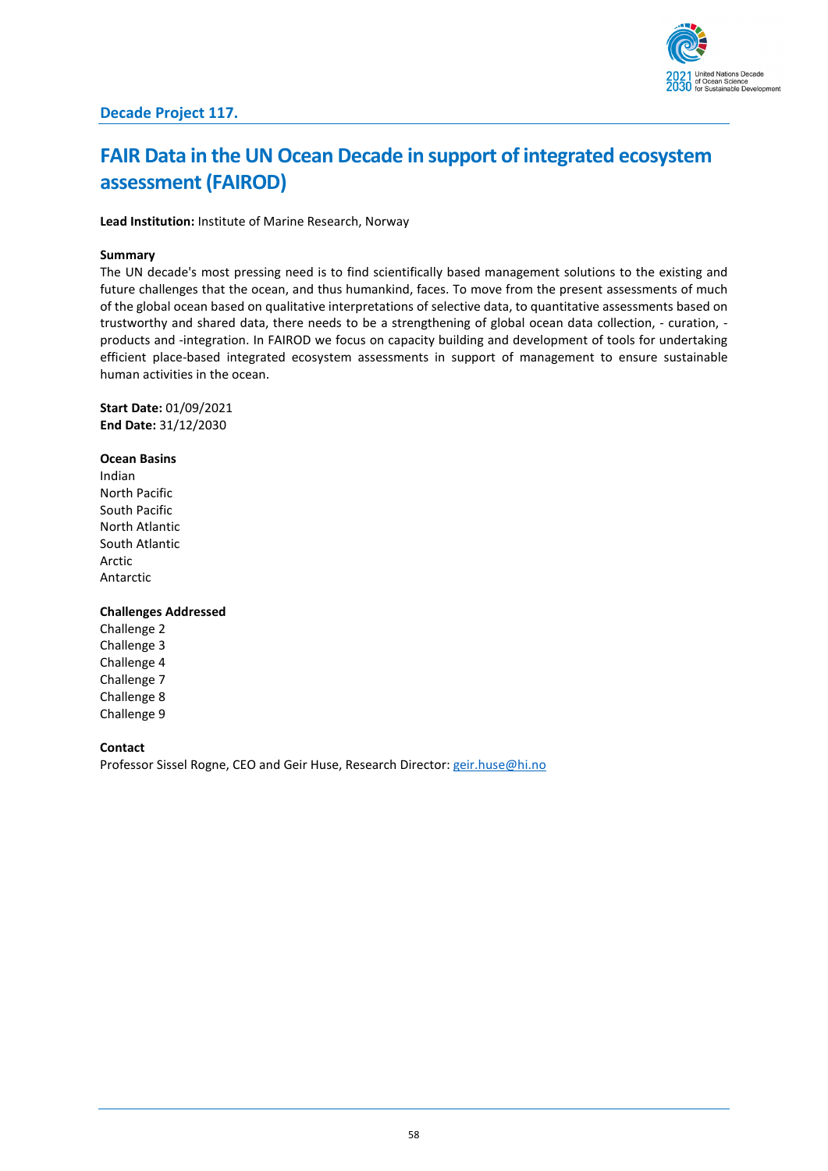

# **FAIR Data in the UN Ocean Decade in support of integrated ecosystem assessment (FAIROD)**

**Lead Institution:** Institute of Marine Research, Norway

#### **Summary**

The UN decade's most pressing need is to find scientifically based management solutions to the existing and future challenges that the ocean, and thus humankind, faces. To move from the present assessments of much of the global ocean based on qualitative interpretations of selective data, to quantitative assessments based on trustworthy and shared data, there needs to be a strengthening of global ocean data collection, - curation, products and -integration. In FAIROD we focus on capacity building and development of tools for undertaking efficient place-based integrated ecosystem assessments in support of management to ensure sustainable human activities in the ocean.

**Start Date:** 01/09/2021 **End Date:** 31/12/2030

**Ocean Basins** Indian North Pacific South Pacific North Atlantic South Atlantic Arctic Antarctic

#### **Challenges Addressed**

Challenge 2 Challenge 3 Challenge 4 Challenge 7 Challenge 8 Challenge 9

#### **Contact**

Professor Sissel Rogne, CEO and Geir Huse, Research Director: [geir.huse@hi.no](mailto:geir.huse@hi.no)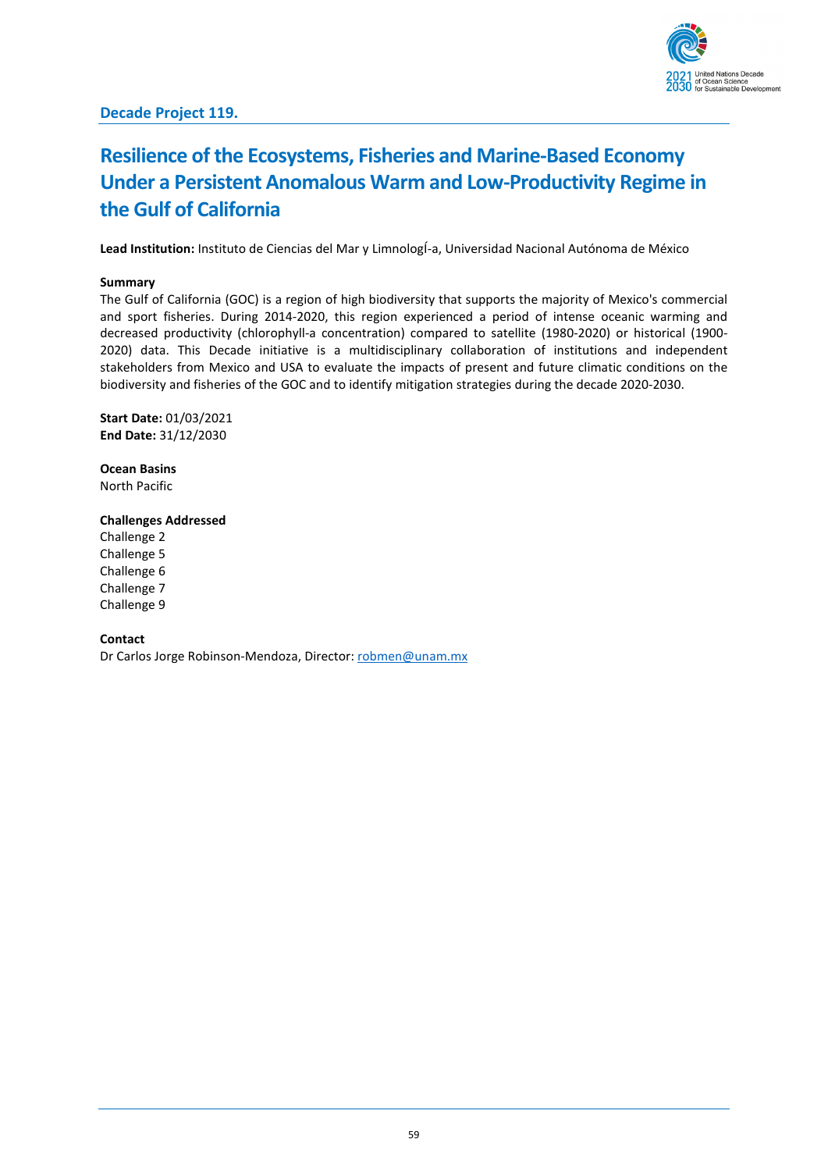

# **Resilience of the Ecosystems, Fisheries and Marine-Based Economy Under a Persistent Anomalous Warm and Low-Productivity Regime in the Gulf of California**

**Lead Institution:** Instituto de Ciencias del Mar y LimnologÍ-a, Universidad Nacional Autónoma de México

#### **Summary**

The Gulf of California (GOC) is a region of high biodiversity that supports the majority of Mexico's commercial and sport fisheries. During 2014-2020, this region experienced a period of intense oceanic warming and decreased productivity (chlorophyll-a concentration) compared to satellite (1980-2020) or historical (1900- 2020) data. This Decade initiative is a multidisciplinary collaboration of institutions and independent stakeholders from Mexico and USA to evaluate the impacts of present and future climatic conditions on the biodiversity and fisheries of the GOC and to identify mitigation strategies during the decade 2020-2030.

**Start Date:** 01/03/2021 **End Date:** 31/12/2030

**Ocean Basins** North Pacific

# **Challenges Addressed**

Challenge 2 Challenge 5 Challenge 6 Challenge 7 Challenge 9

#### **Contact**

Dr Carlos Jorge Robinson-Mendoza, Director: [robmen@unam.mx](mailto:robmen@unam.mx)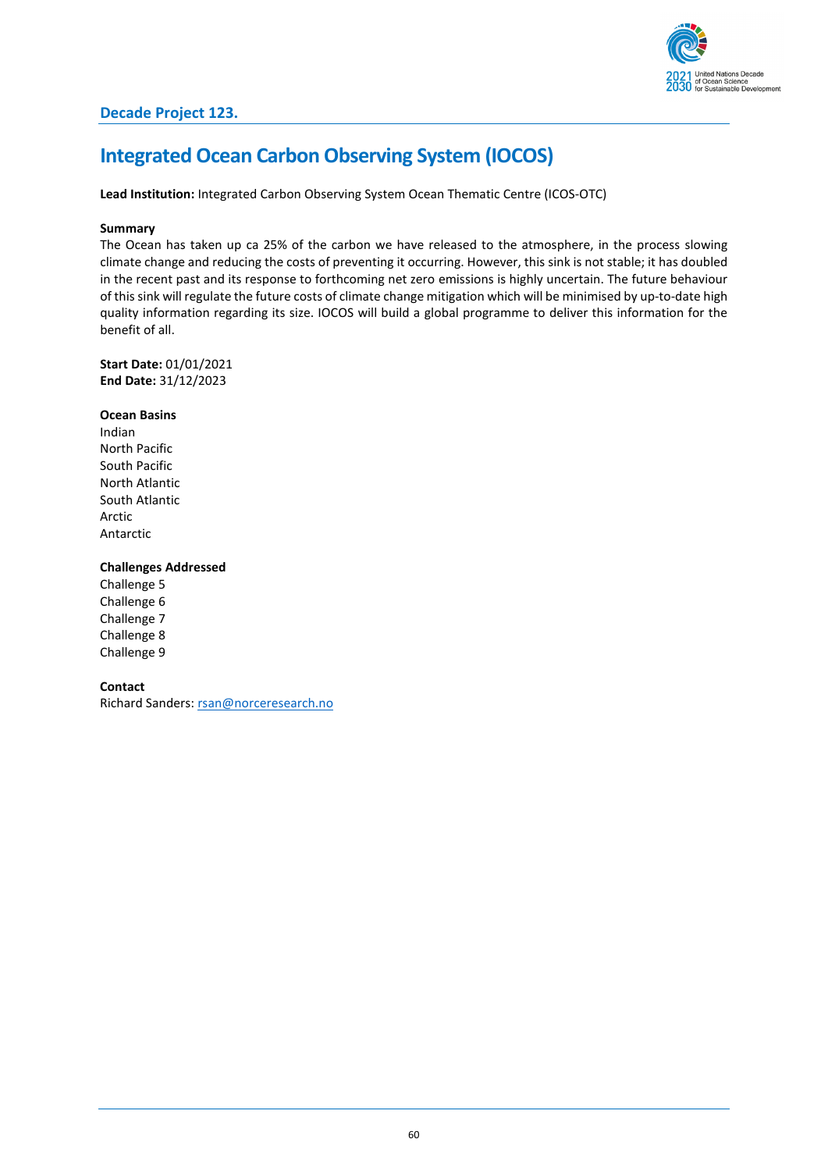

# **Integrated Ocean Carbon Observing System (IOCOS)**

**Lead Institution:** Integrated Carbon Observing System Ocean Thematic Centre (ICOS-OTC)

### **Summary**

The Ocean has taken up ca 25% of the carbon we have released to the atmosphere, in the process slowing climate change and reducing the costs of preventing it occurring. However, this sink is not stable; it has doubled in the recent past and its response to forthcoming net zero emissions is highly uncertain. The future behaviour of this sink will regulate the future costs of climate change mitigation which will be minimised by up-to-date high quality information regarding its size. IOCOS will build a global programme to deliver this information for the benefit of all.

**Start Date:** 01/01/2021 **End Date:** 31/12/2023

#### **Ocean Basins**

Indian North Pacific South Pacific North Atlantic South Atlantic Arctic Antarctic

### **Challenges Addressed**

Challenge 5 Challenge 6 Challenge 7 Challenge 8 Challenge 9

### **Contact**

Richard Sanders: [rsan@norceresearch.no](mailto:rsan@norceresearch.no)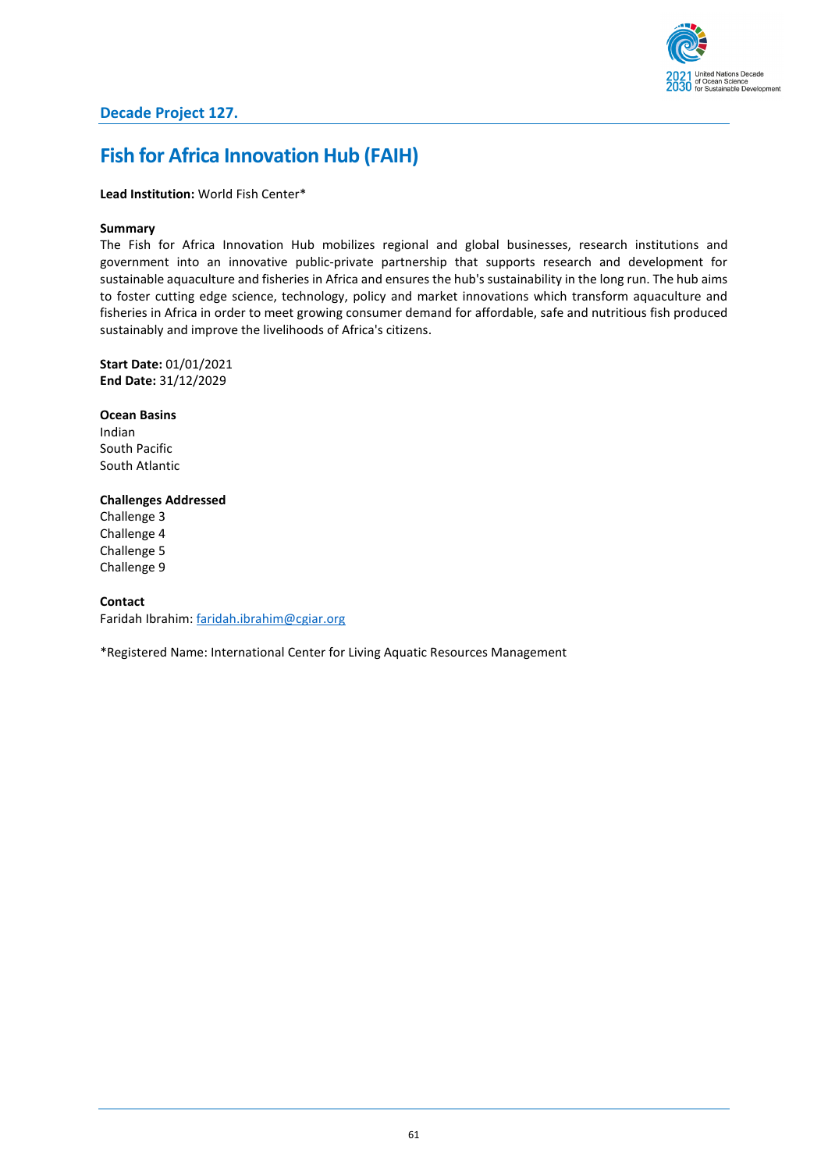

# **Fish for Africa Innovation Hub (FAIH)**

### **Lead Institution:** World Fish Center\*

### **Summary**

The Fish for Africa Innovation Hub mobilizes regional and global businesses, research institutions and government into an innovative public-private partnership that supports research and development for sustainable aquaculture and fisheries in Africa and ensures the hub's sustainability in the long run. The hub aims to foster cutting edge science, technology, policy and market innovations which transform aquaculture and fisheries in Africa in order to meet growing consumer demand for affordable, safe and nutritious fish produced sustainably and improve the livelihoods of Africa's citizens.

**Start Date:** 01/01/2021 **End Date:** 31/12/2029

**Ocean Basins** Indian South Pacific South Atlantic

### **Challenges Addressed**

Challenge 3 Challenge 4 Challenge 5 Challenge 9

### **Contact**

Faridah Ibrahim: [faridah.ibrahim@cgiar.org](mailto:faridah.ibrahim@cgiar.org)

\*Registered Name: International Center for Living Aquatic Resources Management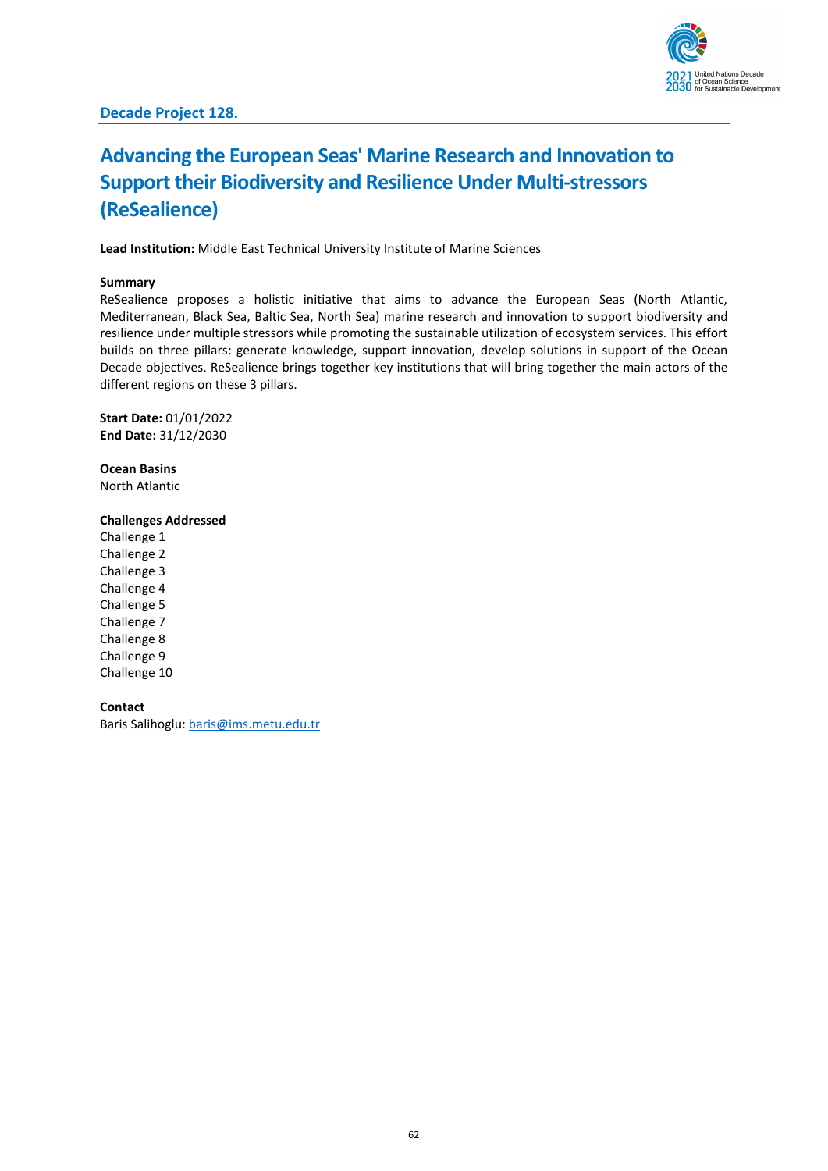

# **Advancing the European Seas' Marine Research and Innovation to Support their Biodiversity and Resilience Under Multi-stressors (ReSealience)**

**Lead Institution:** Middle East Technical University Institute of Marine Sciences

### **Summary**

ReSealience proposes a holistic initiative that aims to advance the European Seas (North Atlantic, Mediterranean, Black Sea, Baltic Sea, North Sea) marine research and innovation to support biodiversity and resilience under multiple stressors while promoting the sustainable utilization of ecosystem services. This effort builds on three pillars: generate knowledge, support innovation, develop solutions in support of the Ocean Decade objectives. ReSealience brings together key institutions that will bring together the main actors of the different regions on these 3 pillars.

**Start Date:** 01/01/2022 **End Date:** 31/12/2030

**Ocean Basins** North Atlantic

## **Challenges Addressed**

Challenge 1 Challenge 2 Challenge 3 Challenge 4 Challenge 5 Challenge 7 Challenge 8 Challenge 9 Challenge 10

**Contact** Baris Salihoglu: [baris@ims.metu.edu.tr](mailto:baris@ims.metu.edu.tr)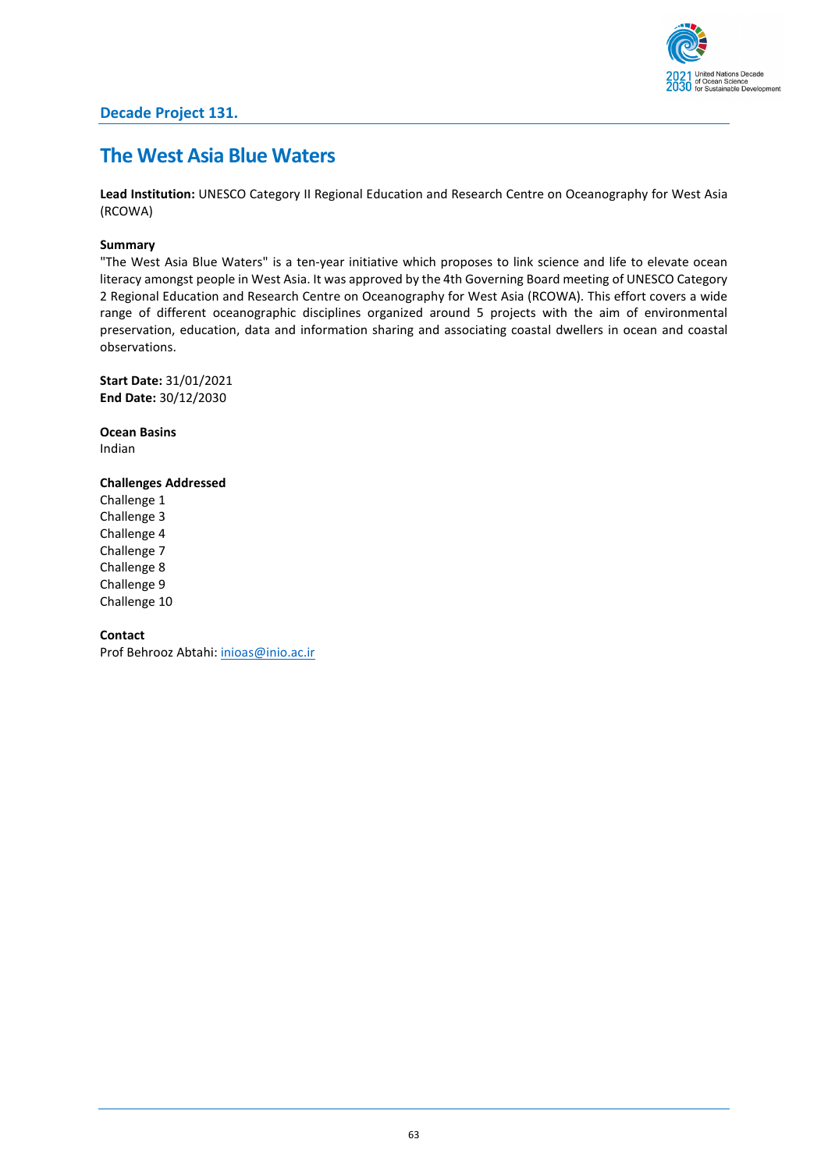# **The West Asia Blue Waters**

**Lead Institution:** UNESCO Category II Regional Education and Research Centre on Oceanography for West Asia (RCOWA)

# **Summary**

"The West Asia Blue Waters" is a ten-year initiative which proposes to link science and life to elevate ocean literacy amongst people in West Asia. It was approved by the 4th Governing Board meeting of UNESCO Category 2 Regional Education and Research Centre on Oceanography for West Asia (RCOWA). This effort covers a wide range of different oceanographic disciplines organized around 5 projects with the aim of environmental preservation, education, data and information sharing and associating coastal dwellers in ocean and coastal observations.

**Start Date:** 31/01/2021 **End Date:** 30/12/2030

**Ocean Basins** Indian

**Challenges Addressed** Challenge 1 Challenge 3 Challenge 4

Challenge 7 Challenge 8 Challenge 9 Challenge 10

**Contact**

Prof Behrooz Abtahi: [inioas@inio.ac.ir](mailto:inioas@inio.ac.ir)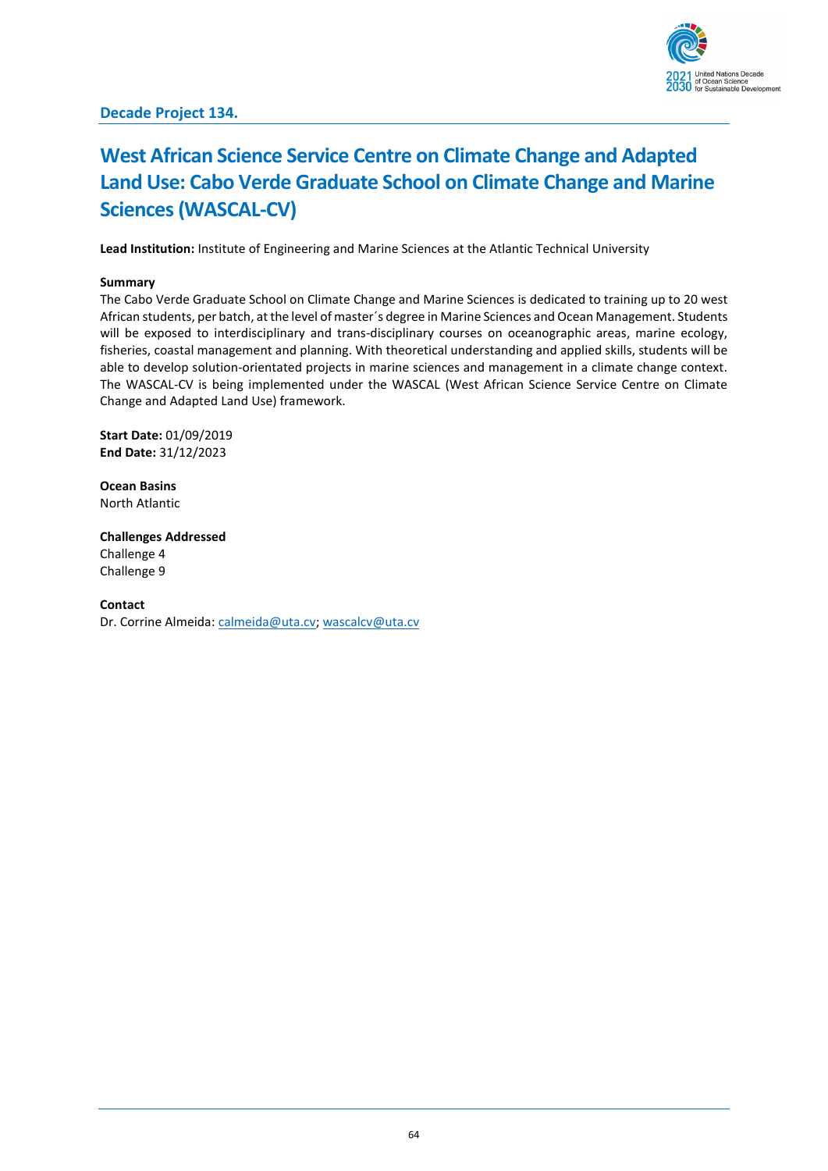

# **West African Science Service Centre on Climate Change and Adapted Land Use: Cabo Verde Graduate School on Climate Change and Marine Sciences (WASCAL-CV)**

**Lead Institution:** Institute of Engineering and Marine Sciences at the Atlantic Technical University

#### **Summary**

The Cabo Verde Graduate School on Climate Change and Marine Sciences is dedicated to training up to 20 west African students, per batch, at the level of master´s degree in Marine Sciences and Ocean Management. Students will be exposed to interdisciplinary and trans-disciplinary courses on oceanographic areas, marine ecology, fisheries, coastal management and planning. With theoretical understanding and applied skills, students will be able to develop solution-orientated projects in marine sciences and management in a climate change context. The WASCAL-CV is being implemented under the WASCAL (West African Science Service Centre on Climate Change and Adapted Land Use) framework.

**Start Date:** 01/09/2019 **End Date:** 31/12/2023

**Ocean Basins** North Atlantic

**Challenges Addressed**

Challenge 4 Challenge 9

#### **Contact**

Dr. Corrine Almeida: [calmeida@uta.cv;](mailto:calmeida@uta.cv) [wascalcv@uta.cv](mailto:wascalcv@uta.cv)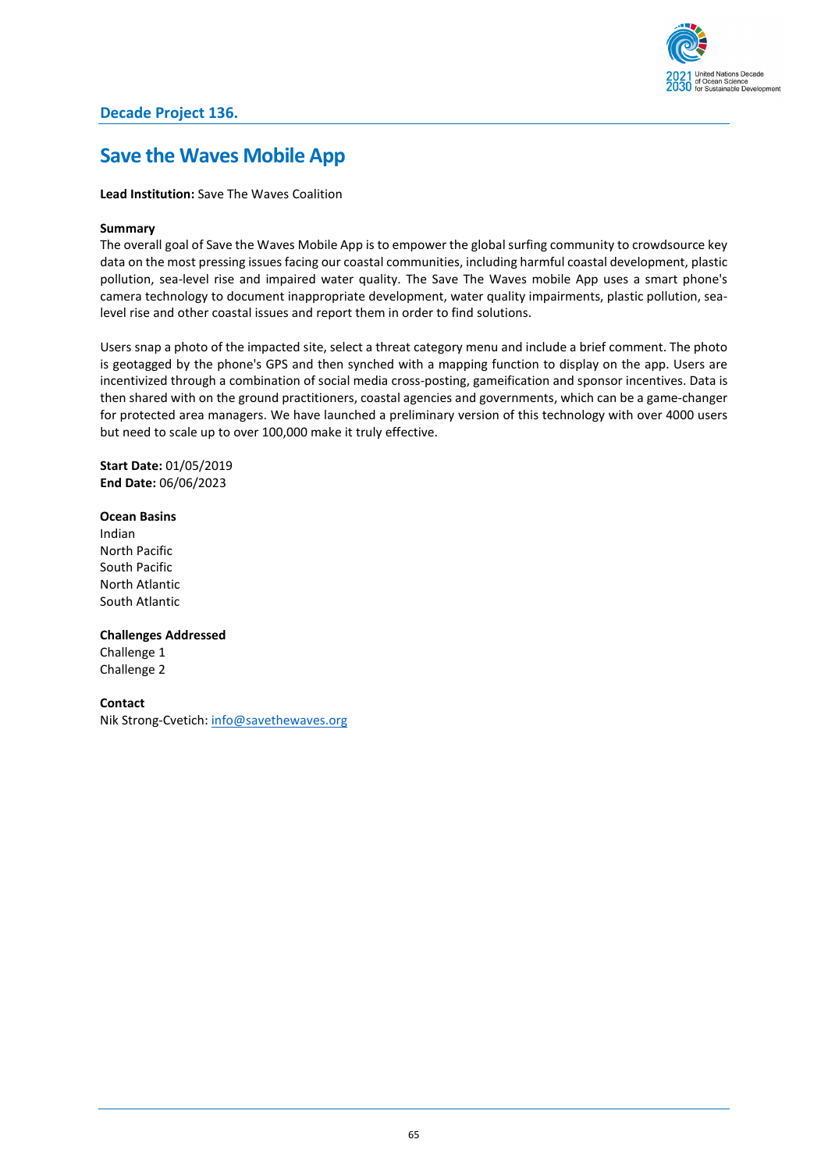# **Save the Waves Mobile App**

## **Lead Institution:** Save The Waves Coalition

## **Summary**

The overall goal of Save the Waves Mobile App is to empower the global surfing community to crowdsource key data on the most pressing issues facing our coastal communities, including harmful coastal development, plastic pollution, sea-level rise and impaired water quality. The Save The Waves mobile App uses a smart phone's camera technology to document inappropriate development, water quality impairments, plastic pollution, sealevel rise and other coastal issues and report them in order to find solutions.

Users snap a photo of the impacted site, select a threat category menu and include a brief comment. The photo is geotagged by the phone's GPS and then synched with a mapping function to display on the app. Users are incentivized through a combination of social media cross-posting, gameification and sponsor incentives. Data is then shared with on the ground practitioners, coastal agencies and governments, which can be a game-changer for protected area managers. We have launched a preliminary version of this technology with over 4000 users but need to scale up to over 100,000 make it truly effective.

**Start Date:** 01/05/2019 **End Date:** 06/06/2023

### **Ocean Basins**

Indian North Pacific South Pacific North Atlantic South Atlantic

### **Challenges Addressed**

Challenge 1 Challenge 2

### **Contact**

Nik Strong-Cvetich: [info@savethewaves.org](mailto:info@savethewaves.org)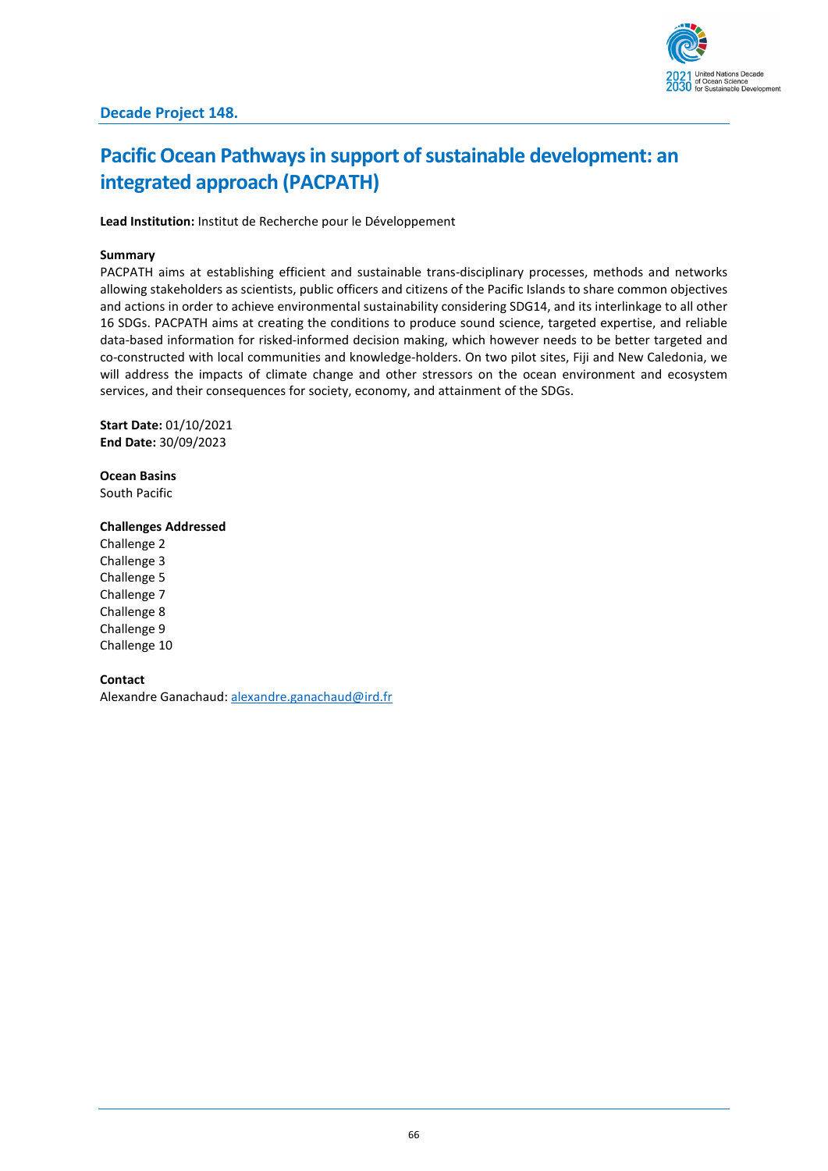

# **Pacific Ocean Pathways in support of sustainable development: an integrated approach (PACPATH)**

**Lead Institution:** Institut de Recherche pour le Développement

#### **Summary**

PACPATH aims at establishing efficient and sustainable trans-disciplinary processes, methods and networks allowing stakeholders as scientists, public officers and citizens of the Pacific Islands to share common objectives and actions in order to achieve environmental sustainability considering SDG14, and its interlinkage to all other 16 SDGs. PACPATH aims at creating the conditions to produce sound science, targeted expertise, and reliable data-based information for risked-informed decision making, which however needs to be better targeted and co-constructed with local communities and knowledge-holders. On two pilot sites, Fiji and New Caledonia, we will address the impacts of climate change and other stressors on the ocean environment and ecosystem services, and their consequences for society, economy, and attainment of the SDGs.

**Start Date:** 01/10/2021 **End Date:** 30/09/2023

**Ocean Basins** South Pacific

### **Challenges Addressed**

Challenge 2 Challenge 3 Challenge 5 Challenge 7 Challenge 8 Challenge 9 Challenge 10

### **Contact**

Alexandre Ganachaud: [alexandre.ganachaud@ird.fr](mailto:alexandre.ganachaud@ird.fr)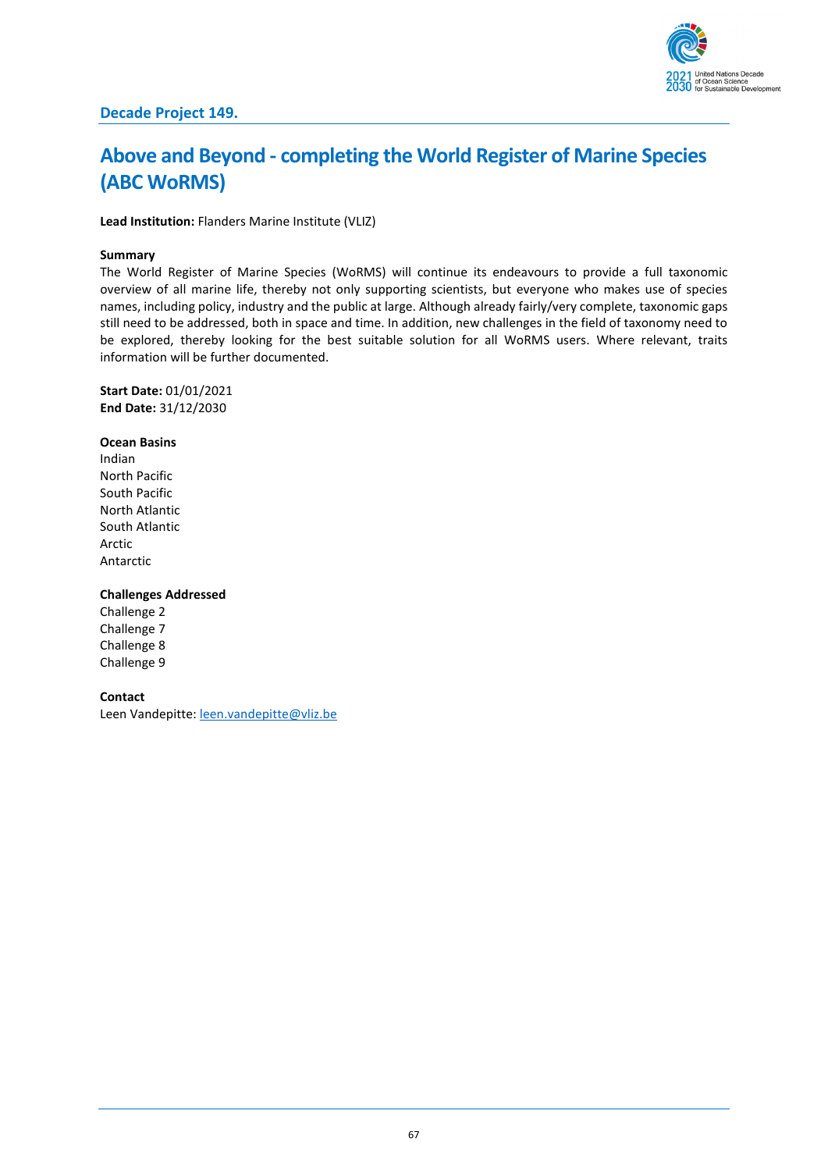

# **Above and Beyond - completing the World Register of Marine Species (ABC WoRMS)**

**Lead Institution:** Flanders Marine Institute (VLIZ)

#### **Summary**

The World Register of Marine Species (WoRMS) will continue its endeavours to provide a full taxonomic overview of all marine life, thereby not only supporting scientists, but everyone who makes use of species names, including policy, industry and the public at large. Although already fairly/very complete, taxonomic gaps still need to be addressed, both in space and time. In addition, new challenges in the field of taxonomy need to be explored, thereby looking for the best suitable solution for all WoRMS users. Where relevant, traits information will be further documented.

**Start Date:** 01/01/2021 **End Date:** 31/12/2030

#### **Ocean Basins**

Indian North Pacific South Pacific North Atlantic South Atlantic Arctic Antarctic

### **Challenges Addressed**

Challenge 2 Challenge 7 Challenge 8 Challenge 9

#### **Contact**

Leen Vandepitte: [leen.vandepitte@vliz.be](mailto:leen.vandepitte@vliz.be)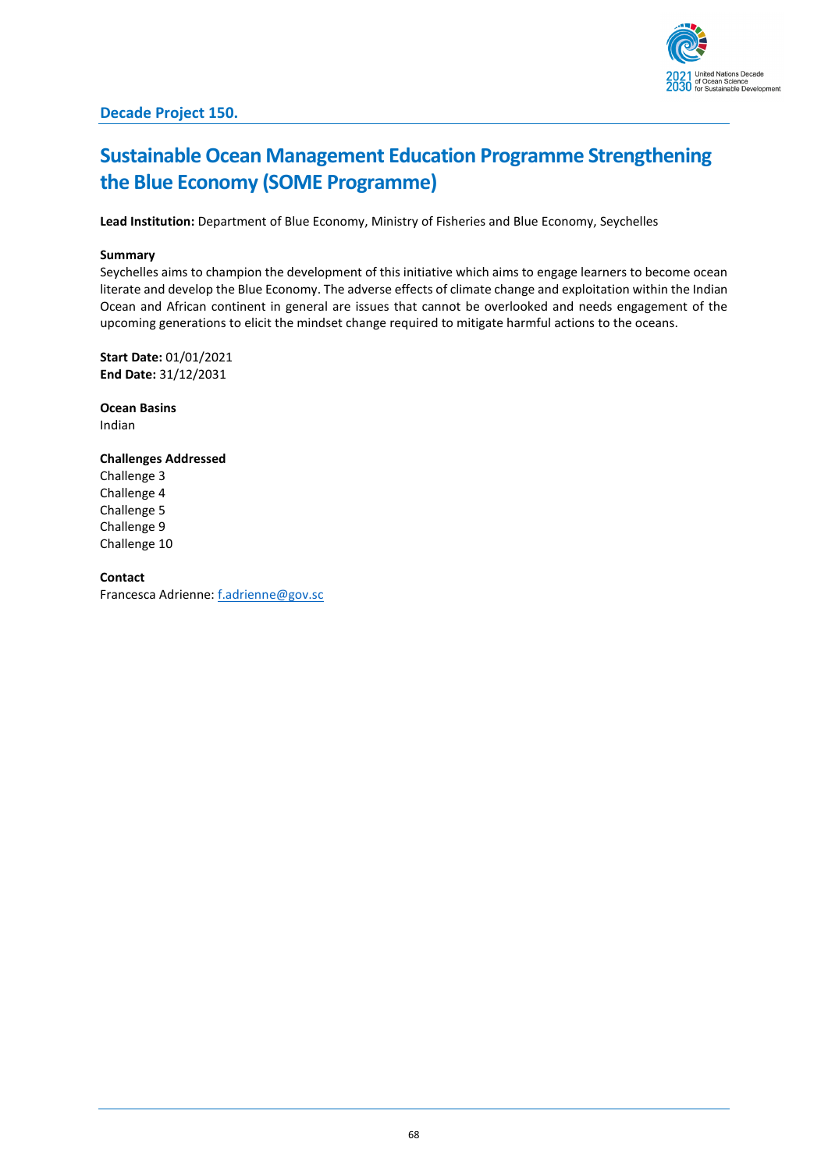

# **Sustainable Ocean Management Education Programme Strengthening the Blue Economy (SOME Programme)**

**Lead Institution:** Department of Blue Economy, Ministry of Fisheries and Blue Economy, Seychelles

#### **Summary**

Seychelles aims to champion the development of this initiative which aims to engage learners to become ocean literate and develop the Blue Economy. The adverse effects of climate change and exploitation within the Indian Ocean and African continent in general are issues that cannot be overlooked and needs engagement of the upcoming generations to elicit the mindset change required to mitigate harmful actions to the oceans.

**Start Date:** 01/01/2021 **End Date:** 31/12/2031

**Ocean Basins** Indian

#### **Challenges Addressed**

Challenge 3 Challenge 4 Challenge 5 Challenge 9 Challenge 10

**Contact**

Francesca Adrienne[: f.adrienne@gov.sc](mailto:f.adrienne@gov.sc)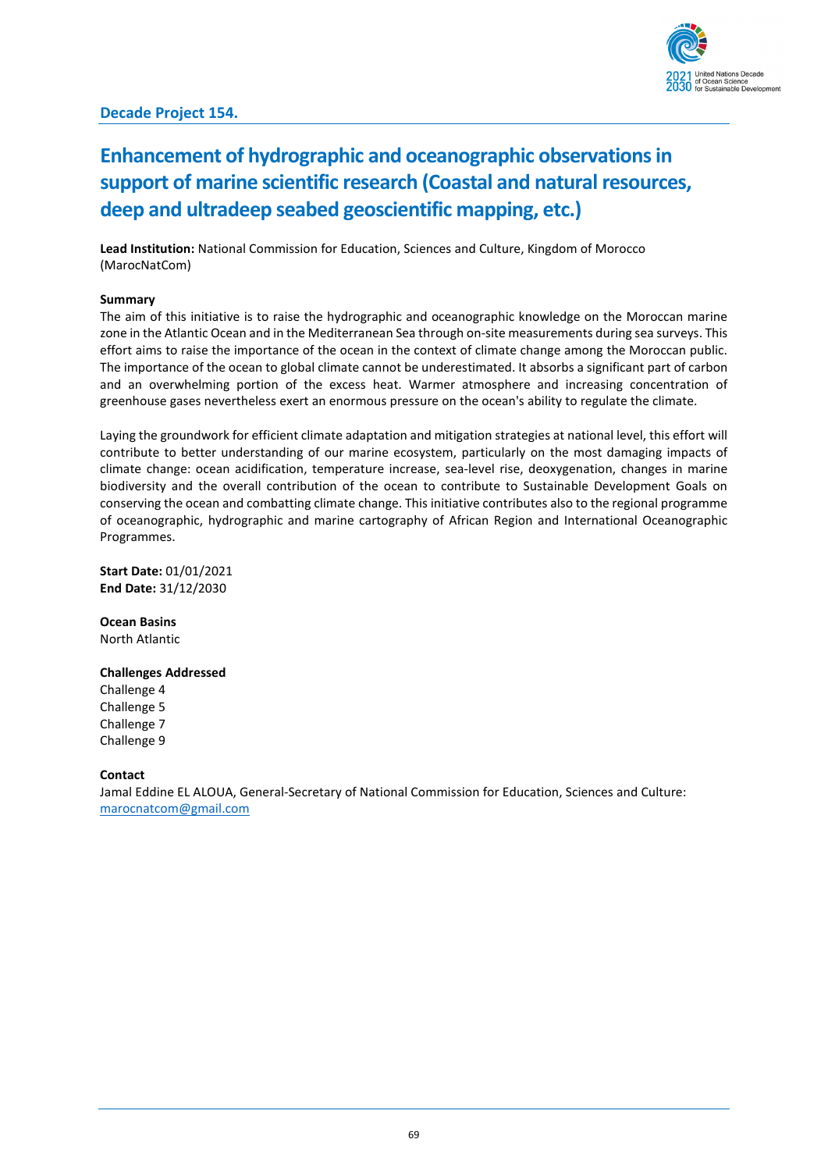

# **Decade Project 154.**

# **Enhancement of hydrographic and oceanographic observations in support of marine scientific research (Coastal and natural resources, deep and ultradeep seabed geoscientific mapping, etc.)**

**Lead Institution:** National Commission for Education, Sciences and Culture, Kingdom of Morocco (MarocNatCom)

#### **Summary**

The aim of this initiative is to raise the hydrographic and oceanographic knowledge on the Moroccan marine zone in the Atlantic Ocean and in the Mediterranean Sea through on-site measurements during sea surveys. This effort aims to raise the importance of the ocean in the context of climate change among the Moroccan public. The importance of the ocean to global climate cannot be underestimated. It absorbs a significant part of carbon and an overwhelming portion of the excess heat. Warmer atmosphere and increasing concentration of greenhouse gases nevertheless exert an enormous pressure on the ocean's ability to regulate the climate.

Laying the groundwork for efficient climate adaptation and mitigation strategies at national level, this effort will contribute to better understanding of our marine ecosystem, particularly on the most damaging impacts of climate change: ocean acidification, temperature increase, sea-level rise, deoxygenation, changes in marine biodiversity and the overall contribution of the ocean to contribute to Sustainable Development Goals on conserving the ocean and combatting climate change. This initiative contributes also to the regional programme of oceanographic, hydrographic and marine cartography of African Region and International Oceanographic Programmes.

**Start Date:** 01/01/2021 **End Date:** 31/12/2030

**Ocean Basins** North Atlantic

### **Challenges Addressed**

Challenge 4 Challenge 5 Challenge 7 Challenge 9

**Contact**

Jamal Eddine EL ALOUA, General-Secretary of National Commission for Education, Sciences and Culture: [marocnatcom@gmail.com](mailto:marocnatcom@gmail.com)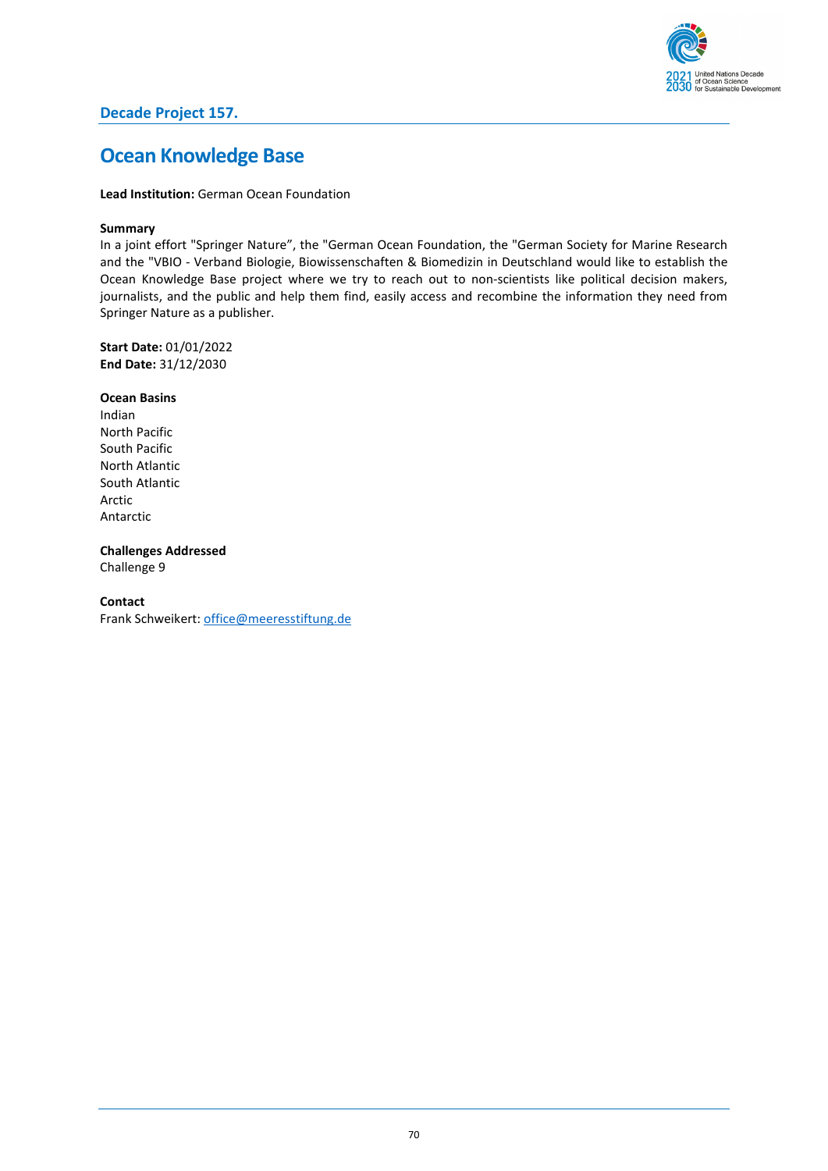

# **Decade Project 157.**

# **Ocean Knowledge Base**

**Lead Institution:** German Ocean Foundation

### **Summary**

In a joint effort "Springer Nature", the "German Ocean Foundation, the "German Society for Marine Research and the "VBIO - Verband Biologie, Biowissenschaften & Biomedizin in Deutschland would like to establish the Ocean Knowledge Base project where we try to reach out to non-scientists like political decision makers, journalists, and the public and help them find, easily access and recombine the information they need from Springer Nature as a publisher.

**Start Date:** 01/01/2022 **End Date:** 31/12/2030

#### **Ocean Basins**

Indian North Pacific South Pacific North Atlantic South Atlantic Arctic Antarctic

**Challenges Addressed** Challenge 9

### **Contact**

Frank Schweikert[: office@meeresstiftung.de](mailto:office@meeresstiftung.de)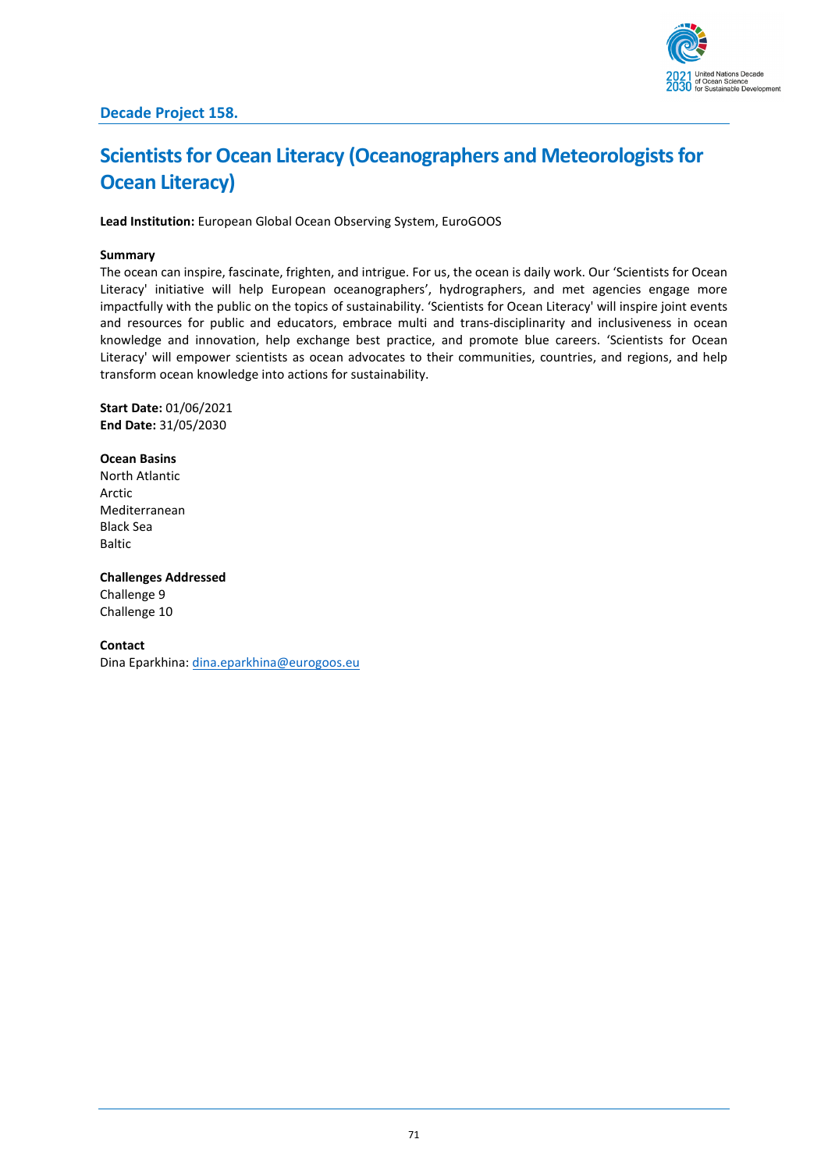

# **Scientists for Ocean Literacy (Oceanographers and Meteorologists for Ocean Literacy)**

**Lead Institution:** European Global Ocean Observing System, EuroGOOS

# **Summary**

The ocean can inspire, fascinate, frighten, and intrigue. For us, the ocean is daily work. Our 'Scientists for Ocean Literacy' initiative will help European oceanographers', hydrographers, and met agencies engage more impactfully with the public on the topics of sustainability. 'Scientists for Ocean Literacy' will inspire joint events and resources for public and educators, embrace multi and trans-disciplinarity and inclusiveness in ocean knowledge and innovation, help exchange best practice, and promote blue careers. 'Scientists for Ocean Literacy' will empower scientists as ocean advocates to their communities, countries, and regions, and help transform ocean knowledge into actions for sustainability.

**Start Date:** 01/06/2021 **End Date:** 31/05/2030

**Ocean Basins** North Atlantic Arctic Mediterranean Black Sea **Baltic** 

**Challenges Addressed** Challenge 9 Challenge 10

**Contact** Dina Eparkhina[: dina.eparkhina@eurogoos.eu](mailto:dina.eparkhina@eurogoos.eu)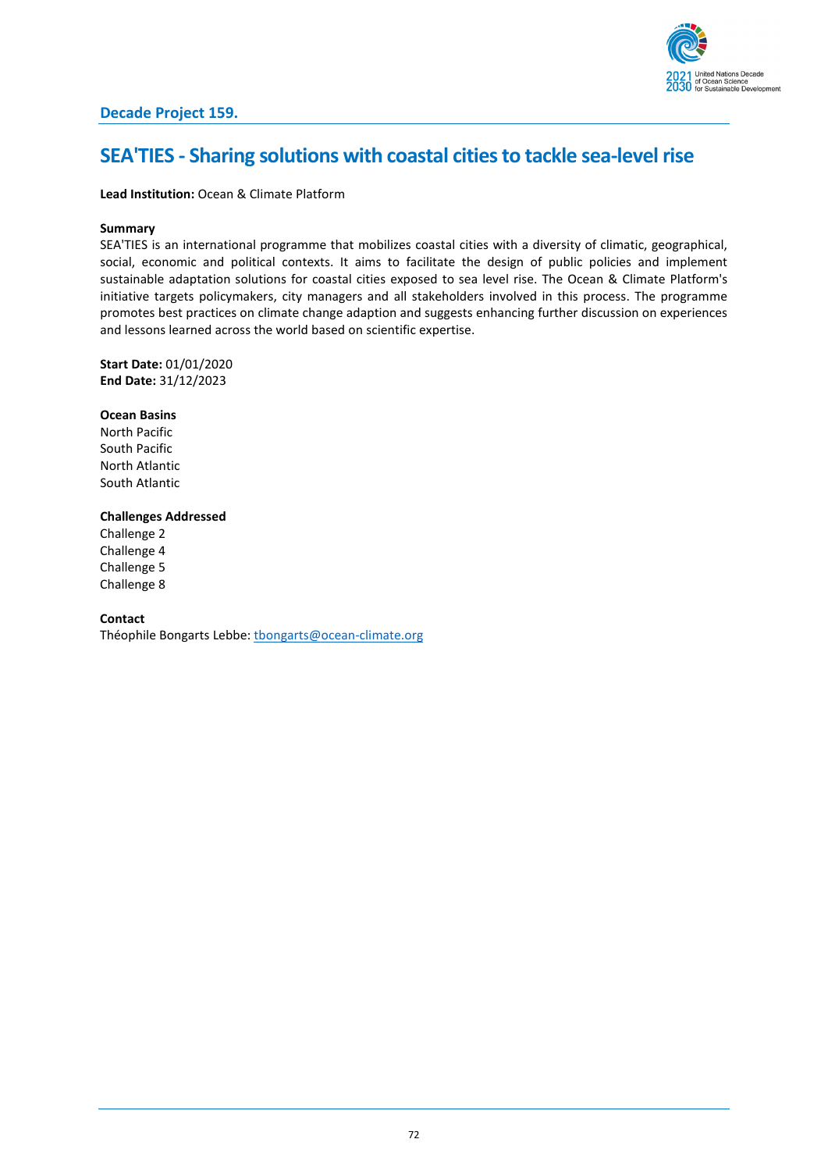

# **Decade Project 159.**

# **SEA'TIES - Sharing solutions with coastal cities to tackle sea-level rise**

## **Lead Institution:** Ocean & Climate Platform

#### **Summary**

SEA'TIES is an international programme that mobilizes coastal cities with a diversity of climatic, geographical, social, economic and political contexts. It aims to facilitate the design of public policies and implement sustainable adaptation solutions for coastal cities exposed to sea level rise. The Ocean & Climate Platform's initiative targets policymakers, city managers and all stakeholders involved in this process. The programme promotes best practices on climate change adaption and suggests enhancing further discussion on experiences and lessons learned across the world based on scientific expertise.

**Start Date:** 01/01/2020 **End Date:** 31/12/2023

### **Ocean Basins**

North Pacific South Pacific North Atlantic South Atlantic

### **Challenges Addressed**

Challenge 2 Challenge 4 Challenge 5 Challenge 8

#### **Contact**

Théophile Bongarts Lebbe: [tbongarts@ocean-climate.org](mailto:tbongarts@ocean-climate.org)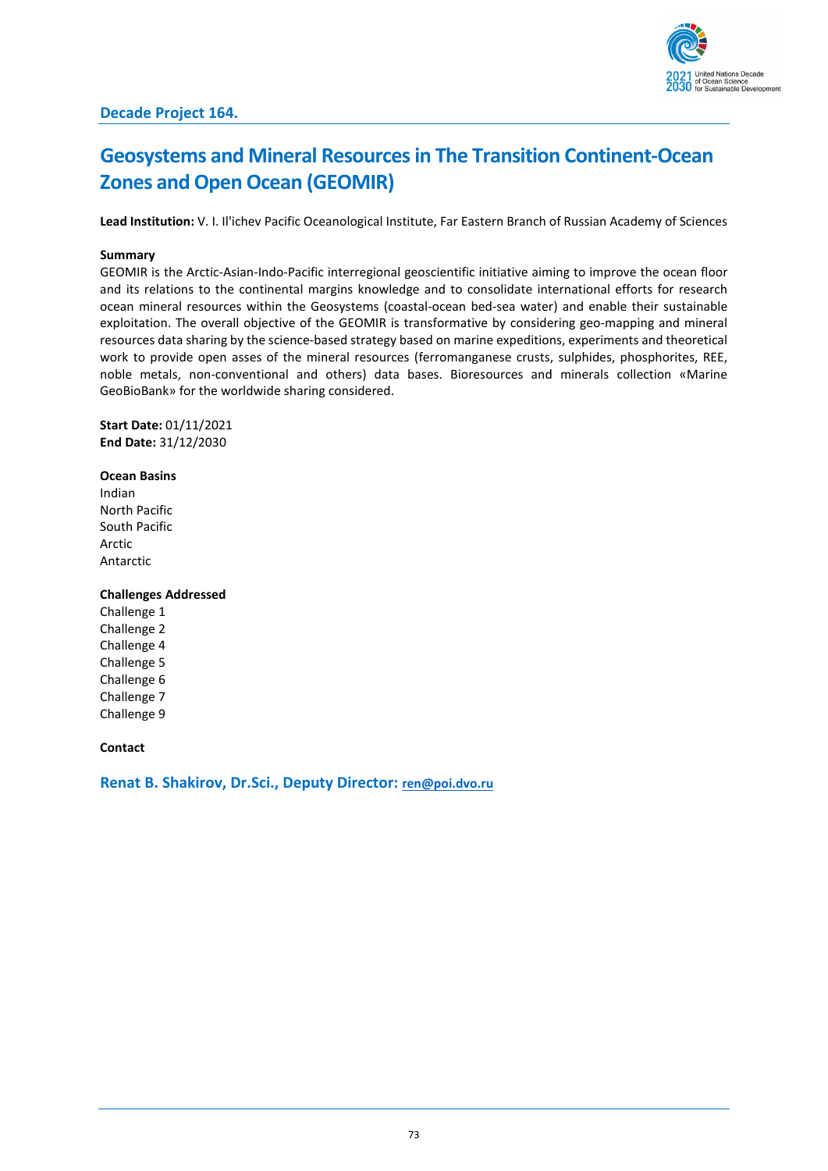

## **Geosystems and Mineral Resources in The Transition Continent-Ocean Zones and Open Ocean (GEOMIR)**

**Lead Institution:** V. I. Il'ichev Pacific Oceanological Institute, Far Eastern Branch of Russian Academy of Sciences

#### **Summary**

GEOMIR is the Arctic-Asian-Indo-Pacific interregional geoscientific initiative aiming to improve the ocean floor and its relations to the continental margins knowledge and to consolidate international efforts for research ocean mineral resources within the Geosystems (coastal-ocean bed-sea water) and enable their sustainable exploitation. The overall objective of the GEOMIR is transformative by considering geo-mapping and mineral resources data sharing by the science-based strategy based on marine expeditions, experiments and theoretical work to provide open asses of the mineral resources (ferromanganese crusts, sulphides, phosphorites, REE, noble metals, non-conventional and others) data bases. Bioresources and minerals collection «Marine GeoBioBank» for the worldwide sharing considered.

**Start Date:** 01/11/2021 **End Date:** 31/12/2030

### **Ocean Basins**

Indian North Pacific South Pacific Arctic Antarctic

### **Challenges Addressed**

Challenge 1 Challenge 2 Challenge 4 Challenge 5 Challenge 6 Challenge 7 Challenge 9

### **Contact**

**Renat B. Shakirov, Dr.Sci., Deputy Director: [ren@poi.dvo.ru](mailto:ren@poi.dvo.ru)**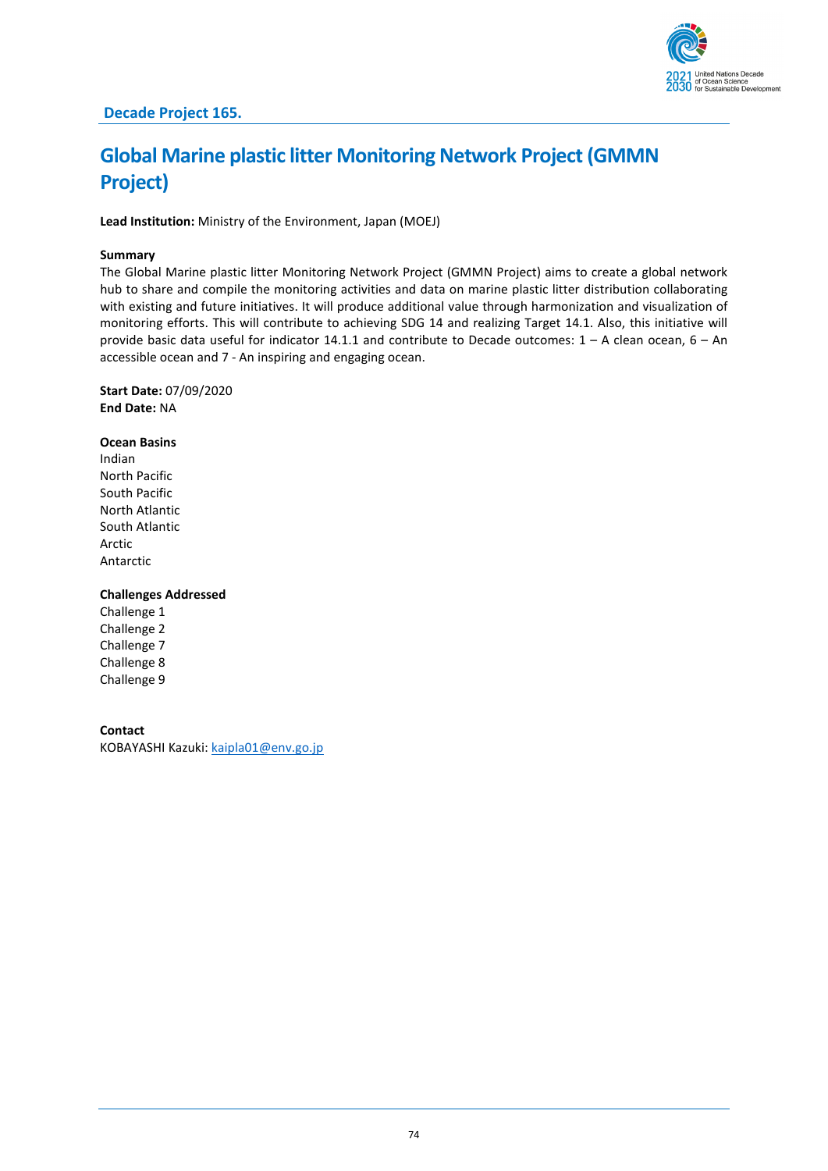

# **Global Marine plastic litter Monitoring Network Project (GMMN Project)**

**Lead Institution:** Ministry of the Environment, Japan (MOEJ)

### **Summary**

The Global Marine plastic litter Monitoring Network Project (GMMN Project) aims to create a global network hub to share and compile the monitoring activities and data on marine plastic litter distribution collaborating with existing and future initiatives. It will produce additional value through harmonization and visualization of monitoring efforts. This will contribute to achieving SDG 14 and realizing Target 14.1. Also, this initiative will provide basic data useful for indicator 14.1.1 and contribute to Decade outcomes: 1 – A clean ocean, 6 – An accessible ocean and 7 - An inspiring and engaging ocean.

**Start Date:** 07/09/2020 **End Date:** NA

### **Ocean Basins**

Indian North Pacific South Pacific North Atlantic South Atlantic Arctic Antarctic

### **Challenges Addressed**

Challenge 1 Challenge 2 Challenge 7 Challenge 8 Challenge 9

### **Contact**

KOBAYASHI Kazuki: [kaipla01@env.go.jp](mailto:kaipla01@env.go.jp)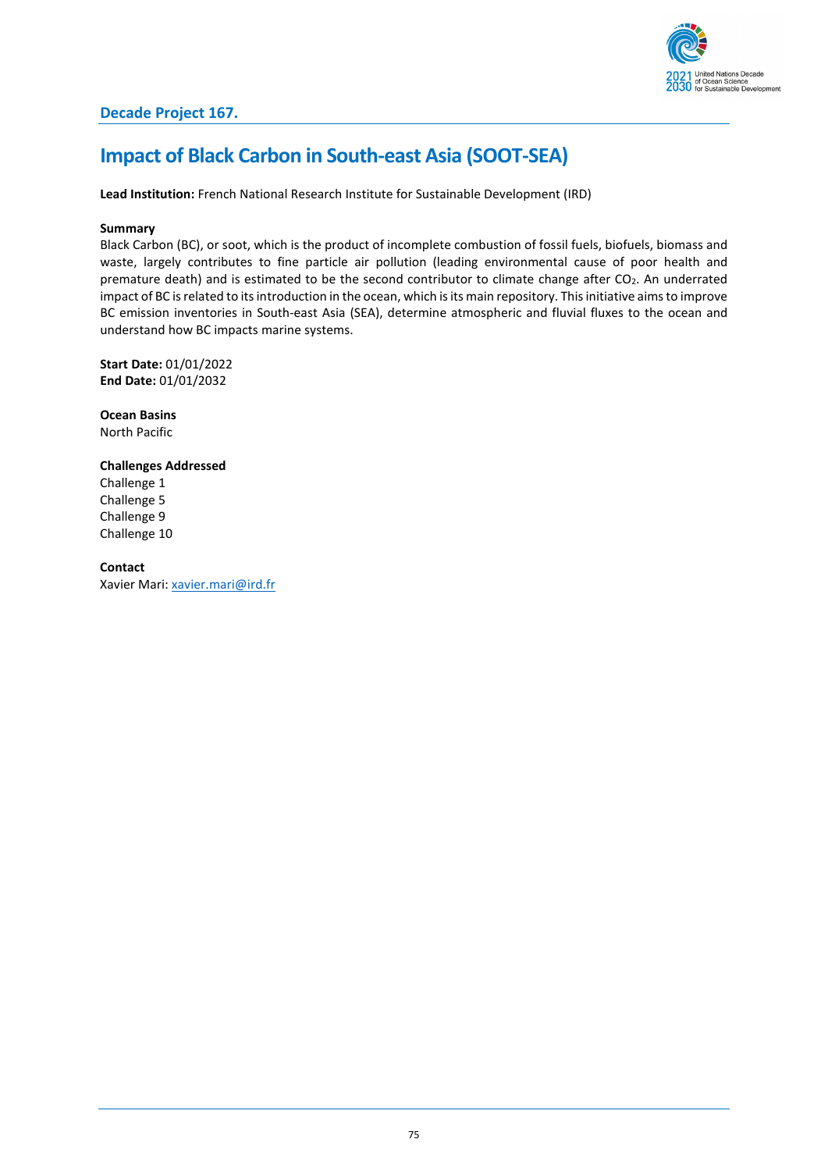

### **Impact of Black Carbon in South-east Asia (SOOT-SEA)**

**Lead Institution:** French National Research Institute for Sustainable Development (IRD)

### **Summary**

Black Carbon (BC), or soot, which is the product of incomplete combustion of fossil fuels, biofuels, biomass and waste, largely contributes to fine particle air pollution (leading environmental cause of poor health and premature death) and is estimated to be the second contributor to climate change after CO2. An underrated impact of BC is related to its introduction in the ocean, which is its main repository. Thisinitiative aims to improve BC emission inventories in South-east Asia (SEA), determine atmospheric and fluvial fluxes to the ocean and understand how BC impacts marine systems.

**Start Date:** 01/01/2022 **End Date:** 01/01/2032

**Ocean Basins** North Pacific

### **Challenges Addressed**

Challenge 1 Challenge 5 Challenge 9 Challenge 10

**Contact** Xavier Mari[: xavier.mari@ird.fr](mailto:xavier.mari@ird.fr)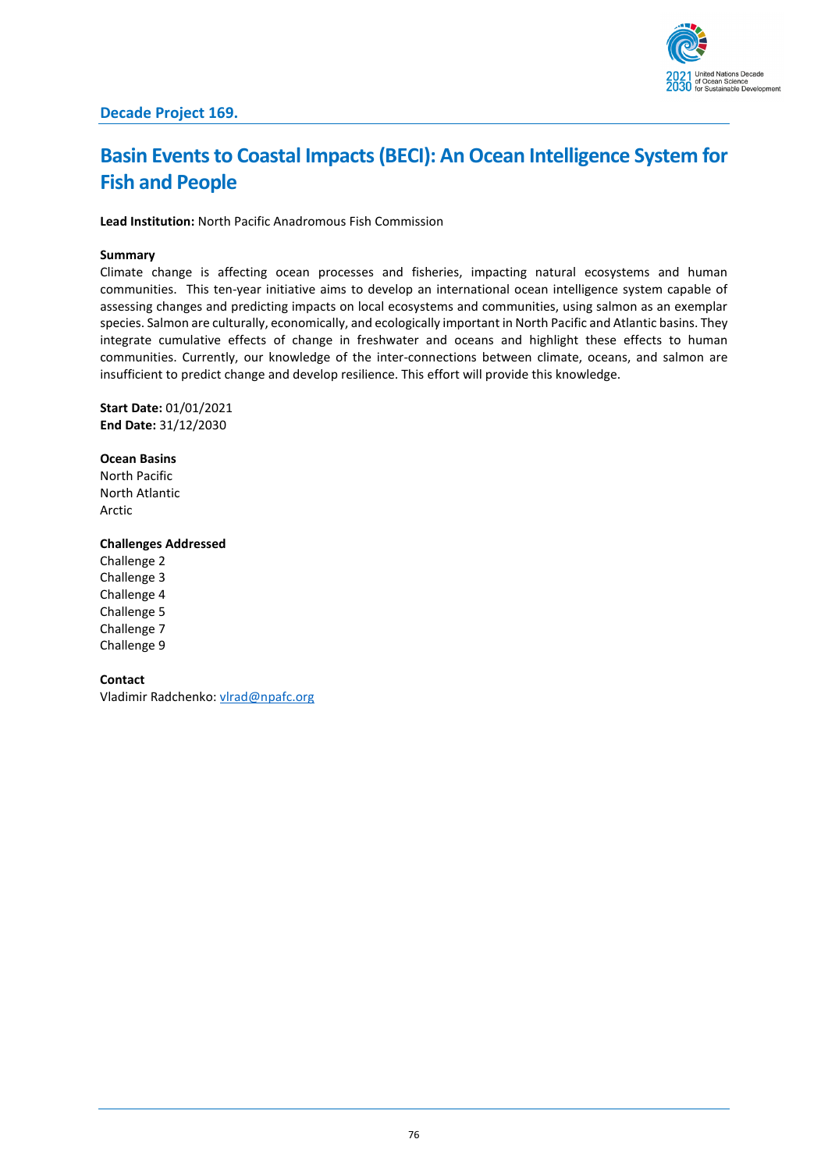

## **Basin Events to Coastal Impacts (BECI): An Ocean Intelligence System for Fish and People**

**Lead Institution:** North Pacific Anadromous Fish Commission

### **Summary**

Climate change is affecting ocean processes and fisheries, impacting natural ecosystems and human communities. This ten-year initiative aims to develop an international ocean intelligence system capable of assessing changes and predicting impacts on local ecosystems and communities, using salmon as an exemplar species. Salmon are culturally, economically, and ecologically important in North Pacific and Atlantic basins. They integrate cumulative effects of change in freshwater and oceans and highlight these effects to human communities. Currently, our knowledge of the inter-connections between climate, oceans, and salmon are insufficient to predict change and develop resilience. This effort will provide this knowledge.

**Start Date:** 01/01/2021 **End Date:** 31/12/2030

**Ocean Basins** North Pacific North Atlantic Arctic

### **Challenges Addressed**

Challenge 2 Challenge 3 Challenge 4 Challenge 5 Challenge 7 Challenge 9

**Contact** Vladimir Radchenko: [vlrad@npafc.org](mailto:vlrad@npafc.org)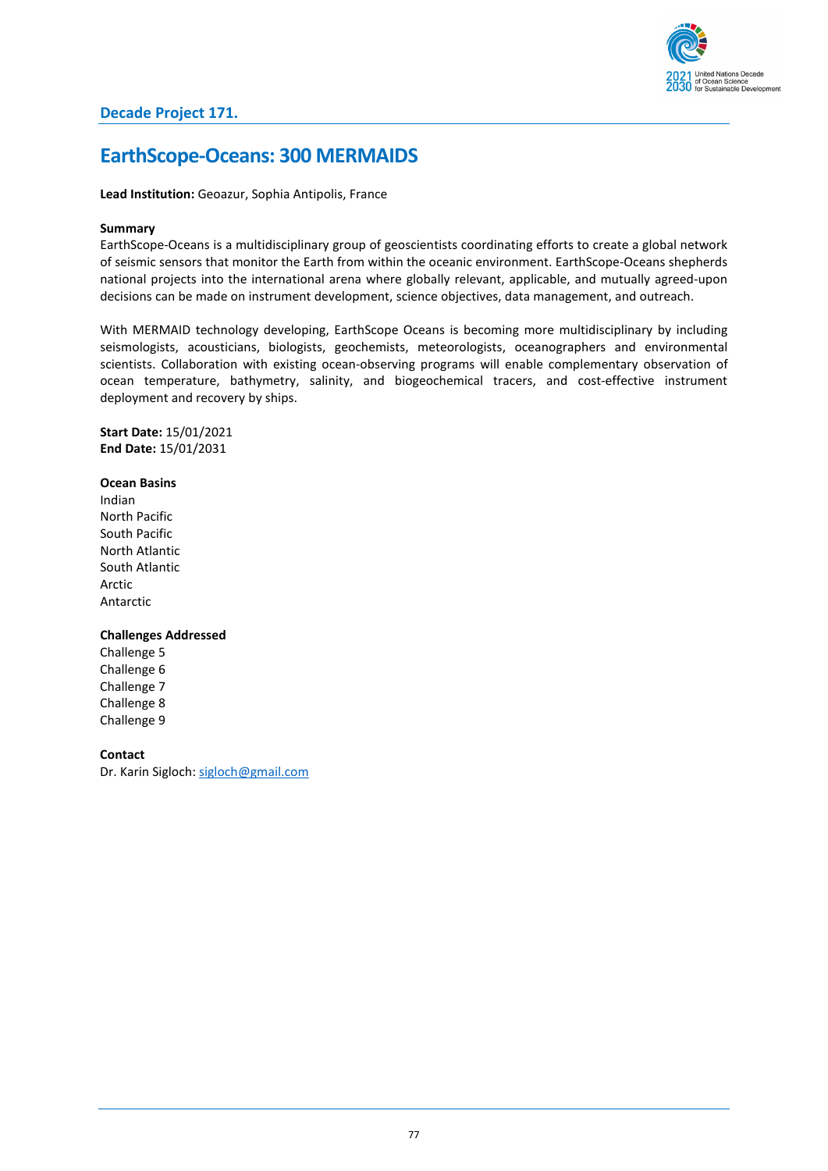

### **EarthScope-Oceans: 300 MERMAIDS**

**Lead Institution:** Geoazur, Sophia Antipolis, France

### **Summary**

EarthScope-Oceans is a multidisciplinary group of geoscientists coordinating efforts to create a global network of seismic sensors that monitor the Earth from within the oceanic environment. EarthScope-Oceans shepherds national projects into the international arena where globally relevant, applicable, and mutually agreed-upon decisions can be made on instrument development, science objectives, data management, and outreach.

With MERMAID technology developing, EarthScope Oceans is becoming more multidisciplinary by including seismologists, acousticians, biologists, geochemists, meteorologists, oceanographers and environmental scientists. Collaboration with existing ocean-observing programs will enable complementary observation of ocean temperature, bathymetry, salinity, and biogeochemical tracers, and cost-effective instrument deployment and recovery by ships.

**Start Date:** 15/01/2021 **End Date:** 15/01/2031

#### **Ocean Basins**

Indian North Pacific South Pacific North Atlantic South Atlantic Arctic Antarctic

### **Challenges Addressed**

Challenge 5 Challenge 6 Challenge 7 Challenge 8 Challenge 9

#### **Contact**

Dr. Karin Sigloch: [sigloch@gmail.com](mailto:sigloch@gmail.com)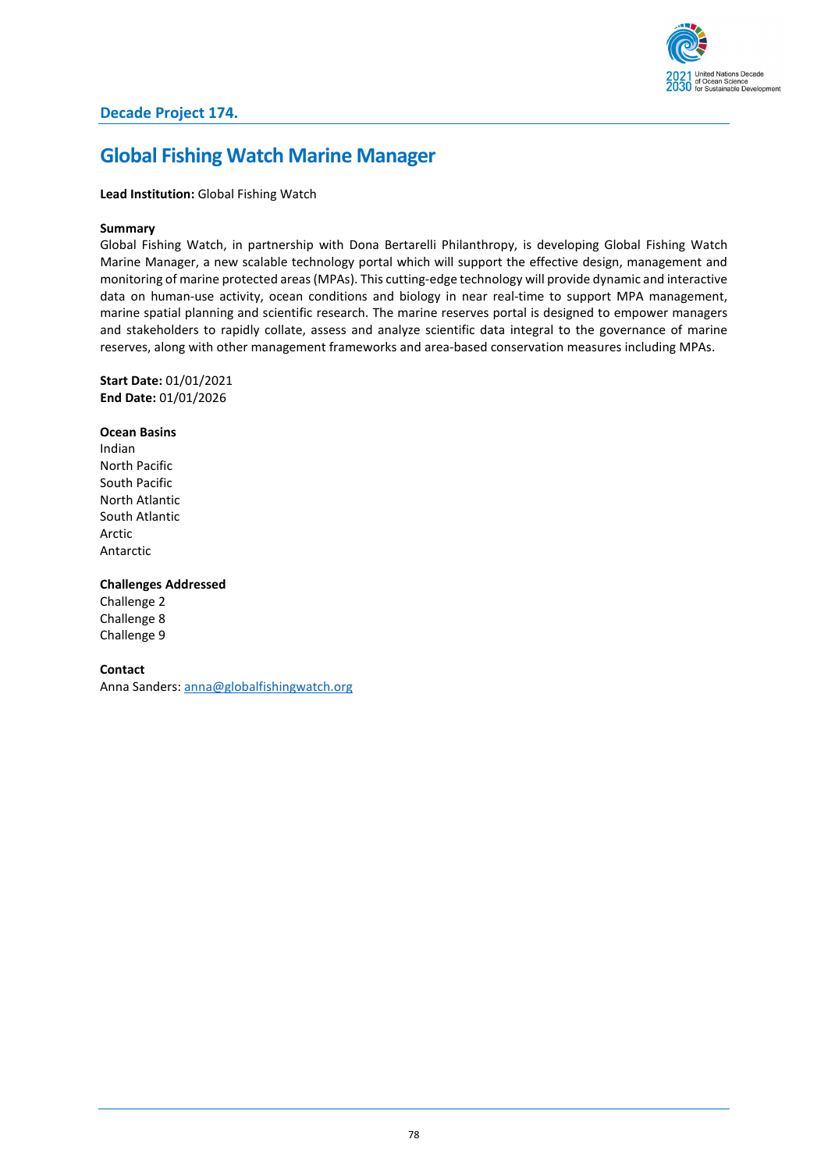

### **Global Fishing Watch Marine Manager**

### **Lead Institution:** Global Fishing Watch

### **Summary**

Global Fishing Watch, in partnership with Dona Bertarelli Philanthropy, is developing Global Fishing Watch Marine Manager, a new scalable technology portal which will support the effective design, management and monitoring of marine protected areas (MPAs). This cutting-edge technology will provide dynamic and interactive data on human-use activity, ocean conditions and biology in near real-time to support MPA management, marine spatial planning and scientific research. The marine reserves portal is designed to empower managers and stakeholders to rapidly collate, assess and analyze scientific data integral to the governance of marine reserves, along with other management frameworks and area-based conservation measures including MPAs.

**Start Date:** 01/01/2021 **End Date:** 01/01/2026

**Ocean Basins** Indian North Pacific South Pacific North Atlantic South Atlantic Arctic Antarctic

**Challenges Addressed**

Challenge 2 Challenge 8 Challenge 9

**Contact**

Anna Sanders[: anna@globalfishingwatch.org](mailto:anna@globalfishingwatch.org)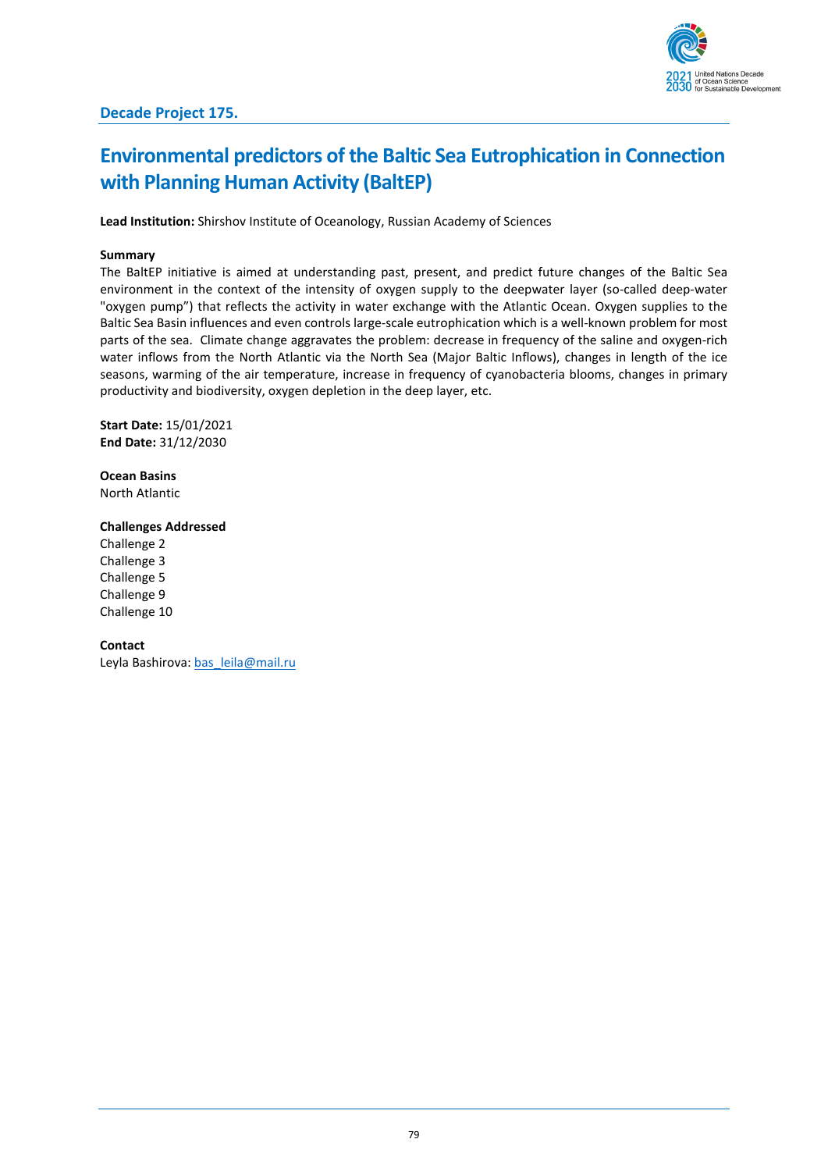

# **Environmental predictors of the Baltic Sea Eutrophication in Connection with Planning Human Activity (BaltEP)**

**Lead Institution:** Shirshov Institute of Oceanology, Russian Academy of Sciences

### **Summary**

The BaltEP initiative is aimed at understanding past, present, and predict future changes of the Baltic Sea environment in the context of the intensity of oxygen supply to the deepwater layer (so-called deep-water "oxygen pump") that reflects the activity in water exchange with the Atlantic Ocean. Oxygen supplies to the Baltic Sea Basin influences and even controls large-scale eutrophication which is a well-known problem for most parts of the sea. Climate change aggravates the problem: decrease in frequency of the saline and oxygen-rich water inflows from the North Atlantic via the North Sea (Major Baltic Inflows), changes in length of the ice seasons, warming of the air temperature, increase in frequency of cyanobacteria blooms, changes in primary productivity and biodiversity, oxygen depletion in the deep layer, etc.

**Start Date:** 15/01/2021 **End Date:** 31/12/2030

**Ocean Basins** North Atlantic

### **Challenges Addressed**

Challenge 2 Challenge 3 Challenge 5 Challenge 9 Challenge 10

### **Contact**

Leyla Bashirova[: bas\\_leila@mail.ru](mailto:bas_leila@mail.ru)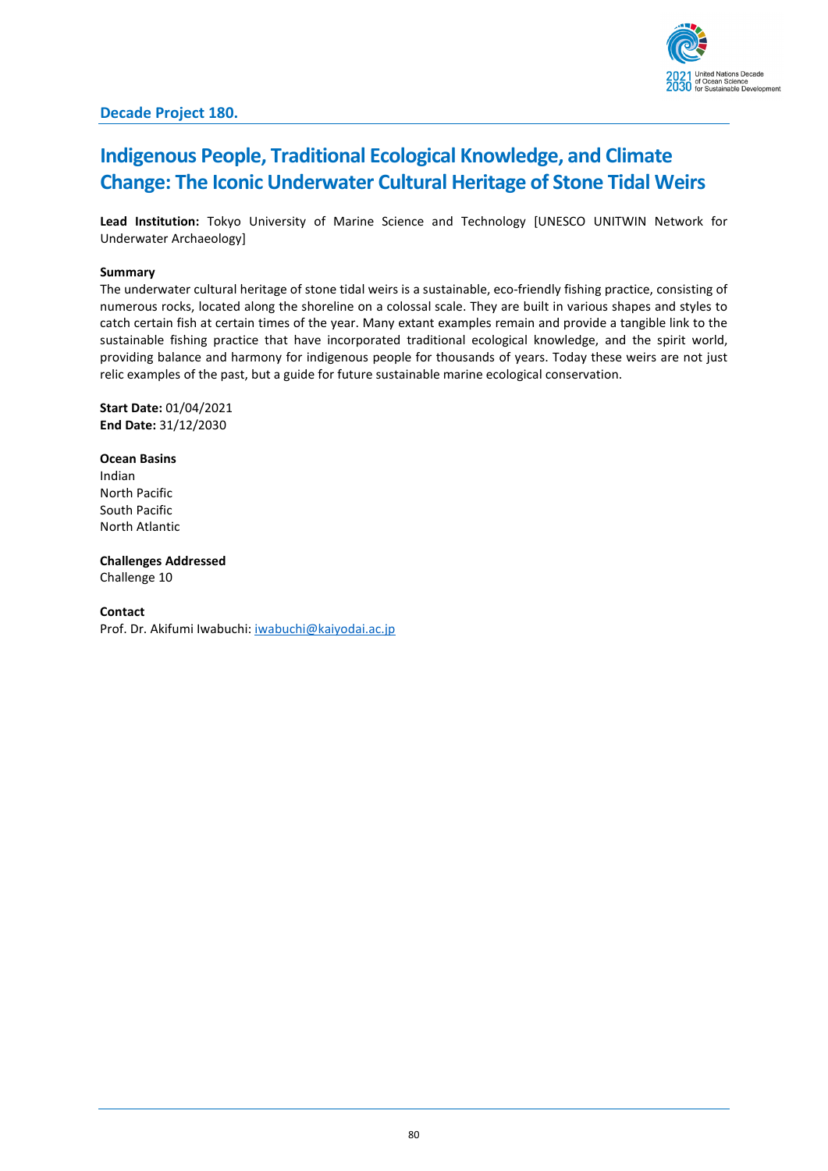

## **Indigenous People, Traditional Ecological Knowledge, and Climate Change: The Iconic Underwater Cultural Heritage of Stone Tidal Weirs**

**Lead Institution:** Tokyo University of Marine Science and Technology [UNESCO UNITWIN Network for Underwater Archaeology]

### **Summary**

The underwater cultural heritage of stone tidal weirs is a sustainable, eco-friendly fishing practice, consisting of numerous rocks, located along the shoreline on a colossal scale. They are built in various shapes and styles to catch certain fish at certain times of the year. Many extant examples remain and provide a tangible link to the sustainable fishing practice that have incorporated traditional ecological knowledge, and the spirit world, providing balance and harmony for indigenous people for thousands of years. Today these weirs are not just relic examples of the past, but a guide for future sustainable marine ecological conservation.

**Start Date:** 01/04/2021 **End Date:** 31/12/2030

**Ocean Basins** Indian North Pacific South Pacific North Atlantic

**Challenges Addressed** Challenge 10

#### **Contact**

Prof. Dr. Akifumi Iwabuchi: [iwabuchi@kaiyodai.ac.jp](mailto:iwabuchi@kaiyodai.ac.jp)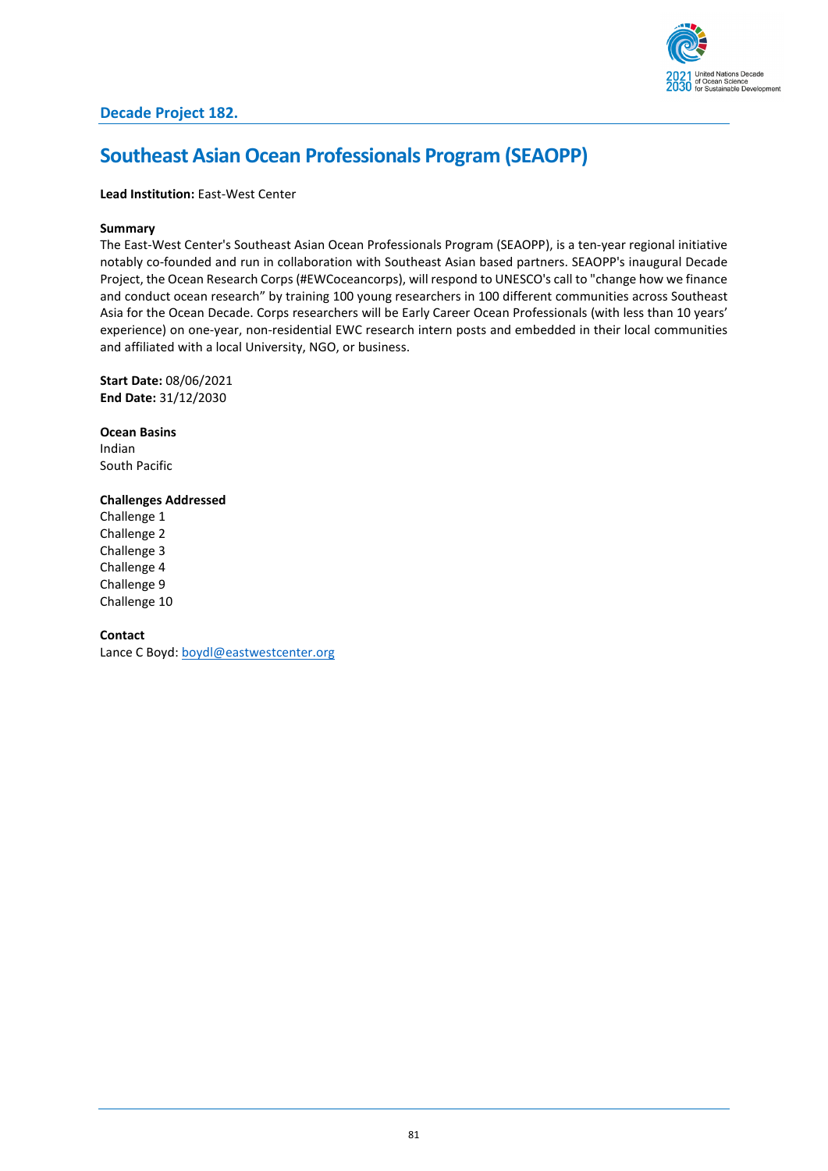

## **Southeast Asian Ocean Professionals Program (SEAOPP)**

### **Lead Institution:** East-West Center

### **Summary**

The East-West Center's Southeast Asian Ocean Professionals Program (SEAOPP), is a ten-year regional initiative notably co-founded and run in collaboration with Southeast Asian based partners. SEAOPP's inaugural Decade Project, the Ocean Research Corps (#EWCoceancorps), will respond to UNESCO's call to "change how we finance and conduct ocean research" by training 100 young researchers in 100 different communities across Southeast Asia for the Ocean Decade. Corps researchers will be Early Career Ocean Professionals (with less than 10 years' experience) on one-year, non-residential EWC research intern posts and embedded in their local communities and affiliated with a local University, NGO, or business.

**Start Date:** 08/06/2021 **End Date:** 31/12/2030

**Ocean Basins** Indian South Pacific

### **Challenges Addressed**

Challenge 1 Challenge 2 Challenge 3 Challenge 4 Challenge 9 Challenge 10

### **Contact**

Lance C Boyd[: boydl@eastwestcenter.org](mailto:boydl@eastwestcenter.org)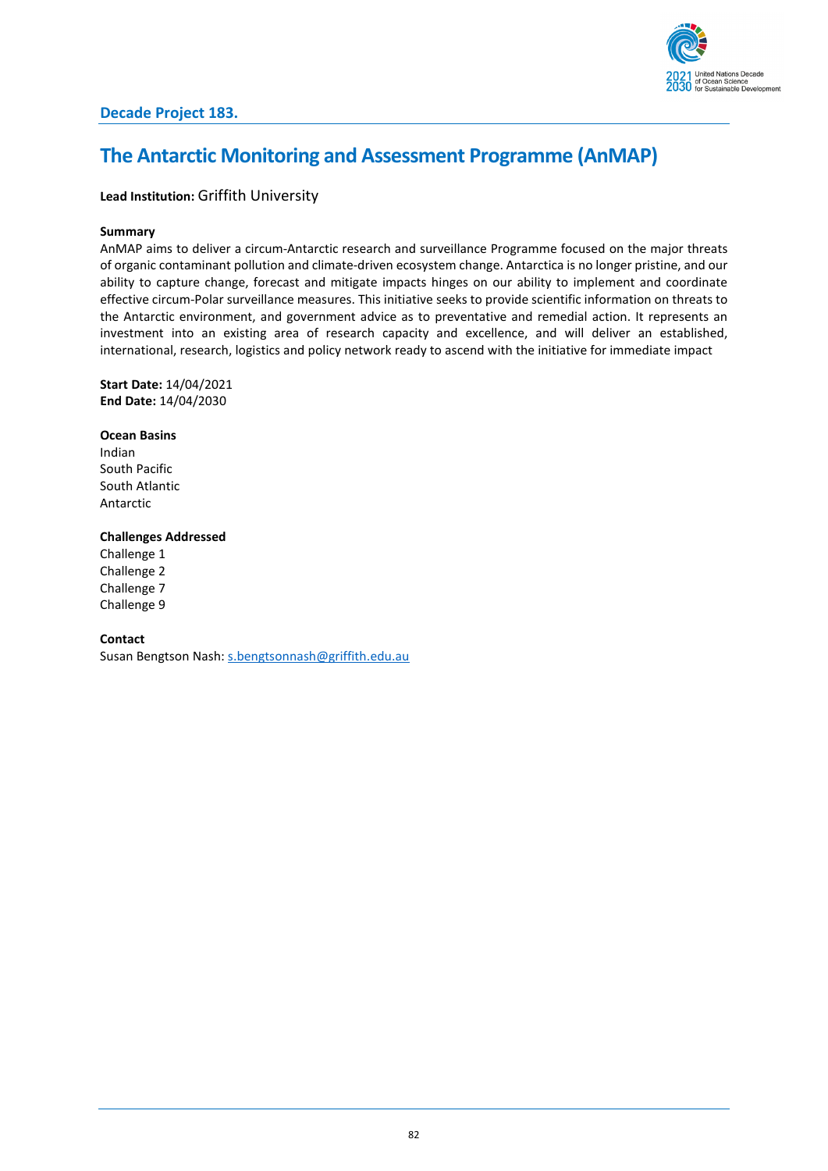

## **The Antarctic Monitoring and Assessment Programme (AnMAP)**

### **Lead Institution:** Griffith University

### **Summary**

AnMAP aims to deliver a circum-Antarctic research and surveillance Programme focused on the major threats of organic contaminant pollution and climate-driven ecosystem change. Antarctica is no longer pristine, and our ability to capture change, forecast and mitigate impacts hinges on our ability to implement and coordinate effective circum-Polar surveillance measures. This initiative seeks to provide scientific information on threats to the Antarctic environment, and government advice as to preventative and remedial action. It represents an investment into an existing area of research capacity and excellence, and will deliver an established, international, research, logistics and policy network ready to ascend with the initiative for immediate impact

**Start Date:** 14/04/2021 **End Date:** 14/04/2030

**Ocean Basins** Indian South Pacific South Atlantic Antarctic

### **Challenges Addressed**

Challenge 1 Challenge 2 Challenge 7 Challenge 9

**Contact**

Susan Bengtson Nash: [s.bengtsonnash@griffith.edu.au](mailto:s.bengtsonnash@griffith.edu.au)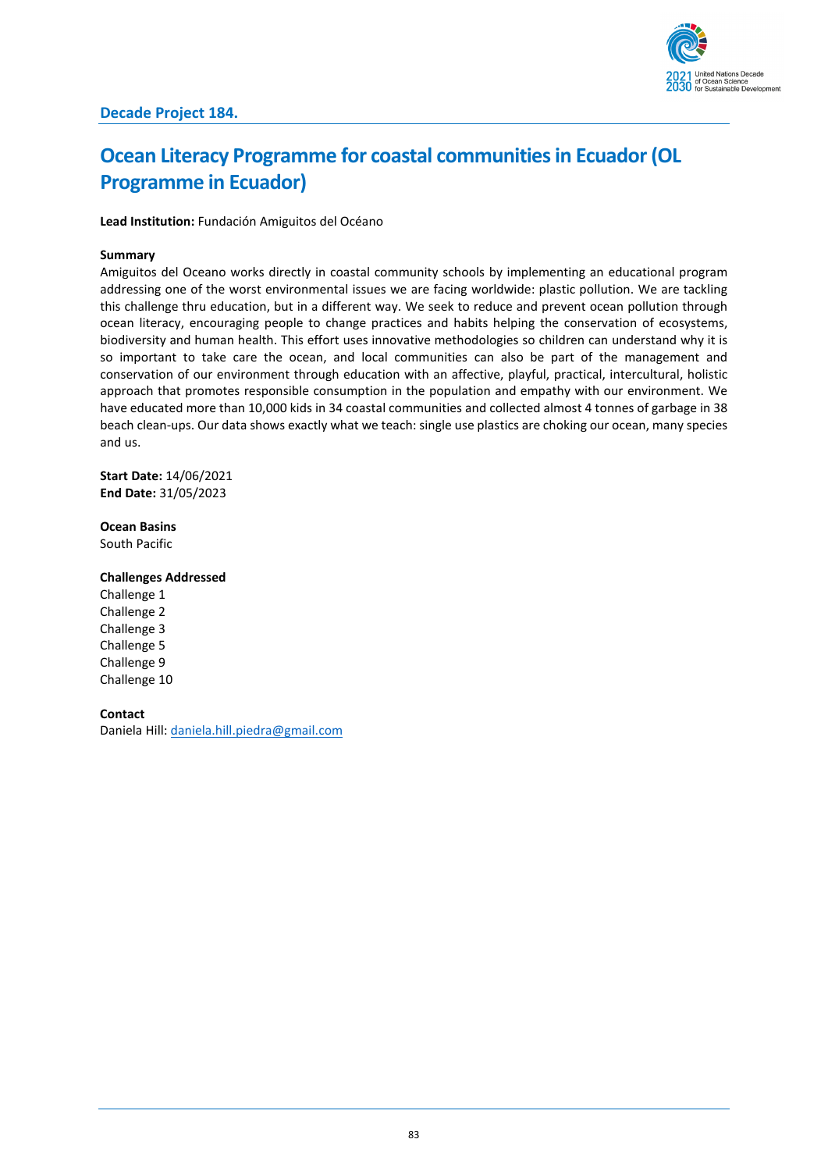

# **Ocean Literacy Programme for coastal communities in Ecuador (OL Programme in Ecuador)**

**Lead Institution:** Fundación Amiguitos del Océano

### **Summary**

Amiguitos del Oceano works directly in coastal community schools by implementing an educational program addressing one of the worst environmental issues we are facing worldwide: plastic pollution. We are tackling this challenge thru education, but in a different way. We seek to reduce and prevent ocean pollution through ocean literacy, encouraging people to change practices and habits helping the conservation of ecosystems, biodiversity and human health. This effort uses innovative methodologies so children can understand why it is so important to take care the ocean, and local communities can also be part of the management and conservation of our environment through education with an affective, playful, practical, intercultural, holistic approach that promotes responsible consumption in the population and empathy with our environment. We have educated more than 10,000 kids in 34 coastal communities and collected almost 4 tonnes of garbage in 38 beach clean-ups. Our data shows exactly what we teach: single use plastics are choking our ocean, many species and us.

**Start Date:** 14/06/2021 **End Date:** 31/05/2023

**Ocean Basins**

South Pacific

### **Challenges Addressed**

Challenge 1 Challenge 2 Challenge 3 Challenge 5 Challenge 9 Challenge 10

#### **Contact**

Daniela Hill: [daniela.hill.piedra@gmail.com](mailto:daniela.hill.piedra@gmail.com)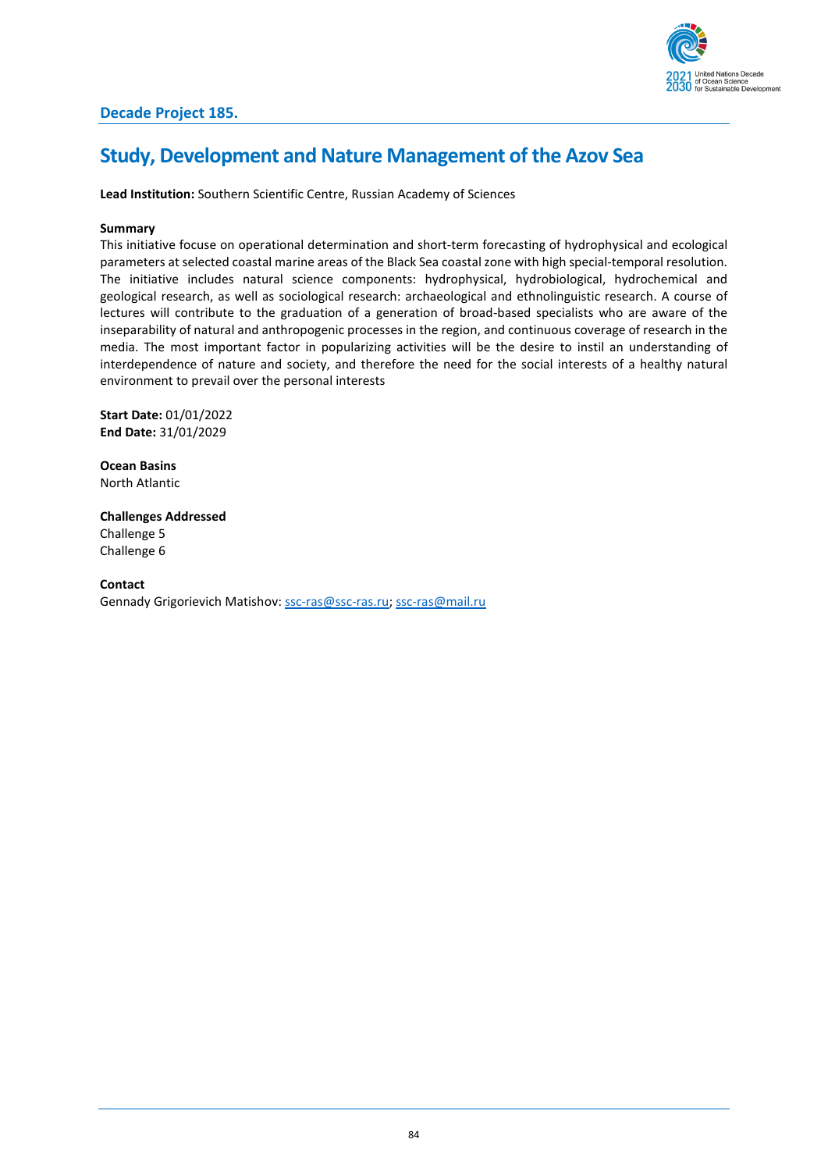

### **Study, Development and Nature Management of the Azov Sea**

**Lead Institution:** Southern Scientific Centre, Russian Academy of Sciences

### **Summary**

This initiative focuse on operational determination and short-term forecasting of hydrophysical and ecological parameters at selected coastal marine areas of the Black Sea coastal zone with high special-temporal resolution. The initiative includes natural science components: hydrophysical, hydrobiological, hydrochemical and geological research, as well as sociological research: archaeological and ethnolinguistic research. A course of lectures will contribute to the graduation of a generation of broad-based specialists who are aware of the inseparability of natural and anthropogenic processes in the region, and continuous coverage of research in the media. The most important factor in popularizing activities will be the desire to instil an understanding of interdependence of nature and society, and therefore the need for the social interests of a healthy natural environment to prevail over the personal interests

**Start Date:** 01/01/2022 **End Date:** 31/01/2029

**Ocean Basins** North Atlantic

**Challenges Addressed** Challenge 5 Challenge 6

**Contact** Gennady Grigorievich Matishov: [ssc-ras@ssc-ras.ru;](mailto:ssc-ras@ssc-ras.ru) [ssc-ras@mail.ru](mailto:ssc-ras@mail.ru)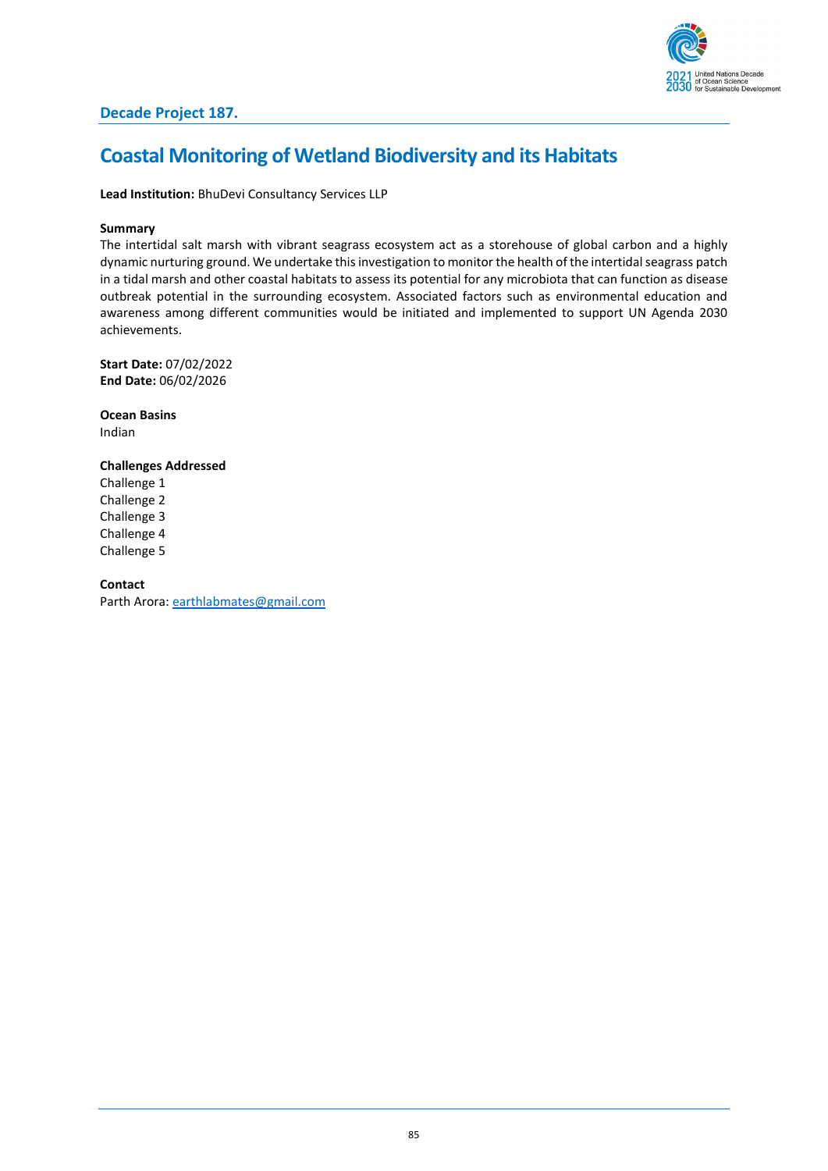

## **Coastal Monitoring of Wetland Biodiversity and its Habitats**

**Lead Institution:** BhuDevi Consultancy Services LLP

### **Summary**

The intertidal salt marsh with vibrant seagrass ecosystem act as a storehouse of global carbon and a highly dynamic nurturing ground. We undertake this investigation to monitor the health of the intertidal seagrass patch in a tidal marsh and other coastal habitats to assess its potential for any microbiota that can function as disease outbreak potential in the surrounding ecosystem. Associated factors such as environmental education and awareness among different communities would be initiated and implemented to support UN Agenda 2030 achievements.

**Start Date:** 07/02/2022 **End Date:** 06/02/2026

**Ocean Basins** Indian

### **Challenges Addressed**

Challenge 1 Challenge 2 Challenge 3 Challenge 4 Challenge 5

### **Contact**

Parth Arora: [earthlabmates@gmail.com](mailto:earthlabmates@gmail.com)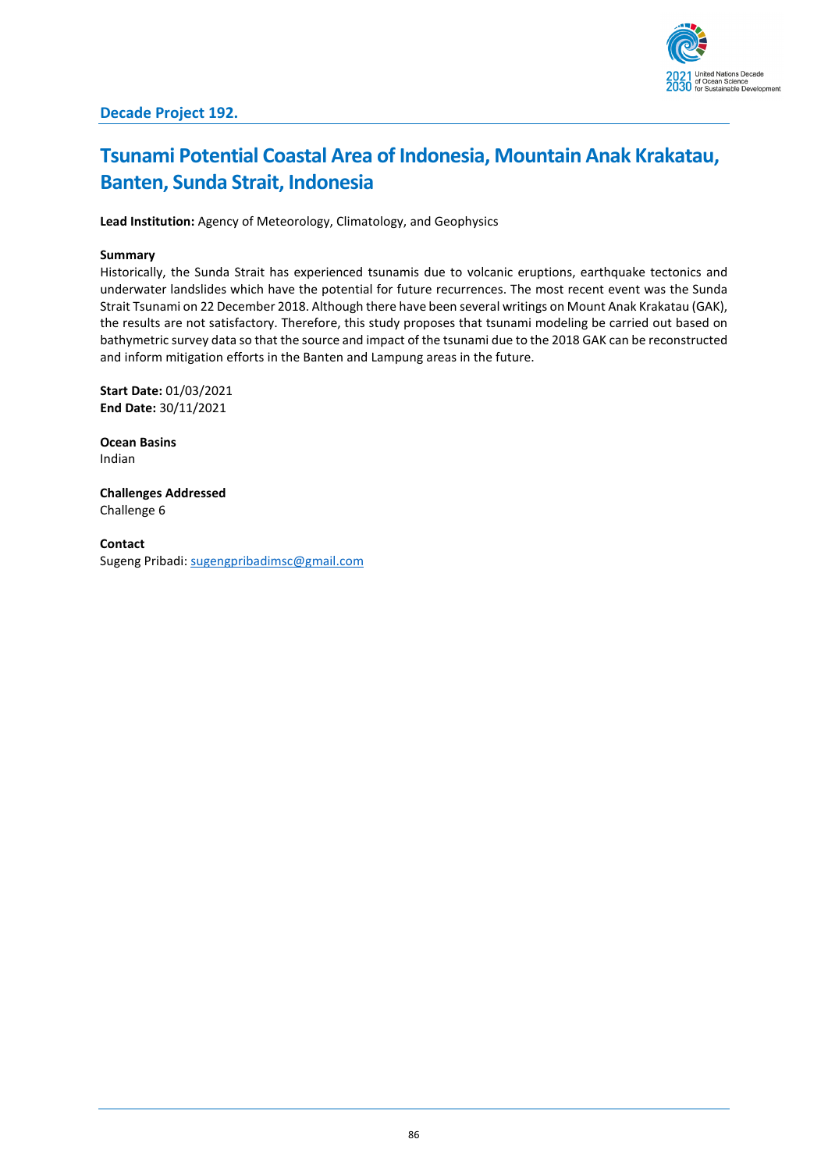

# **Tsunami Potential Coastal Area of Indonesia, Mountain Anak Krakatau, Banten, Sunda Strait, Indonesia**

**Lead Institution:** Agency of Meteorology, Climatology, and Geophysics

### **Summary**

Historically, the Sunda Strait has experienced tsunamis due to volcanic eruptions, earthquake tectonics and underwater landslides which have the potential for future recurrences. The most recent event was the Sunda Strait Tsunami on 22 December 2018. Although there have been several writings on Mount Anak Krakatau (GAK), the results are not satisfactory. Therefore, this study proposes that tsunami modeling be carried out based on bathymetric survey data so that the source and impact of the tsunami due to the 2018 GAK can be reconstructed and inform mitigation efforts in the Banten and Lampung areas in the future.

**Start Date:** 01/03/2021 **End Date:** 30/11/2021

**Ocean Basins** Indian

**Challenges Addressed** Challenge 6

**Contact** Sugeng Pribadi: [sugengpribadimsc@gmail.com](mailto:sugengpribadimsc@gmail.com)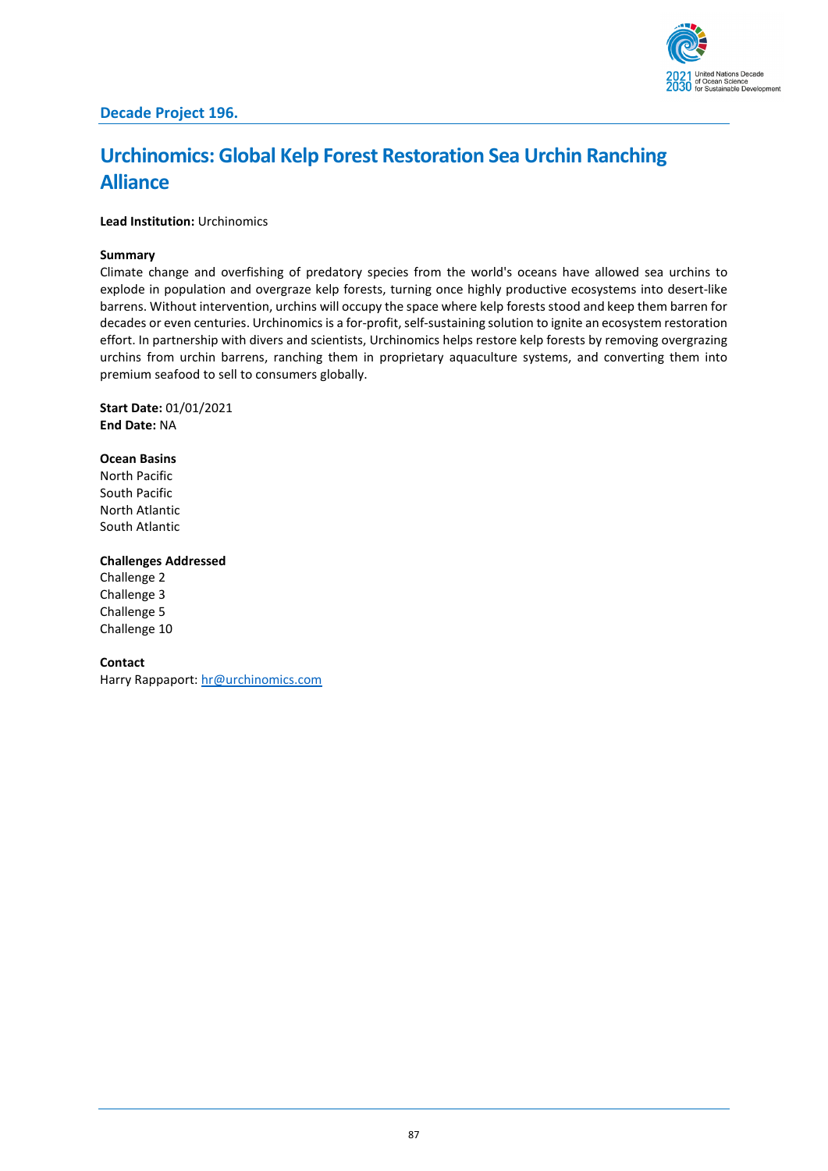

# **Urchinomics: Global Kelp Forest Restoration Sea Urchin Ranching Alliance**

**Lead Institution:** Urchinomics

### **Summary**

Climate change and overfishing of predatory species from the world's oceans have allowed sea urchins to explode in population and overgraze kelp forests, turning once highly productive ecosystems into desert-like barrens. Without intervention, urchins will occupy the space where kelp forests stood and keep them barren for decades or even centuries. Urchinomics is a for-profit, self-sustaining solution to ignite an ecosystem restoration effort. In partnership with divers and scientists, Urchinomics helps restore kelp forests by removing overgrazing urchins from urchin barrens, ranching them in proprietary aquaculture systems, and converting them into premium seafood to sell to consumers globally.

#### **Start Date:** 01/01/2021 **End Date:** NA

### **Ocean Basins**

North Pacific South Pacific North Atlantic South Atlantic

### **Challenges Addressed**

Challenge 2 Challenge 3 Challenge 5 Challenge 10

### **Contact**

Harry Rappaport[: hr@urchinomics.com](mailto:hr@urchinomics.com)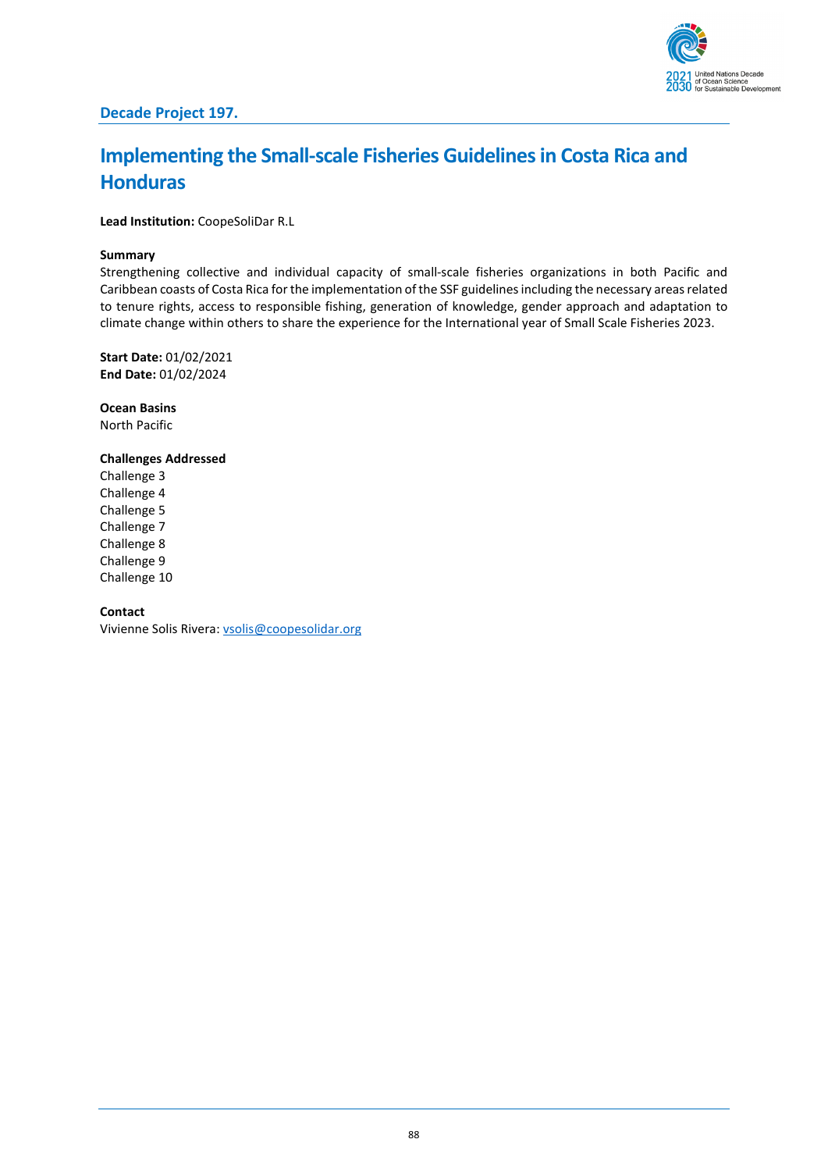

## **Implementing the Small-scale Fisheries Guidelines in Costa Rica and Honduras**

**Lead Institution:** CoopeSoliDar R.L

### **Summary**

Strengthening collective and individual capacity of small-scale fisheries organizations in both Pacific and Caribbean coasts of Costa Rica for the implementation of the SSF guidelines including the necessary areas related to tenure rights, access to responsible fishing, generation of knowledge, gender approach and adaptation to climate change within others to share the experience for the International year of Small Scale Fisheries 2023.

**Start Date:** 01/02/2021 **End Date:** 01/02/2024

**Ocean Basins** North Pacific

### **Challenges Addressed**

Challenge 3 Challenge 4 Challenge 5 Challenge 7 Challenge 8 Challenge 9 Challenge 10

### **Contact**

Vivienne Solis Rivera[: vsolis@coopesolidar.org](mailto:vsolis@coopesolidar.org)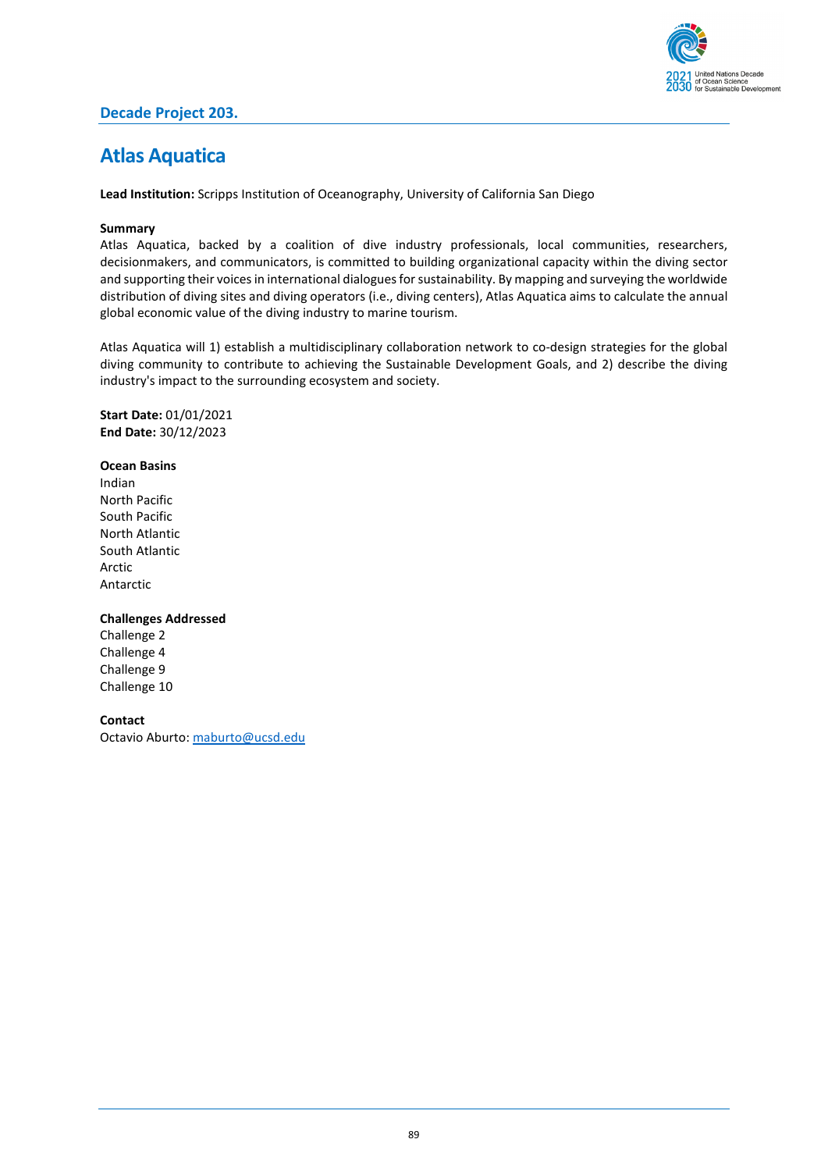

### **Decade Project 203.**

### **Atlas Aquatica**

**Lead Institution:** Scripps Institution of Oceanography, University of California San Diego

### **Summary**

Atlas Aquatica, backed by a coalition of dive industry professionals, local communities, researchers, decisionmakers, and communicators, is committed to building organizational capacity within the diving sector and supporting their voices in international dialogues for sustainability. By mapping and surveying the worldwide distribution of diving sites and diving operators (i.e., diving centers), Atlas Aquatica aims to calculate the annual global economic value of the diving industry to marine tourism.

Atlas Aquatica will 1) establish a multidisciplinary collaboration network to co-design strategies for the global diving community to contribute to achieving the Sustainable Development Goals, and 2) describe the diving industry's impact to the surrounding ecosystem and society.

**Start Date:** 01/01/2021 **End Date:** 30/12/2023

### **Ocean Basins**

Indian North Pacific South Pacific North Atlantic South Atlantic Arctic Antarctic

### **Challenges Addressed**

Challenge 2 Challenge 4 Challenge 9 Challenge 10

#### **Contact**

Octavio Aburto[: maburto@ucsd.edu](mailto:maburto@ucsd.edu)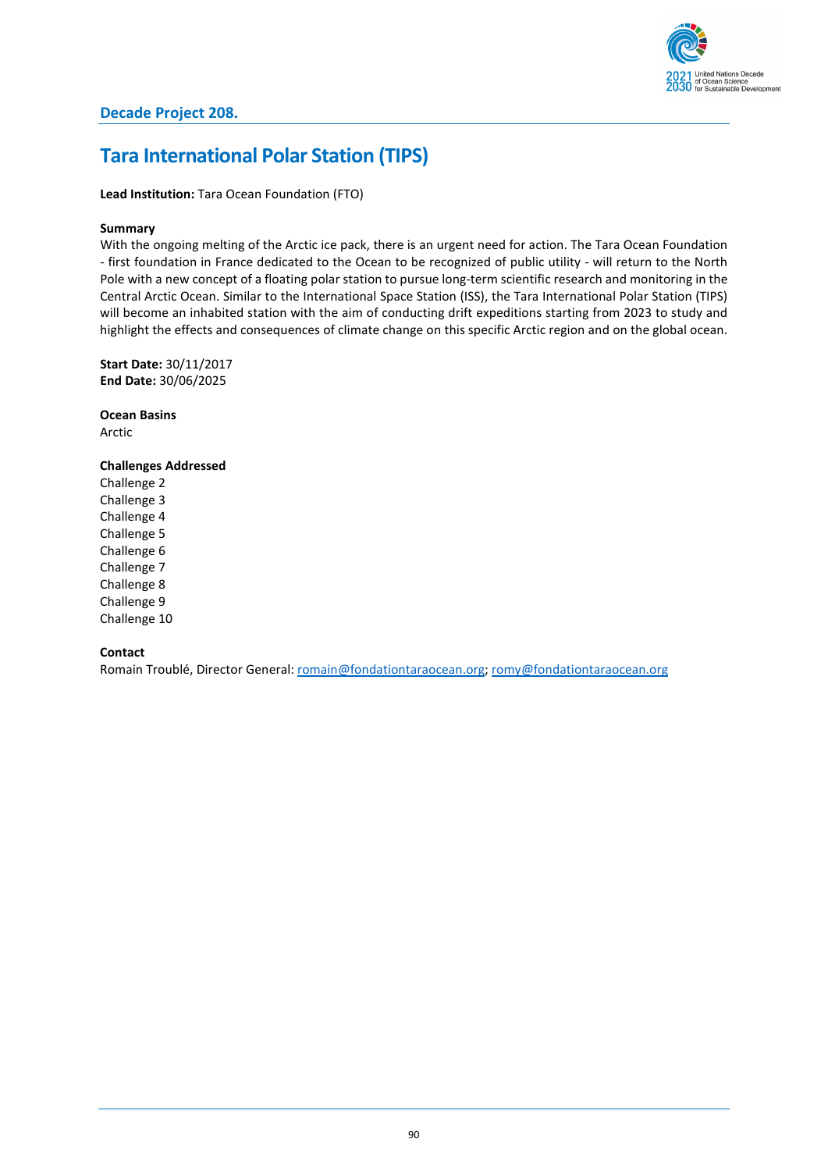

### **Tara International Polar Station (TIPS)**

**Lead Institution:** Tara Ocean Foundation (FTO)

### **Summary**

With the ongoing melting of the Arctic ice pack, there is an urgent need for action. The Tara Ocean Foundation - first foundation in France dedicated to the Ocean to be recognized of public utility - will return to the North Pole with a new concept of a floating polar station to pursue long-term scientific research and monitoring in the Central Arctic Ocean. Similar to the International Space Station (ISS), the Tara International Polar Station (TIPS) will become an inhabited station with the aim of conducting drift expeditions starting from 2023 to study and highlight the effects and consequences of climate change on this specific Arctic region and on the global ocean.

**Start Date:** 30/11/2017 **End Date:** 30/06/2025

**Ocean Basins** Arctic

### **Challenges Addressed**

Challenge 2 Challenge 3 Challenge 4 Challenge 5 Challenge 6 Challenge 7 Challenge 8 Challenge 9 Challenge 10

### **Contact**

Romain Troublé, Director General: [romain@fondationtaraocean.org;](mailto:romain@fondationtaraocean.org) [romy@fondationtaraocean.org](mailto:romy@fondationtaraocean.org)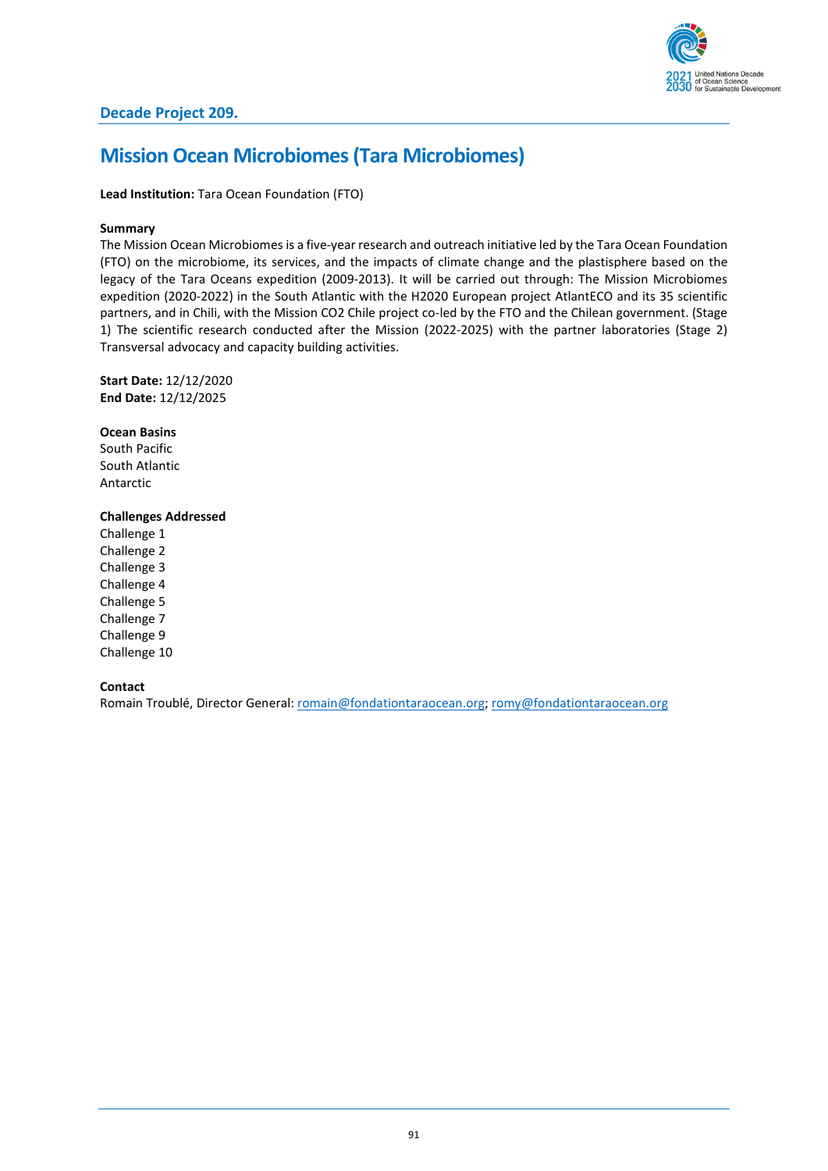

### **Mission Ocean Microbiomes (Tara Microbiomes)**

**Lead Institution:** Tara Ocean Foundation (FTO)

### **Summary**

The Mission Ocean Microbiomes is a five-year research and outreach initiative led by the Tara Ocean Foundation (FTO) on the microbiome, its services, and the impacts of climate change and the plastisphere based on the legacy of the Tara Oceans expedition (2009-2013). It will be carried out through: The Mission Microbiomes expedition (2020-2022) in the South Atlantic with the H2020 European project AtlantECO and its 35 scientific partners, and in Chili, with the Mission CO2 Chile project co-led by the FTO and the Chilean government. (Stage 1) The scientific research conducted after the Mission (2022-2025) with the partner laboratories (Stage 2) Transversal advocacy and capacity building activities.

**Start Date:** 12/12/2020 **End Date:** 12/12/2025

**Ocean Basins** South Pacific South Atlantic Antarctic

### **Challenges Addressed**

Challenge 1 Challenge 2 Challenge 3 Challenge 4 Challenge 5 Challenge 7 Challenge 9 Challenge 10

**Contact**

Romain Troublé, Director General: [romain@fondationtaraocean.org;](mailto:romain@fondationtaraocean.org) [romy@fondationtaraocean.org](mailto:romy@fondationtaraocean.org)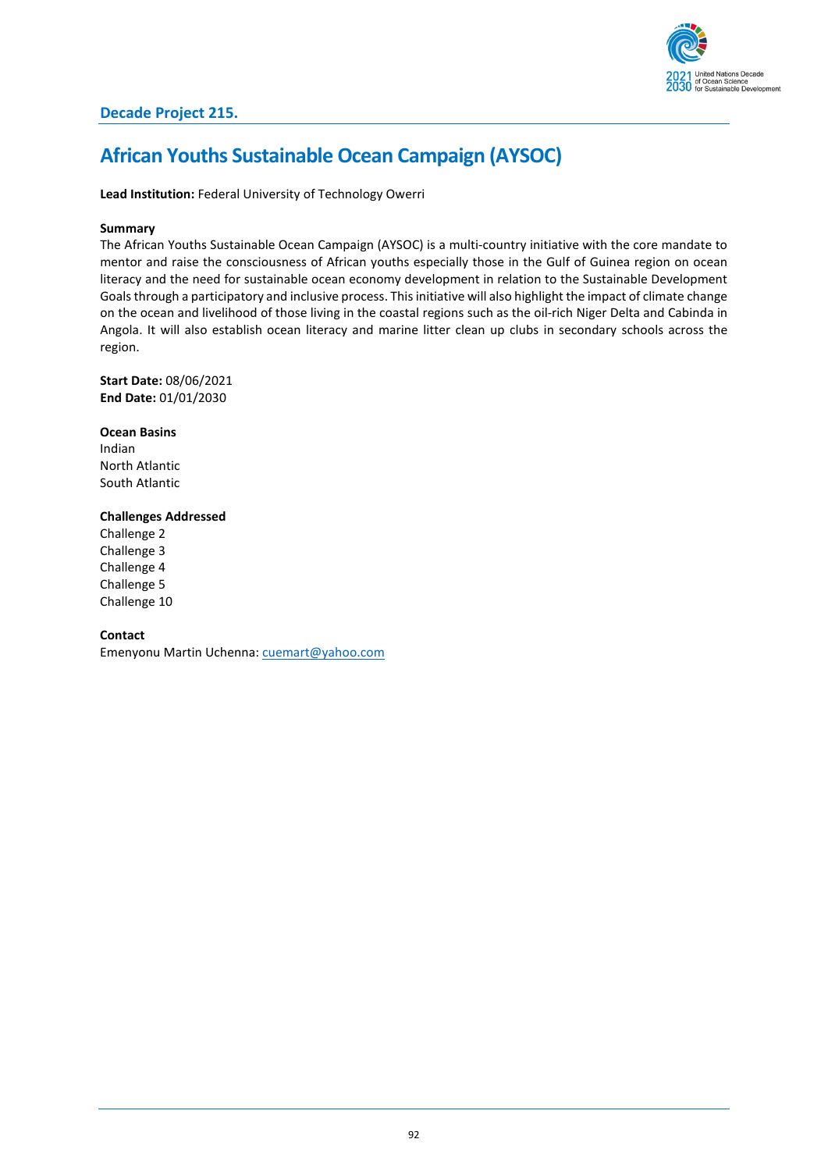

## **African Youths Sustainable Ocean Campaign (AYSOC)**

**Lead Institution:** Federal University of Technology Owerri

### **Summary**

The African Youths Sustainable Ocean Campaign (AYSOC) is a multi-country initiative with the core mandate to mentor and raise the consciousness of African youths especially those in the Gulf of Guinea region on ocean literacy and the need for sustainable ocean economy development in relation to the Sustainable Development Goals through a participatory and inclusive process. This initiative will also highlight the impact of climate change on the ocean and livelihood of those living in the coastal regions such as the oil-rich Niger Delta and Cabinda in Angola. It will also establish ocean literacy and marine litter clean up clubs in secondary schools across the region.

**Start Date:** 08/06/2021 **End Date:** 01/01/2030

**Ocean Basins** Indian North Atlantic South Atlantic

### **Challenges Addressed**

Challenge 2 Challenge 3 Challenge 4 Challenge 5 Challenge 10

### **Contact**

Emenyonu Martin Uchenna: [cuemart@yahoo.com](mailto:cuemart@yahoo.com)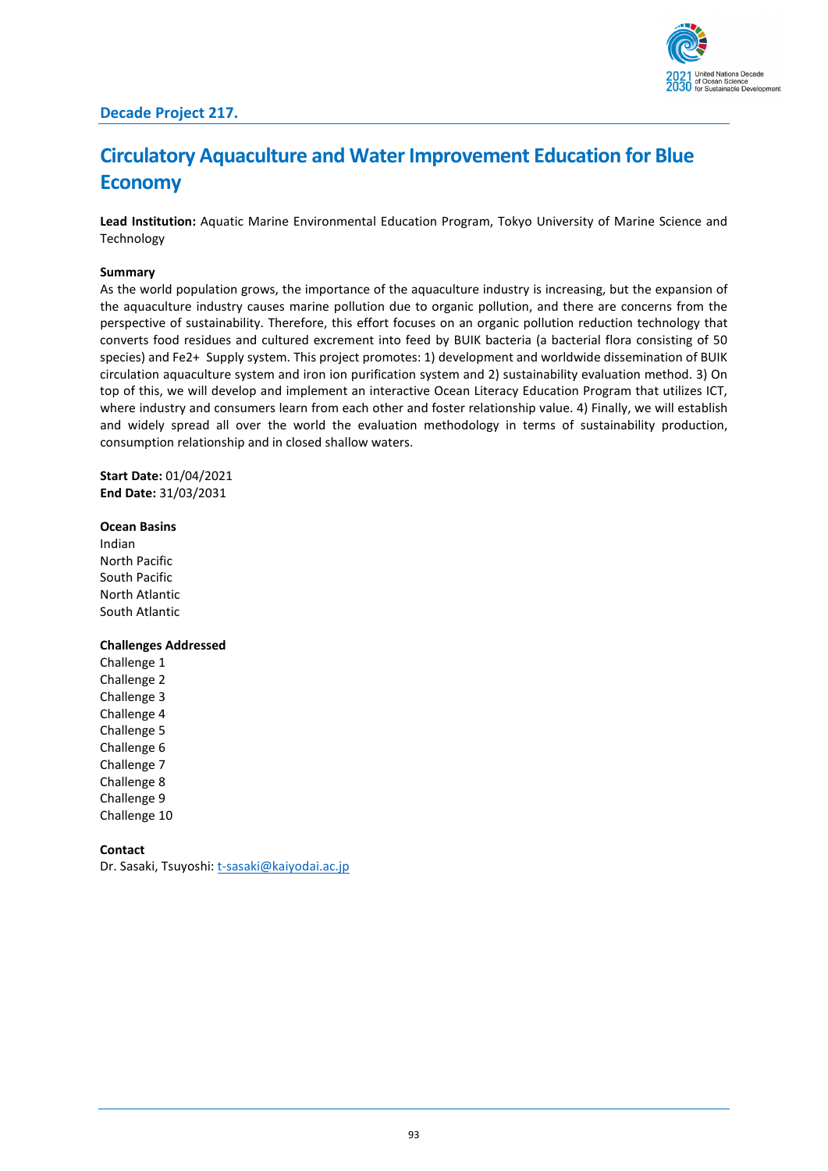



## **Circulatory Aquaculture and Water Improvement Education for Blue Economy**

**Lead Institution:** Aquatic Marine Environmental Education Program, Tokyo University of Marine Science and Technology

### **Summary**

As the world population grows, the importance of the aquaculture industry is increasing, but the expansion of the aquaculture industry causes marine pollution due to organic pollution, and there are concerns from the perspective of sustainability. Therefore, this effort focuses on an organic pollution reduction technology that converts food residues and cultured excrement into feed by BUIK bacteria (a bacterial flora consisting of 50 species) and Fe2+ Supply system. This project promotes: 1) development and worldwide dissemination of BUIK circulation aquaculture system and iron ion purification system and 2) sustainability evaluation method. 3) On top of this, we will develop and implement an interactive Ocean Literacy Education Program that utilizes ICT, where industry and consumers learn from each other and foster relationship value. 4) Finally, we will establish and widely spread all over the world the evaluation methodology in terms of sustainability production, consumption relationship and in closed shallow waters.

**Start Date:** 01/04/2021 **End Date:** 31/03/2031

### **Ocean Basins**

Indian North Pacific South Pacific North Atlantic South Atlantic

### **Challenges Addressed**

Challenge 1 Challenge 2 Challenge 3 Challenge 4 Challenge 5 Challenge 6 Challenge 7 Challenge 8 Challenge 9 Challenge 10

**Contact**

Dr. Sasaki, Tsuyoshi[: t-sasaki@kaiyodai.ac.jp](mailto:t-sasaki@kaiyodai.ac.jp)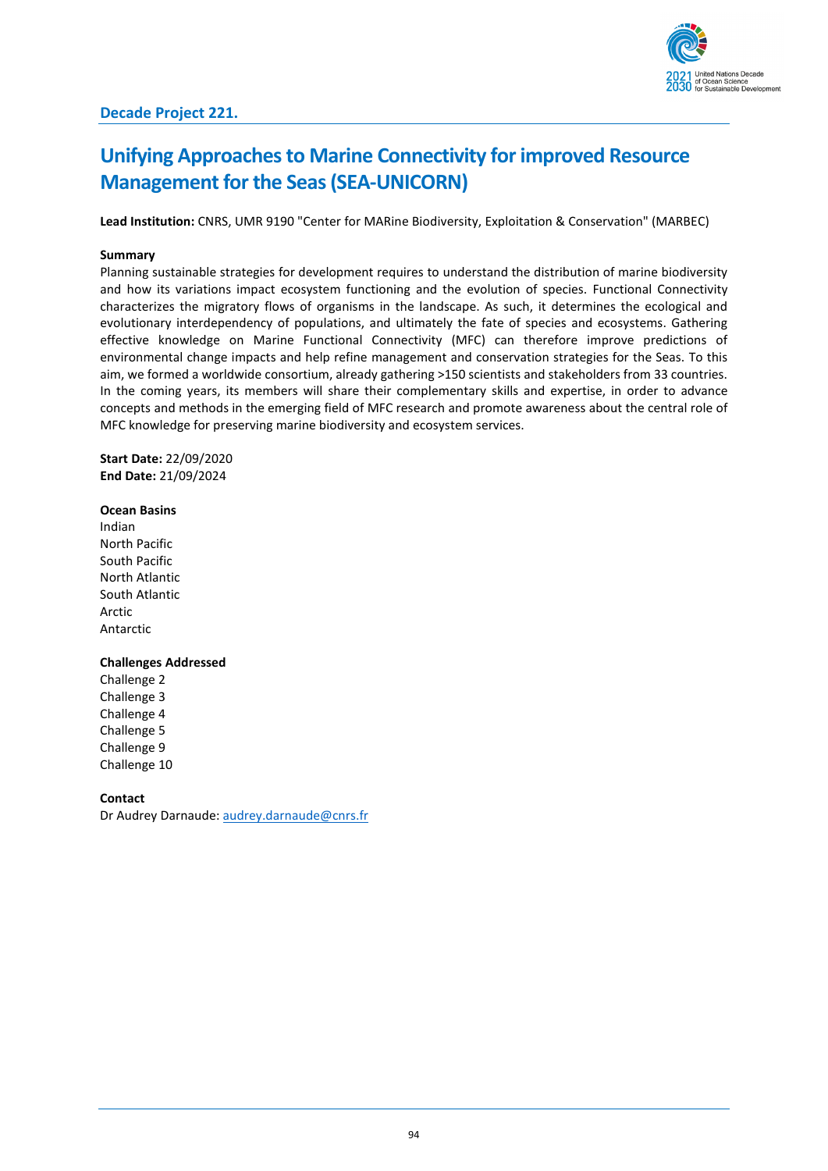## **Unifying Approaches to Marine Connectivity for improved Resource Management for the Seas(SEA-UNICORN)**

**Lead Institution:** CNRS, UMR 9190 "Center for MARine Biodiversity, Exploitation & Conservation" (MARBEC)

### **Summary**

Planning sustainable strategies for development requires to understand the distribution of marine biodiversity and how its variations impact ecosystem functioning and the evolution of species. Functional Connectivity characterizes the migratory flows of organisms in the landscape. As such, it determines the ecological and evolutionary interdependency of populations, and ultimately the fate of species and ecosystems. Gathering effective knowledge on Marine Functional Connectivity (MFC) can therefore improve predictions of environmental change impacts and help refine management and conservation strategies for the Seas. To this aim, we formed a worldwide consortium, already gathering >150 scientists and stakeholders from 33 countries. In the coming years, its members will share their complementary skills and expertise, in order to advance concepts and methods in the emerging field of MFC research and promote awareness about the central role of MFC knowledge for preserving marine biodiversity and ecosystem services.

**Start Date:** 22/09/2020 **End Date:** 21/09/2024

### **Ocean Basins**

Indian North Pacific South Pacific North Atlantic South Atlantic Arctic Antarctic

### **Challenges Addressed**

Challenge 2 Challenge 3 Challenge 4 Challenge 5 Challenge 9 Challenge 10

**Contact**

Dr Audrey Darnaude[: audrey.darnaude@cnrs.fr](mailto:audrey.darnaude@cnrs.fr)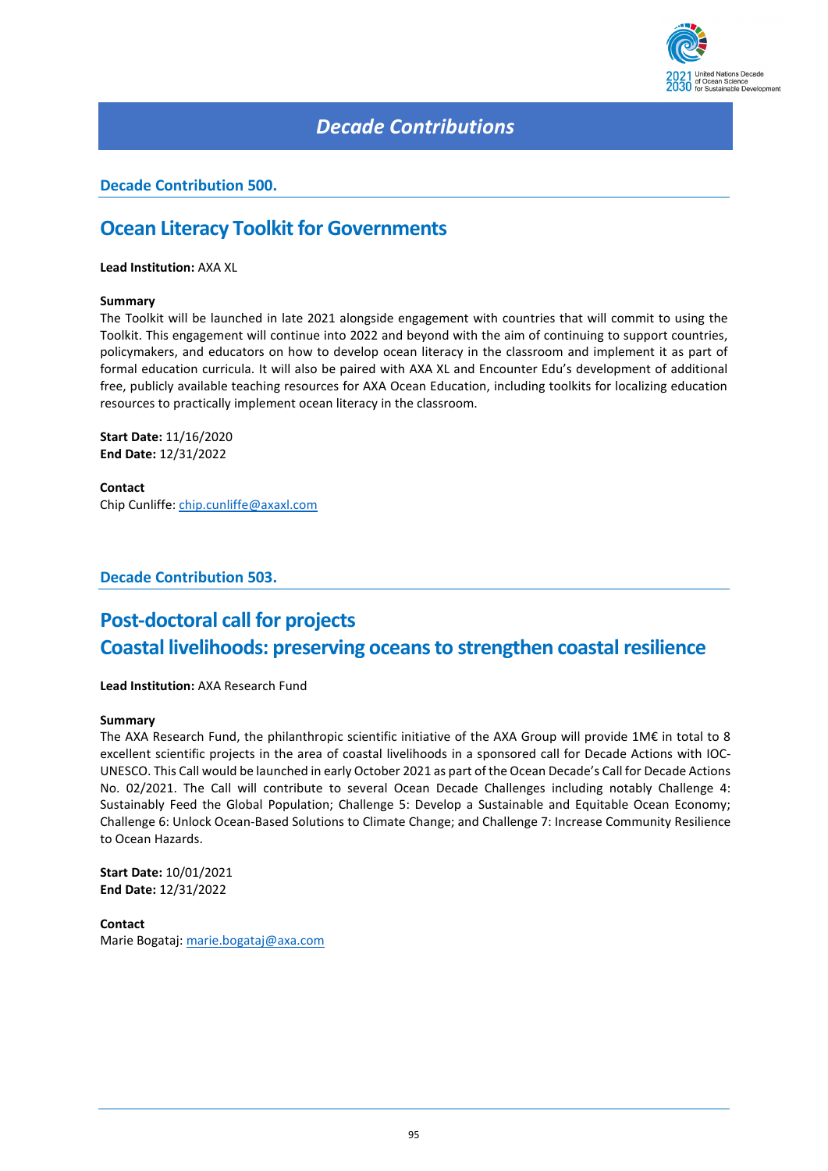

### *Decade Contributions*

### **Decade Contribution 500.**

### **Ocean Literacy Toolkit for Governments**

**Lead Institution:** AXA XL

### **Summary**

The Toolkit will be launched in late 2021 alongside engagement with countries that will commit to using the Toolkit. This engagement will continue into 2022 and beyond with the aim of continuing to support countries, policymakers, and educators on how to develop ocean literacy in the classroom and implement it as part of formal education curricula. It will also be paired with AXA XL and Encounter Edu's development of additional free, publicly available teaching resources for AXA Ocean Education, including toolkits for localizing education resources to practically implement ocean literacy in the classroom.

**Start Date:** 11/16/2020 **End Date:** 12/31/2022

**Contact** Chip Cunliffe: [chip.cunliffe@axaxl.com](mailto:chip.cunliffe@axaxl.com)

**Decade Contribution 503.**

## **Post-doctoral call for projects Coastal livelihoods: preserving oceans to strengthen coastal resilience**

**Lead Institution:** AXA Research Fund

#### **Summary**

The AXA Research Fund, the philanthropic scientific initiative of the AXA Group will provide 1M€ in total to 8 excellent scientific projects in the area of coastal livelihoods in a sponsored call for Decade Actions with IOC-UNESCO. This Call would be launched in early October 2021 as part of the Ocean Decade's Call for Decade Actions No. 02/2021. The Call will contribute to several Ocean Decade Challenges including notably Challenge 4: Sustainably Feed the Global Population; Challenge 5: Develop a Sustainable and Equitable Ocean Economy; Challenge 6: Unlock Ocean-Based Solutions to Climate Change; and Challenge 7: Increase Community Resilience to Ocean Hazards.

**Start Date:** 10/01/2021 **End Date:** 12/31/2022

**Contact** Marie Bogataj: [marie.bogataj@axa.com](mailto:marie.bogataj@axa.com)